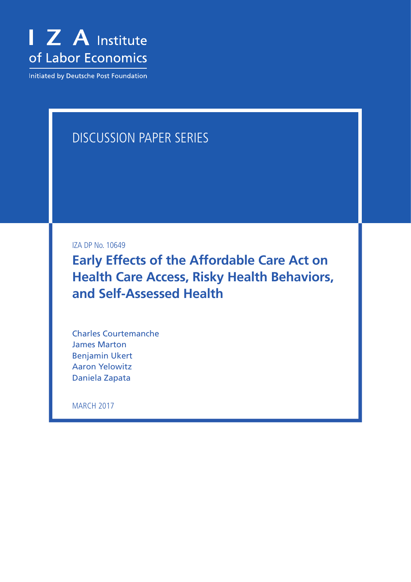

**Initiated by Deutsche Post Foundation** 

# Discussion Paper Series

IZA DP No. 10649

**Early Effects of the Affordable Care Act on Health Care Access, Risky Health Behaviors, and Self-Assessed Health**

Charles Courtemanche James Marton Benjamin Ukert Aaron Yelowitz Daniela Zapata

**MARCH 2017**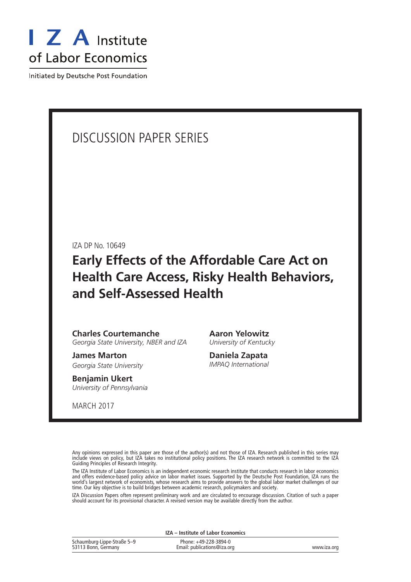

Initiated by Deutsche Post Foundation

# Discussion Paper Series

IZA DP No. 10649

# **Early Effects of the Affordable Care Act on Health Care Access, Risky Health Behaviors, and Self-Assessed Health**

**Charles Courtemanche** *Georgia State University, NBER and IZA*

**James Marton** *Georgia State University*

**Benjamin Ukert** *University of Pennsylvania*

march 2017

**Aaron Yelowitz** *University of Kentucky*

**Daniela Zapata** *IMPAQ International*

Any opinions expressed in this paper are those of the author(s) and not those of IZA. Research published in this series may include views on policy, but IZA takes no institutional policy positions. The IZA research network is committed to the IZA Guiding Principles of Research Integrity.

The IZA Institute of Labor Economics is an independent economic research institute that conducts research in labor economics and offers evidence-based policy advice on labor market issues. Supported by the Deutsche Post Foundation, IZA runs the world's largest network of economists, whose research aims to provide answers to the global labor market challenges of our time. Our key objective is to build bridges between academic research, policymakers and society.

IZA Discussion Papers often represent preliminary work and are circulated to encourage discussion. Citation of such a paper should account for its provisional character. A revised version may be available directly from the author.

**IZA – Institute of Labor Economics**

| Schaumburg-Lippe-Straße 5–9<br>53113 Bonn, Germany | Phone: +49-228-3894-0<br>Email: publications@iza.org | www.iza.org |
|----------------------------------------------------|------------------------------------------------------|-------------|
|                                                    |                                                      |             |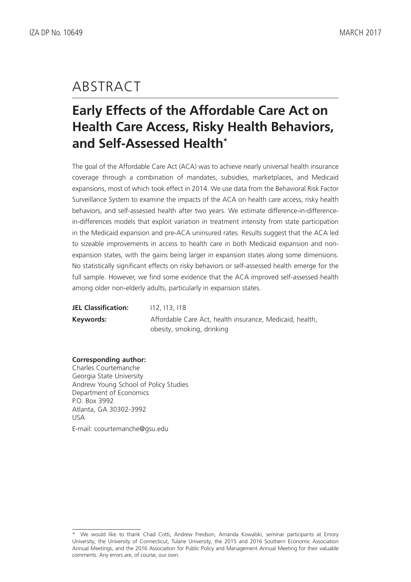# **ABSTRACT**

# **Early Effects of the Affordable Care Act on Health Care Access, Risky Health Behaviors, and Self-Assessed Health\***

The goal of the Affordable Care Act (ACA) was to achieve nearly universal health insurance coverage through a combination of mandates, subsidies, marketplaces, and Medicaid expansions, most of which took effect in 2014. We use data from the Behavioral Risk Factor Surveillance System to examine the impacts of the ACA on health care access, risky health behaviors, and self-assessed health after two years. We estimate difference-in-differencein-differences models that exploit variation in treatment intensity from state participation in the Medicaid expansion and pre-ACA uninsured rates. Results suggest that the ACA led to sizeable improvements in access to health care in both Medicaid expansion and nonexpansion states, with the gains being larger in expansion states along some dimensions. No statistically significant effects on risky behaviors or self-assessed health emerge for the full sample. However, we find some evidence that the ACA improved self-assessed health among older non-elderly adults, particularly in expansion states.

**JEL Classification:** I12, I13, I18

**Keywords:** Affordable Care Act, health insurance, Medicaid, health, obesity, smoking, drinking

# **Corresponding author:**

Charles Courtemanche Georgia State University Andrew Young School of Policy Studies Department of Economics P.O. Box 3992 Atlanta, GA 30302-3992 USA E-mail: ccourtemanche@gsu.edu

<sup>\*</sup> We would like to thank Chad Cotti, Andrew Freidson, Amanda Kowalski, seminar participants at Emory University, the University of Connecticut, Tulane University, the 2015 and 2016 Southern Economic Association Annual Meetings, and the 2016 Association for Public Policy and Management Annual Meeting for their valuable comments. Any errors are, of course, our own.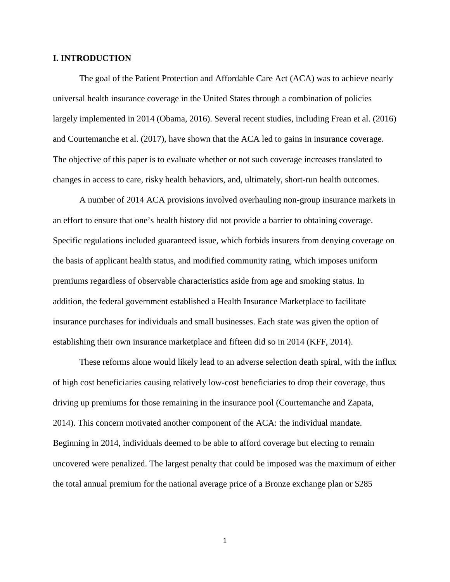### **I. INTRODUCTION**

The goal of the Patient Protection and Affordable Care Act (ACA) was to achieve nearly universal health insurance coverage in the United States through a combination of policies largely implemented in 2014 (Obama, 2016). Several recent studies, including Frean et al. (2016) and Courtemanche et al. (2017), have shown that the ACA led to gains in insurance coverage. The objective of this paper is to evaluate whether or not such coverage increases translated to changes in access to care, risky health behaviors, and, ultimately, short-run health outcomes.

A number of 2014 ACA provisions involved overhauling non-group insurance markets in an effort to ensure that one's health history did not provide a barrier to obtaining coverage. Specific regulations included guaranteed issue, which forbids insurers from denying coverage on the basis of applicant health status, and modified community rating, which imposes uniform premiums regardless of observable characteristics aside from age and smoking status. In addition, the federal government established a Health Insurance Marketplace to facilitate insurance purchases for individuals and small businesses. Each state was given the option of establishing their own insurance marketplace and fifteen did so in 2014 (KFF, 2014).

These reforms alone would likely lead to an adverse selection death spiral, with the influx of high cost beneficiaries causing relatively low-cost beneficiaries to drop their coverage, thus driving up premiums for those remaining in the insurance pool (Courtemanche and Zapata, 2014). This concern motivated another component of the ACA: the individual mandate. Beginning in 2014, individuals deemed to be able to afford coverage but electing to remain uncovered were penalized. The largest penalty that could be imposed was the maximum of either the total annual premium for the national average price of a Bronze exchange plan or \$285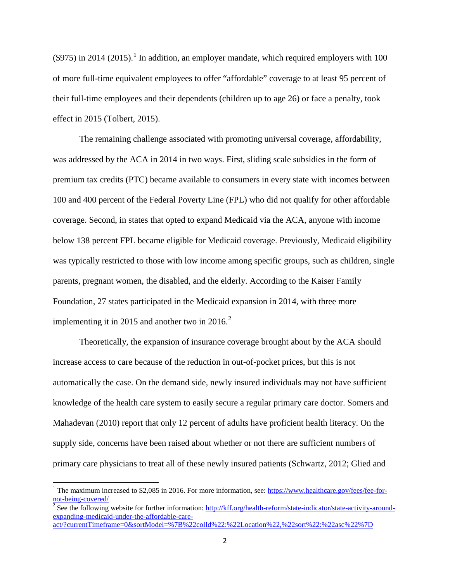(\$975) in 20[1](#page-4-0)4 (2015).<sup>1</sup> In addition, an employer mandate, which required employers with 100 of more full-time equivalent employees to offer "affordable" coverage to at least 95 percent of their full-time employees and their dependents (children up to age 26) or face a penalty, took effect in 2015 (Tolbert, 2015).

The remaining challenge associated with promoting universal coverage, affordability, was addressed by the ACA in 2014 in two ways. First, sliding scale subsidies in the form of premium tax credits (PTC) became available to consumers in every state with incomes between 100 and 400 percent of the Federal Poverty Line (FPL) who did not qualify for other affordable coverage. Second, in states that opted to expand Medicaid via the ACA, anyone with income below 138 percent FPL became eligible for Medicaid coverage. Previously, Medicaid eligibility was typically restricted to those with low income among specific groups, such as children, single parents, pregnant women, the disabled, and the elderly. According to the Kaiser Family Foundation, 27 states participated in the Medicaid expansion in 2014, with three more implementing it in [2](#page-4-1)015 and another two in  $2016$ <sup>2</sup>

Theoretically, the expansion of insurance coverage brought about by the ACA should increase access to care because of the reduction in out-of-pocket prices, but this is not automatically the case. On the demand side, newly insured individuals may not have sufficient knowledge of the health care system to easily secure a regular primary care doctor. Somers and Mahadevan (2010) report that only 12 percent of adults have proficient health literacy. On the supply side, concerns have been raised about whether or not there are sufficient numbers of primary care physicians to treat all of these newly insured patients (Schwartz, 2012; Glied and

<span id="page-4-0"></span><sup>&</sup>lt;sup>1</sup> The maximum increased to \$2,085 in 2016. For more information, see: [https://www.healthcare.gov/fees/fee-for](https://www.healthcare.gov/fees/fee-for-not-being-covered/)[not-being-covered/](https://www.healthcare.gov/fees/fee-for-not-being-covered/)<br>
<sup>2</sup> See the following website for further information: [http://kff.org/health-reform/state-indicator/state-activity-around-](http://kff.org/health-reform/state-indicator/state-activity-around-expanding-medicaid-under-the-affordable-care-act/?currentTimeframe=0&sortModel=%7B%22colId%22:%22Location%22,%22sort%22:%22asc%22%7D)

<span id="page-4-1"></span>[expanding-medicaid-under-the-affordable-care](http://kff.org/health-reform/state-indicator/state-activity-around-expanding-medicaid-under-the-affordable-care-act/?currentTimeframe=0&sortModel=%7B%22colId%22:%22Location%22,%22sort%22:%22asc%22%7D)[act/?currentTimeframe=0&sortModel=%7B%22colId%22:%22Location%22,%22sort%22:%22asc%22%7D](http://kff.org/health-reform/state-indicator/state-activity-around-expanding-medicaid-under-the-affordable-care-act/?currentTimeframe=0&sortModel=%7B%22colId%22:%22Location%22,%22sort%22:%22asc%22%7D)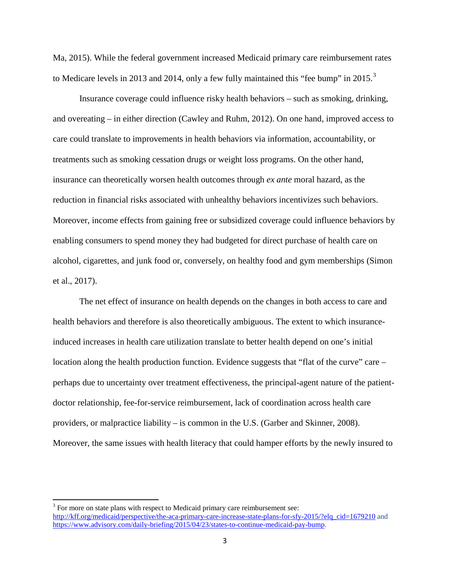Ma, 2015). While the federal government increased Medicaid primary care reimbursement rates to Medicare levels in 201[3](#page-5-0) and 2014, only a few fully maintained this "fee bump" in  $2015$ .<sup>3</sup>

Insurance coverage could influence risky health behaviors – such as smoking, drinking, and overeating – in either direction (Cawley and Ruhm, 2012). On one hand, improved access to care could translate to improvements in health behaviors via information, accountability, or treatments such as smoking cessation drugs or weight loss programs. On the other hand, insurance can theoretically worsen health outcomes through *ex ante* moral hazard, as the reduction in financial risks associated with unhealthy behaviors incentivizes such behaviors. Moreover, income effects from gaining free or subsidized coverage could influence behaviors by enabling consumers to spend money they had budgeted for direct purchase of health care on alcohol, cigarettes, and junk food or, conversely, on healthy food and gym memberships (Simon et al., 2017).

The net effect of insurance on health depends on the changes in both access to care and health behaviors and therefore is also theoretically ambiguous. The extent to which insuranceinduced increases in health care utilization translate to better health depend on one's initial location along the health production function. Evidence suggests that "flat of the curve" care – perhaps due to uncertainty over treatment effectiveness, the principal-agent nature of the patientdoctor relationship, fee-for-service reimbursement, lack of coordination across health care providers, or malpractice liability – is common in the U.S. (Garber and Skinner, 2008). Moreover, the same issues with health literacy that could hamper efforts by the newly insured to

<span id="page-5-0"></span> $3$  For more on state plans with respect to Medicaid primary care reimbursement see: [http://kff.org/medicaid/perspective/the-aca-primary-care-increase-state-plans-for-sfy-2015/?elq\\_cid=1679210](http://kff.org/medicaid/perspective/the-aca-primary-care-increase-state-plans-for-sfy-2015/?elq_cid=1679210) and [https://www.advisory.com/daily-briefing/2015/04/23/states-to-continue-medicaid-pay-bump.](https://www.advisory.com/daily-briefing/2015/04/23/states-to-continue-medicaid-pay-bump)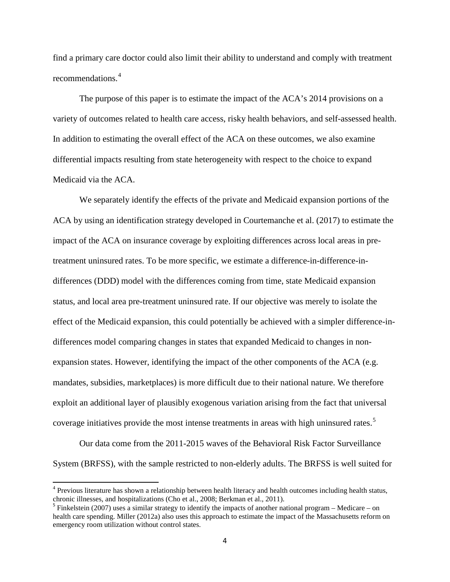find a primary care doctor could also limit their ability to understand and comply with treatment recommendations. [4](#page-6-0)

The purpose of this paper is to estimate the impact of the ACA's 2014 provisions on a variety of outcomes related to health care access, risky health behaviors, and self-assessed health. In addition to estimating the overall effect of the ACA on these outcomes, we also examine differential impacts resulting from state heterogeneity with respect to the choice to expand Medicaid via the ACA.

We separately identify the effects of the private and Medicaid expansion portions of the ACA by using an identification strategy developed in Courtemanche et al. (2017) to estimate the impact of the ACA on insurance coverage by exploiting differences across local areas in pretreatment uninsured rates. To be more specific, we estimate a difference-in-difference-indifferences (DDD) model with the differences coming from time, state Medicaid expansion status, and local area pre-treatment uninsured rate. If our objective was merely to isolate the effect of the Medicaid expansion, this could potentially be achieved with a simpler difference-indifferences model comparing changes in states that expanded Medicaid to changes in nonexpansion states. However, identifying the impact of the other components of the ACA (e.g. mandates, subsidies, marketplaces) is more difficult due to their national nature. We therefore exploit an additional layer of plausibly exogenous variation arising from the fact that universal coverage initiatives provide the most intense treatments in areas with high uninsured rates.<sup>[5](#page-6-1)</sup>

Our data come from the 2011-2015 waves of the Behavioral Risk Factor Surveillance System (BRFSS), with the sample restricted to non-elderly adults. The BRFSS is well suited for

<span id="page-6-0"></span><sup>4</sup> Previous literature has shown a relationship between health literacy and health outcomes including health status, chronic illnesses, and hospitalizations (Cho et al., 2008; Berkman et al., 2011).<br><sup>5</sup> Finkelstein (2007) uses a similar strategy to identify the impacts of another national program – Medicare – on

<span id="page-6-1"></span>health care spending. Miller (2012a) also uses this approach to estimate the impact of the Massachusetts reform on emergency room utilization without control states.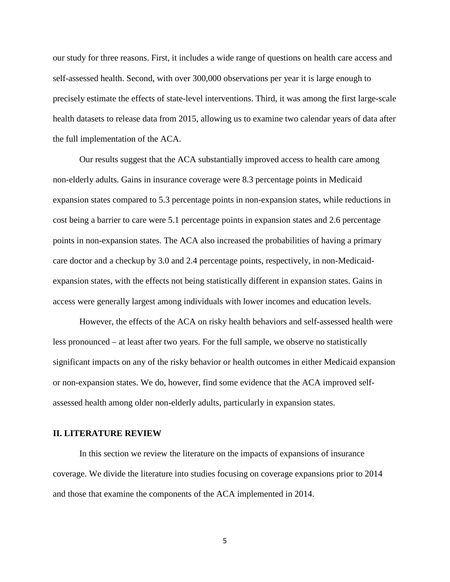our study for three reasons. First, it includes a wide range of questions on health care access and self-assessed health. Second, with over 300,000 observations per year it is large enough to precisely estimate the effects of state-level interventions. Third, it was among the first large-scale health datasets to release data from 2015, allowing us to examine two calendar years of data after the full implementation of the ACA.

Our results suggest that the ACA substantially improved access to health care among non-elderly adults. Gains in insurance coverage were 8.3 percentage points in Medicaid expansion states compared to 5.3 percentage points in non-expansion states, while reductions in cost being a barrier to care were 5.1 percentage points in expansion states and 2.6 percentage points in non-expansion states. The ACA also increased the probabilities of having a primary care doctor and a checkup by 3.0 and 2.4 percentage points, respectively, in non-Medicaidexpansion states, with the effects not being statistically different in expansion states. Gains in access were generally largest among individuals with lower incomes and education levels.

However, the effects of the ACA on risky health behaviors and self-assessed health were less pronounced – at least after two years. For the full sample, we observe no statistically significant impacts on any of the risky behavior or health outcomes in either Medicaid expansion or non-expansion states. We do, however, find some evidence that the ACA improved selfassessed health among older non-elderly adults, particularly in expansion states.

### **II. LITERATURE REVIEW**

In this section we review the literature on the impacts of expansions of insurance coverage. We divide the literature into studies focusing on coverage expansions prior to 2014 and those that examine the components of the ACA implemented in 2014.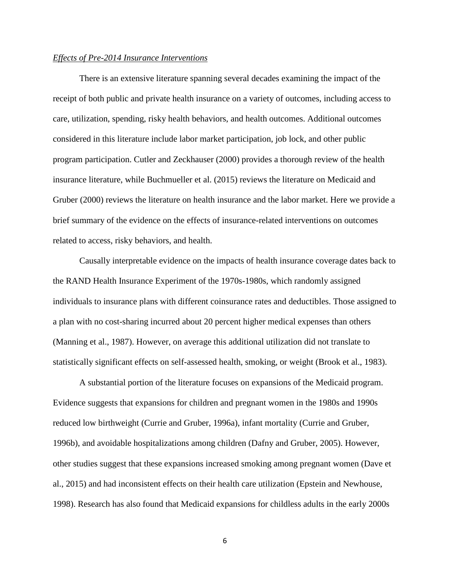#### *Effects of Pre-2014 Insurance Interventions*

There is an extensive literature spanning several decades examining the impact of the receipt of both public and private health insurance on a variety of outcomes, including access to care, utilization, spending, risky health behaviors, and health outcomes. Additional outcomes considered in this literature include labor market participation, job lock, and other public program participation. Cutler and Zeckhauser (2000) provides a thorough review of the health insurance literature, while Buchmueller et al. (2015) reviews the literature on Medicaid and Gruber (2000) reviews the literature on health insurance and the labor market. Here we provide a brief summary of the evidence on the effects of insurance-related interventions on outcomes related to access, risky behaviors, and health.

Causally interpretable evidence on the impacts of health insurance coverage dates back to the RAND Health Insurance Experiment of the 1970s-1980s, which randomly assigned individuals to insurance plans with different coinsurance rates and deductibles. Those assigned to a plan with no cost-sharing incurred about 20 percent higher medical expenses than others (Manning et al., 1987). However, on average this additional utilization did not translate to statistically significant effects on self-assessed health, smoking, or weight (Brook et al., 1983).

A substantial portion of the literature focuses on expansions of the Medicaid program. Evidence suggests that expansions for children and pregnant women in the 1980s and 1990s reduced low birthweight (Currie and Gruber, 1996a), infant mortality (Currie and Gruber, 1996b), and avoidable hospitalizations among children (Dafny and Gruber, 2005). However, other studies suggest that these expansions increased smoking among pregnant women (Dave et al., 2015) and had inconsistent effects on their health care utilization (Epstein and Newhouse, 1998). Research has also found that Medicaid expansions for childless adults in the early 2000s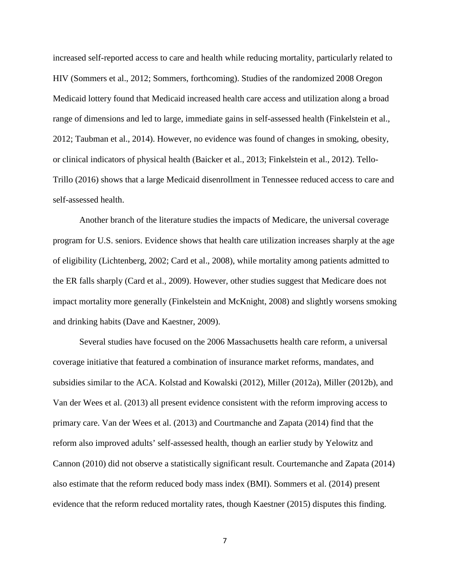increased self-reported access to care and health while reducing mortality, particularly related to HIV (Sommers et al., 2012; Sommers, forthcoming). Studies of the randomized 2008 Oregon Medicaid lottery found that Medicaid increased health care access and utilization along a broad range of dimensions and led to large, immediate gains in self-assessed health (Finkelstein et al., 2012; Taubman et al., 2014). However, no evidence was found of changes in smoking, obesity, or clinical indicators of physical health (Baicker et al., 2013; Finkelstein et al., 2012). Tello-Trillo (2016) shows that a large Medicaid disenrollment in Tennessee reduced access to care and self-assessed health.

Another branch of the literature studies the impacts of Medicare, the universal coverage program for U.S. seniors. Evidence shows that health care utilization increases sharply at the age of eligibility (Lichtenberg, 2002; Card et al., 2008), while mortality among patients admitted to the ER falls sharply (Card et al., 2009). However, other studies suggest that Medicare does not impact mortality more generally (Finkelstein and McKnight, 2008) and slightly worsens smoking and drinking habits (Dave and Kaestner, 2009).

Several studies have focused on the 2006 Massachusetts health care reform, a universal coverage initiative that featured a combination of insurance market reforms, mandates, and subsidies similar to the ACA. Kolstad and Kowalski (2012), Miller (2012a), Miller (2012b), and Van der Wees et al. (2013) all present evidence consistent with the reform improving access to primary care. Van der Wees et al. (2013) and Courtmanche and Zapata (2014) find that the reform also improved adults' self-assessed health, though an earlier study by Yelowitz and Cannon (2010) did not observe a statistically significant result. Courtemanche and Zapata (2014) also estimate that the reform reduced body mass index (BMI). Sommers et al. (2014) present evidence that the reform reduced mortality rates, though Kaestner (2015) disputes this finding.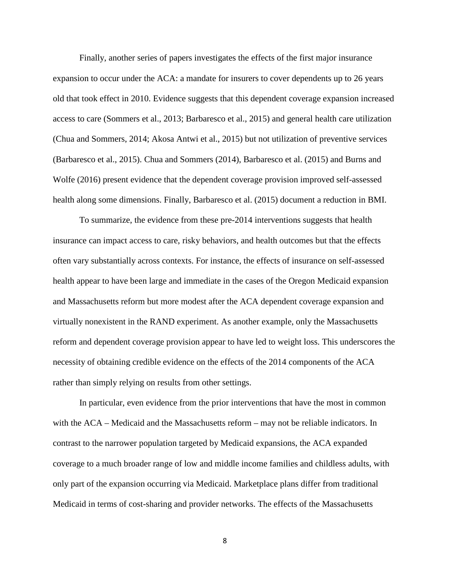Finally, another series of papers investigates the effects of the first major insurance expansion to occur under the ACA: a mandate for insurers to cover dependents up to 26 years old that took effect in 2010. Evidence suggests that this dependent coverage expansion increased access to care (Sommers et al., 2013; Barbaresco et al., 2015) and general health care utilization (Chua and Sommers, 2014; Akosa Antwi et al., 2015) but not utilization of preventive services (Barbaresco et al., 2015). Chua and Sommers (2014), Barbaresco et al. (2015) and Burns and Wolfe (2016) present evidence that the dependent coverage provision improved self-assessed health along some dimensions. Finally, Barbaresco et al. (2015) document a reduction in BMI.

To summarize, the evidence from these pre-2014 interventions suggests that health insurance can impact access to care, risky behaviors, and health outcomes but that the effects often vary substantially across contexts. For instance, the effects of insurance on self-assessed health appear to have been large and immediate in the cases of the Oregon Medicaid expansion and Massachusetts reform but more modest after the ACA dependent coverage expansion and virtually nonexistent in the RAND experiment. As another example, only the Massachusetts reform and dependent coverage provision appear to have led to weight loss. This underscores the necessity of obtaining credible evidence on the effects of the 2014 components of the ACA rather than simply relying on results from other settings.

In particular, even evidence from the prior interventions that have the most in common with the ACA – Medicaid and the Massachusetts reform – may not be reliable indicators. In contrast to the narrower population targeted by Medicaid expansions, the ACA expanded coverage to a much broader range of low and middle income families and childless adults, with only part of the expansion occurring via Medicaid. Marketplace plans differ from traditional Medicaid in terms of cost-sharing and provider networks. The effects of the Massachusetts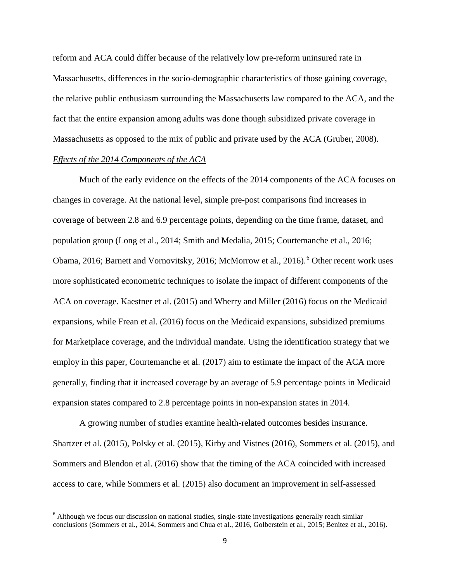reform and ACA could differ because of the relatively low pre-reform uninsured rate in Massachusetts, differences in the socio-demographic characteristics of those gaining coverage, the relative public enthusiasm surrounding the Massachusetts law compared to the ACA, and the fact that the entire expansion among adults was done though subsidized private coverage in Massachusetts as opposed to the mix of public and private used by the ACA (Gruber, 2008). *Effects of the 2014 Components of the ACA*

Much of the early evidence on the effects of the 2014 components of the ACA focuses on changes in coverage. At the national level, simple pre-post comparisons find increases in coverage of between 2.8 and 6.9 percentage points, depending on the time frame, dataset, and population group (Long et al., 2014; Smith and Medalia, 2015; Courtemanche et al., 2016; Obama, 201[6](#page-11-0); Barnett and Vornovitsky, 2016; McMorrow et al., 2016).<sup>6</sup> Other recent work uses more sophisticated econometric techniques to isolate the impact of different components of the ACA on coverage. Kaestner et al. (2015) and Wherry and Miller (2016) focus on the Medicaid expansions, while Frean et al. (2016) focus on the Medicaid expansions, subsidized premiums for Marketplace coverage, and the individual mandate. Using the identification strategy that we employ in this paper, Courtemanche et al. (2017) aim to estimate the impact of the ACA more generally, finding that it increased coverage by an average of 5.9 percentage points in Medicaid expansion states compared to 2.8 percentage points in non-expansion states in 2014.

A growing number of studies examine health-related outcomes besides insurance. Shartzer et al. (2015), Polsky et al. (2015), Kirby and Vistnes (2016), Sommers et al. (2015), and Sommers and Blendon et al. (2016) show that the timing of the ACA coincided with increased access to care, while Sommers et al. (2015) also document an improvement in self-assessed

<span id="page-11-0"></span> $6$  Although we focus our discussion on national studies, single-state investigations generally reach similar conclusions (Sommers et al., 2014, Sommers and Chua et al., 2016, Golberstein et al., 2015; Benitez et al., 2016).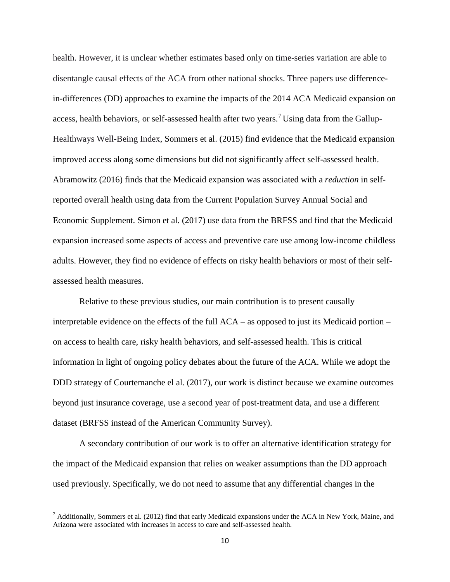health. However, it is unclear whether estimates based only on time-series variation are able to disentangle causal effects of the ACA from other national shocks. Three papers use differencein-differences (DD) approaches to examine the impacts of the 2014 ACA Medicaid expansion on access, health behaviors, or self-assessed health after two years.<sup>[7](#page-12-0)</sup> Using data from the Gallup-Healthways Well-Being Index, Sommers et al. (2015) find evidence that the Medicaid expansion improved access along some dimensions but did not significantly affect self-assessed health. Abramowitz (2016) finds that the Medicaid expansion was associated with a *reduction* in selfreported overall health using data from the Current Population Survey Annual Social and Economic Supplement. Simon et al. (2017) use data from the BRFSS and find that the Medicaid expansion increased some aspects of access and preventive care use among low-income childless adults. However, they find no evidence of effects on risky health behaviors or most of their selfassessed health measures.

Relative to these previous studies, our main contribution is to present causally interpretable evidence on the effects of the full ACA – as opposed to just its Medicaid portion – on access to health care, risky health behaviors, and self-assessed health. This is critical information in light of ongoing policy debates about the future of the ACA. While we adopt the DDD strategy of Courtemanche el al. (2017), our work is distinct because we examine outcomes beyond just insurance coverage, use a second year of post-treatment data, and use a different dataset (BRFSS instead of the American Community Survey).

A secondary contribution of our work is to offer an alternative identification strategy for the impact of the Medicaid expansion that relies on weaker assumptions than the DD approach used previously. Specifically, we do not need to assume that any differential changes in the

<span id="page-12-0"></span><sup>7</sup> Additionally, Sommers et al. (2012) find that early Medicaid expansions under the ACA in New York, Maine, and Arizona were associated with increases in access to care and self-assessed health.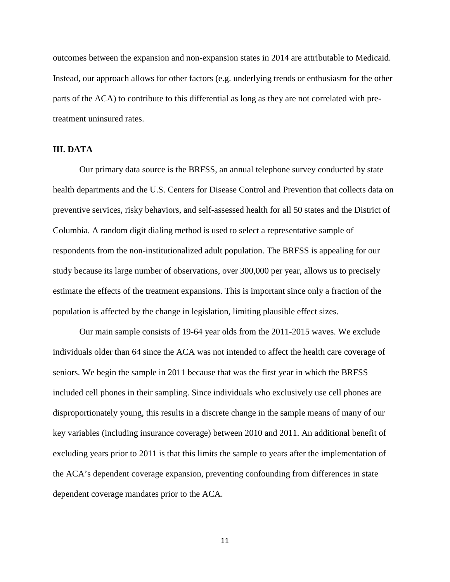outcomes between the expansion and non-expansion states in 2014 are attributable to Medicaid. Instead, our approach allows for other factors (e.g. underlying trends or enthusiasm for the other parts of the ACA) to contribute to this differential as long as they are not correlated with pretreatment uninsured rates.

## **III. DATA**

Our primary data source is the BRFSS, an annual telephone survey conducted by state health departments and the U.S. Centers for Disease Control and Prevention that collects data on preventive services, risky behaviors, and self-assessed health for all 50 states and the District of Columbia. A random digit dialing method is used to select a representative sample of respondents from the non-institutionalized adult population. The BRFSS is appealing for our study because its large number of observations, over 300,000 per year, allows us to precisely estimate the effects of the treatment expansions. This is important since only a fraction of the population is affected by the change in legislation, limiting plausible effect sizes.

Our main sample consists of 19-64 year olds from the 2011-2015 waves. We exclude individuals older than 64 since the ACA was not intended to affect the health care coverage of seniors. We begin the sample in 2011 because that was the first year in which the BRFSS included cell phones in their sampling. Since individuals who exclusively use cell phones are disproportionately young, this results in a discrete change in the sample means of many of our key variables (including insurance coverage) between 2010 and 2011. An additional benefit of excluding years prior to 2011 is that this limits the sample to years after the implementation of the ACA's dependent coverage expansion, preventing confounding from differences in state dependent coverage mandates prior to the ACA.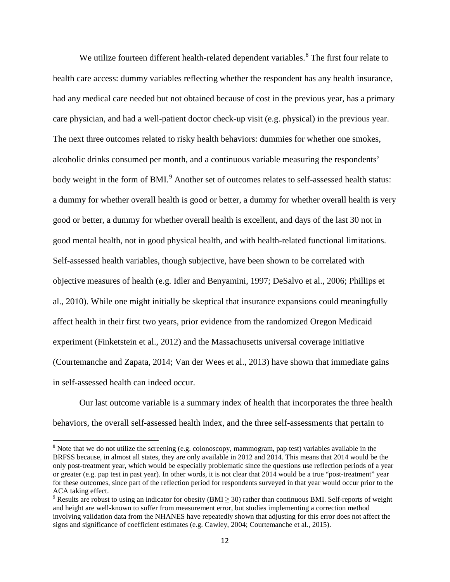We utilize fourteen different health-related dependent variables.<sup>[8](#page-14-0)</sup> The first four relate to health care access: dummy variables reflecting whether the respondent has any health insurance, had any medical care needed but not obtained because of cost in the previous year, has a primary care physician, and had a well-patient doctor check-up visit (e.g. physical) in the previous year. The next three outcomes related to risky health behaviors: dummies for whether one smokes, alcoholic drinks consumed per month, and a continuous variable measuring the respondents' body weight in the form of BMI.<sup>[9](#page-14-1)</sup> Another set of outcomes relates to self-assessed health status: a dummy for whether overall health is good or better, a dummy for whether overall health is very good or better, a dummy for whether overall health is excellent, and days of the last 30 not in good mental health, not in good physical health, and with health-related functional limitations. Self-assessed health variables, though subjective, have been shown to be correlated with objective measures of health (e.g. Idler and Benyamini, 1997; DeSalvo et al., 2006; Phillips et al., 2010). While one might initially be skeptical that insurance expansions could meaningfully affect health in their first two years, prior evidence from the randomized Oregon Medicaid experiment (Finketstein et al., 2012) and the Massachusetts universal coverage initiative (Courtemanche and Zapata, 2014; Van der Wees et al., 2013) have shown that immediate gains in self-assessed health can indeed occur.

Our last outcome variable is a summary index of health that incorporates the three health behaviors, the overall self-assessed health index, and the three self-assessments that pertain to

<span id="page-14-0"></span><sup>&</sup>lt;sup>8</sup> Note that we do not utilize the screening (e.g. colonoscopy, mammogram, pap test) variables available in the BRFSS because, in almost all states, they are only available in 2012 and 2014. This means that 2014 would be the only post-treatment year, which would be especially problematic since the questions use reflection periods of a year or greater (e.g. pap test in past year). In other words, it is not clear that 2014 would be a true "post-treatment" year for these outcomes, since part of the reflection period for respondents surveyed in that year would occur prior to the ACA taking effect.

<span id="page-14-1"></span> $9$  Results are robust to using an indicator for obesity (BMI  $\geq$  30) rather than continuous BMI. Self-reports of weight and height are well-known to suffer from measurement error, but studies implementing a correction method involving validation data from the NHANES have repeatedly shown that adjusting for this error does not affect the signs and significance of coefficient estimates (e.g. Cawley, 2004; Courtemanche et al., 2015).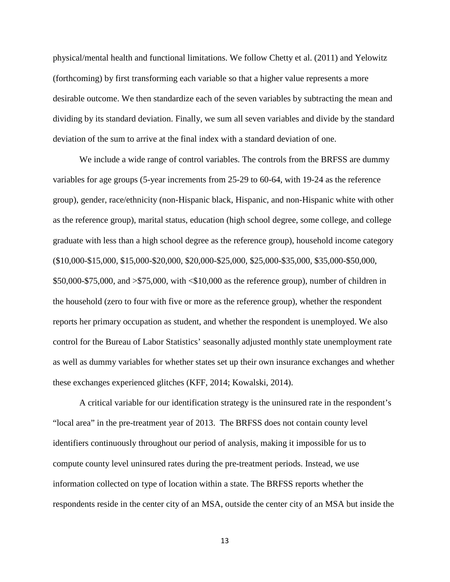physical/mental health and functional limitations. We follow Chetty et al. (2011) and Yelowitz (forthcoming) by first transforming each variable so that a higher value represents a more desirable outcome. We then standardize each of the seven variables by subtracting the mean and dividing by its standard deviation. Finally, we sum all seven variables and divide by the standard deviation of the sum to arrive at the final index with a standard deviation of one.

We include a wide range of control variables. The controls from the BRFSS are dummy variables for age groups (5-year increments from 25-29 to 60-64, with 19-24 as the reference group), gender, race/ethnicity (non-Hispanic black, Hispanic, and non-Hispanic white with other as the reference group), marital status, education (high school degree, some college, and college graduate with less than a high school degree as the reference group), household income category (\$10,000-\$15,000, \$15,000-\$20,000, \$20,000-\$25,000, \$25,000-\$35,000, \$35,000-\$50,000, \$50,000-\$75,000, and >\$75,000, with <\$10,000 as the reference group), number of children in the household (zero to four with five or more as the reference group), whether the respondent reports her primary occupation as student, and whether the respondent is unemployed. We also control for the Bureau of Labor Statistics' seasonally adjusted monthly state unemployment rate as well as dummy variables for whether states set up their own insurance exchanges and whether these exchanges experienced glitches (KFF, 2014; Kowalski, 2014).

A critical variable for our identification strategy is the uninsured rate in the respondent's "local area" in the pre-treatment year of 2013. The BRFSS does not contain county level identifiers continuously throughout our period of analysis, making it impossible for us to compute county level uninsured rates during the pre-treatment periods. Instead, we use information collected on type of location within a state. The BRFSS reports whether the respondents reside in the center city of an MSA, outside the center city of an MSA but inside the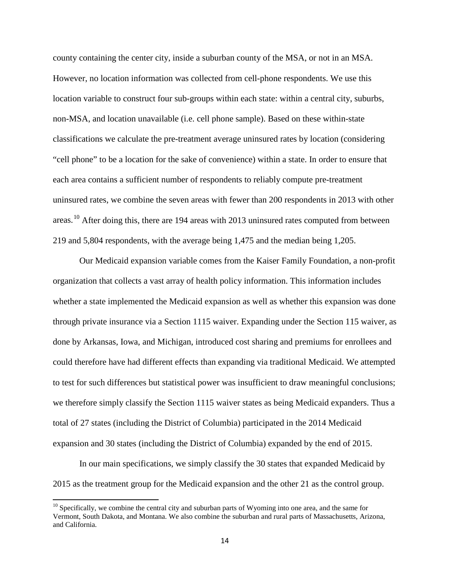county containing the center city, inside a suburban county of the MSA, or not in an MSA. However, no location information was collected from cell-phone respondents. We use this location variable to construct four sub-groups within each state: within a central city, suburbs, non-MSA, and location unavailable (i.e. cell phone sample). Based on these within-state classifications we calculate the pre-treatment average uninsured rates by location (considering "cell phone" to be a location for the sake of convenience) within a state. In order to ensure that each area contains a sufficient number of respondents to reliably compute pre-treatment uninsured rates, we combine the seven areas with fewer than 200 respondents in 2013 with other areas.<sup>[10](#page-16-0)</sup> After doing this, there are 194 areas with 2013 uninsured rates computed from between 219 and 5,804 respondents, with the average being 1,475 and the median being 1,205.

Our Medicaid expansion variable comes from the Kaiser Family Foundation, a non-profit organization that collects a vast array of health policy information. This information includes whether a state implemented the Medicaid expansion as well as whether this expansion was done through private insurance via a Section 1115 waiver. Expanding under the Section 115 waiver, as done by Arkansas, Iowa, and Michigan, introduced cost sharing and premiums for enrollees and could therefore have had different effects than expanding via traditional Medicaid. We attempted to test for such differences but statistical power was insufficient to draw meaningful conclusions; we therefore simply classify the Section 1115 waiver states as being Medicaid expanders. Thus a total of 27 states (including the District of Columbia) participated in the 2014 Medicaid expansion and 30 states (including the District of Columbia) expanded by the end of 2015.

In our main specifications, we simply classify the 30 states that expanded Medicaid by 2015 as the treatment group for the Medicaid expansion and the other 21 as the control group.

<span id="page-16-0"></span> $10$  Specifically, we combine the central city and suburban parts of Wyoming into one area, and the same for Vermont, South Dakota, and Montana. We also combine the suburban and rural parts of Massachusetts, Arizona, and California.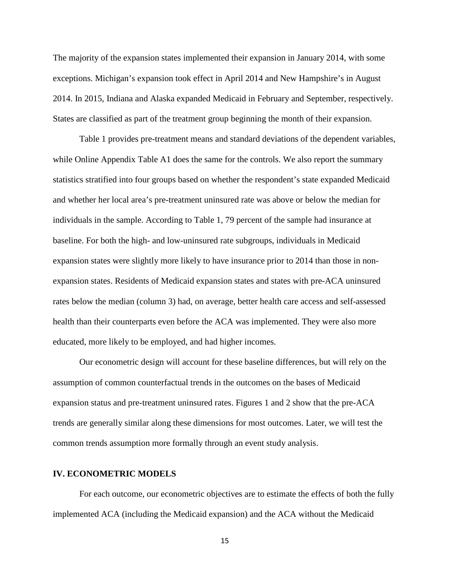The majority of the expansion states implemented their expansion in January 2014, with some exceptions. Michigan's expansion took effect in April 2014 and New Hampshire's in August 2014. In 2015, Indiana and Alaska expanded Medicaid in February and September, respectively. States are classified as part of the treatment group beginning the month of their expansion.

Table 1 provides pre-treatment means and standard deviations of the dependent variables, while Online Appendix Table A1 does the same for the controls. We also report the summary statistics stratified into four groups based on whether the respondent's state expanded Medicaid and whether her local area's pre-treatment uninsured rate was above or below the median for individuals in the sample. According to Table 1, 79 percent of the sample had insurance at baseline. For both the high- and low-uninsured rate subgroups, individuals in Medicaid expansion states were slightly more likely to have insurance prior to 2014 than those in nonexpansion states. Residents of Medicaid expansion states and states with pre-ACA uninsured rates below the median (column 3) had, on average, better health care access and self-assessed health than their counterparts even before the ACA was implemented. They were also more educated, more likely to be employed, and had higher incomes.

Our econometric design will account for these baseline differences, but will rely on the assumption of common counterfactual trends in the outcomes on the bases of Medicaid expansion status and pre-treatment uninsured rates. Figures 1 and 2 show that the pre-ACA trends are generally similar along these dimensions for most outcomes. Later, we will test the common trends assumption more formally through an event study analysis.

#### **IV. ECONOMETRIC MODELS**

For each outcome, our econometric objectives are to estimate the effects of both the fully implemented ACA (including the Medicaid expansion) and the ACA without the Medicaid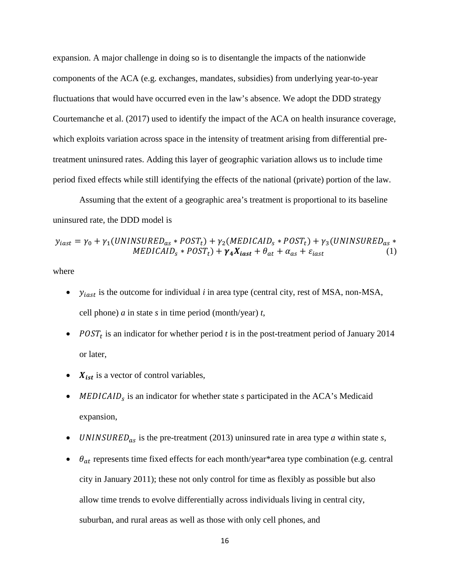expansion. A major challenge in doing so is to disentangle the impacts of the nationwide components of the ACA (e.g. exchanges, mandates, subsidies) from underlying year-to-year fluctuations that would have occurred even in the law's absence. We adopt the DDD strategy Courtemanche et al. (2017) used to identify the impact of the ACA on health insurance coverage, which exploits variation across space in the intensity of treatment arising from differential pretreatment uninsured rates. Adding this layer of geographic variation allows us to include time period fixed effects while still identifying the effects of the national (private) portion of the law.

Assuming that the extent of a geographic area's treatment is proportional to its baseline uninsured rate, the DDD model is

$$
y_{iast} = \gamma_0 + \gamma_1(UNINSURED_{as} * POST_t) + \gamma_2(MEDICAID_s * POST_t) + \gamma_3(UNINSURED_{as} * MEDICAID_s * POST_t) + \gamma_4 X_{iast} + \theta_{at} + \alpha_{as} + \varepsilon_{iast}
$$
\n(1)

where

- $\bullet$   $y_{iast}$  is the outcome for individual *i* in area type (central city, rest of MSA, non-MSA, cell phone) *a* in state *s* in time period (month/year) *t*,
- **POST<sub>t</sub>** is an indicator for whether period  $t$  is in the post-treatment period of January 2014 or later,
- $X_{ist}$  is a vector of control variables,
- MEDICAID<sub>s</sub> is an indicator for whether state *s* participated in the ACA's Medicaid expansion,
- UNINSURED<sub>as</sub> is the pre-treatment (2013) uninsured rate in area type  $a$  within state  $s$ ,
- $\theta_{at}$  represents time fixed effects for each month/year\*area type combination (e.g. central city in January 2011); these not only control for time as flexibly as possible but also allow time trends to evolve differentially across individuals living in central city, suburban, and rural areas as well as those with only cell phones, and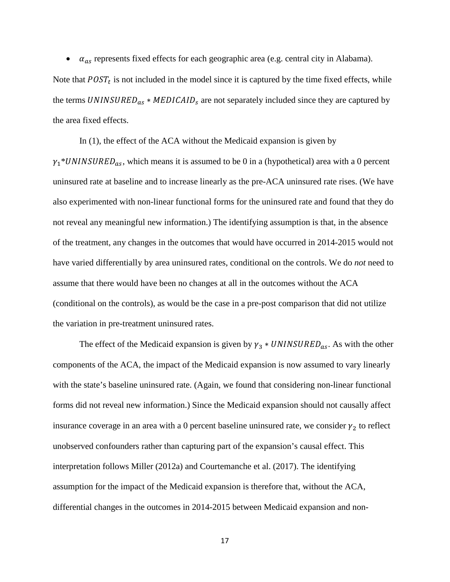•  $\alpha_{as}$  represents fixed effects for each geographic area (e.g. central city in Alabama). Note that  $POST_t$  is not included in the model since it is captured by the time fixed effects, while the terms *UNINSURED*<sub>as</sub> \* *MEDICAID*<sub>s</sub> are not separately included since they are captured by the area fixed effects.

In (1), the effect of the ACA without the Medicaid expansion is given by

 $\gamma_1$ \*UNINSURED<sub>as</sub>, which means it is assumed to be 0 in a (hypothetical) area with a 0 percent uninsured rate at baseline and to increase linearly as the pre-ACA uninsured rate rises. (We have also experimented with non-linear functional forms for the uninsured rate and found that they do not reveal any meaningful new information.) The identifying assumption is that, in the absence of the treatment, any changes in the outcomes that would have occurred in 2014-2015 would not have varied differentially by area uninsured rates, conditional on the controls. We do *not* need to assume that there would have been no changes at all in the outcomes without the ACA (conditional on the controls), as would be the case in a pre-post comparison that did not utilize the variation in pre-treatment uninsured rates.

The effect of the Medicaid expansion is given by  $\gamma_3 * UNINSURED_{as}$ . As with the other components of the ACA, the impact of the Medicaid expansion is now assumed to vary linearly with the state's baseline uninsured rate. (Again, we found that considering non-linear functional forms did not reveal new information.) Since the Medicaid expansion should not causally affect insurance coverage in an area with a 0 percent baseline uninsured rate, we consider  $\gamma_2$  to reflect unobserved confounders rather than capturing part of the expansion's causal effect. This interpretation follows Miller (2012a) and Courtemanche et al. (2017). The identifying assumption for the impact of the Medicaid expansion is therefore that, without the ACA, differential changes in the outcomes in 2014-2015 between Medicaid expansion and non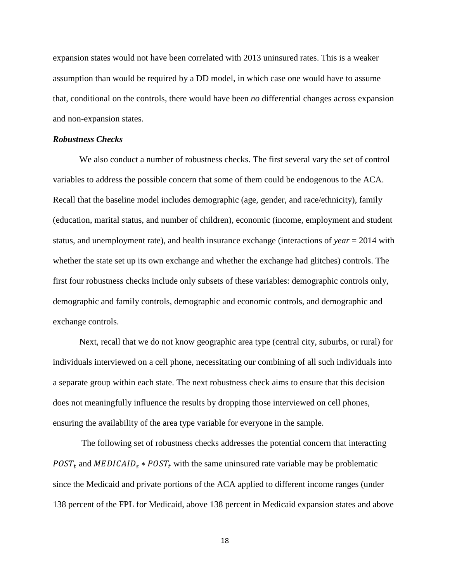expansion states would not have been correlated with 2013 uninsured rates. This is a weaker assumption than would be required by a DD model, in which case one would have to assume that, conditional on the controls, there would have been *no* differential changes across expansion and non-expansion states.

#### *Robustness Checks*

We also conduct a number of robustness checks. The first several vary the set of control variables to address the possible concern that some of them could be endogenous to the ACA. Recall that the baseline model includes demographic (age, gender, and race/ethnicity), family (education, marital status, and number of children), economic (income, employment and student status, and unemployment rate), and health insurance exchange (interactions of *year* = 2014 with whether the state set up its own exchange and whether the exchange had glitches) controls. The first four robustness checks include only subsets of these variables: demographic controls only, demographic and family controls, demographic and economic controls, and demographic and exchange controls.

Next, recall that we do not know geographic area type (central city, suburbs, or rural) for individuals interviewed on a cell phone, necessitating our combining of all such individuals into a separate group within each state. The next robustness check aims to ensure that this decision does not meaningfully influence the results by dropping those interviewed on cell phones, ensuring the availability of the area type variable for everyone in the sample.

The following set of robustness checks addresses the potential concern that interacting  $POST_t$  and  $MEDICAID_s * POST_t$  with the same uninsured rate variable may be problematic since the Medicaid and private portions of the ACA applied to different income ranges (under 138 percent of the FPL for Medicaid, above 138 percent in Medicaid expansion states and above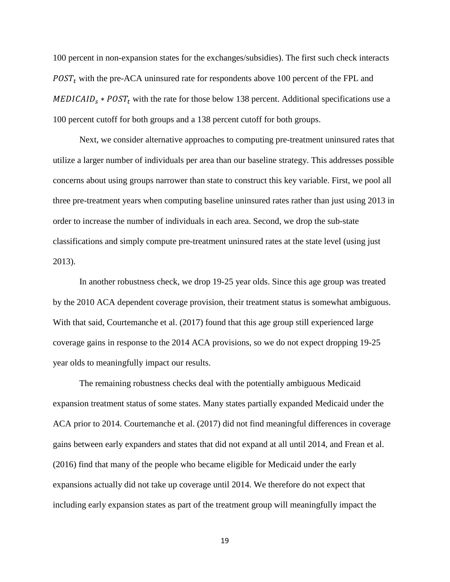100 percent in non-expansion states for the exchanges/subsidies). The first such check interacts  $POST<sub>t</sub>$  with the pre-ACA uninsured rate for respondents above 100 percent of the FPL and  $MEDICAID<sub>s</sub> * POST<sub>t</sub>$  with the rate for those below 138 percent. Additional specifications use a 100 percent cutoff for both groups and a 138 percent cutoff for both groups.

Next, we consider alternative approaches to computing pre-treatment uninsured rates that utilize a larger number of individuals per area than our baseline strategy. This addresses possible concerns about using groups narrower than state to construct this key variable. First, we pool all three pre-treatment years when computing baseline uninsured rates rather than just using 2013 in order to increase the number of individuals in each area. Second, we drop the sub-state classifications and simply compute pre-treatment uninsured rates at the state level (using just 2013).

In another robustness check, we drop 19-25 year olds. Since this age group was treated by the 2010 ACA dependent coverage provision, their treatment status is somewhat ambiguous. With that said, Courtemanche et al. (2017) found that this age group still experienced large coverage gains in response to the 2014 ACA provisions, so we do not expect dropping 19-25 year olds to meaningfully impact our results.

The remaining robustness checks deal with the potentially ambiguous Medicaid expansion treatment status of some states. Many states partially expanded Medicaid under the ACA prior to 2014. Courtemanche et al. (2017) did not find meaningful differences in coverage gains between early expanders and states that did not expand at all until 2014, and Frean et al. (2016) find that many of the people who became eligible for Medicaid under the early expansions actually did not take up coverage until 2014. We therefore do not expect that including early expansion states as part of the treatment group will meaningfully impact the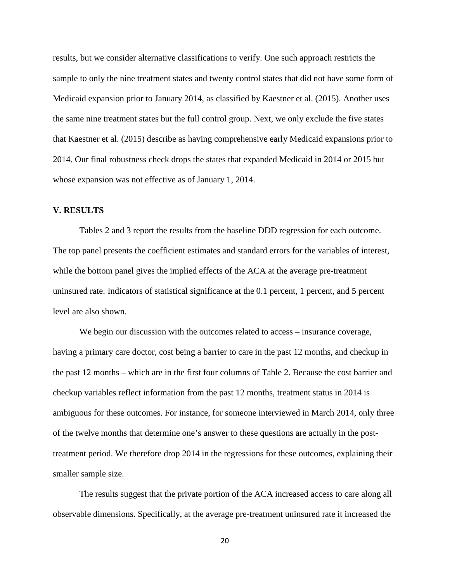results, but we consider alternative classifications to verify. One such approach restricts the sample to only the nine treatment states and twenty control states that did not have some form of Medicaid expansion prior to January 2014, as classified by Kaestner et al. (2015). Another uses the same nine treatment states but the full control group. Next, we only exclude the five states that Kaestner et al. (2015) describe as having comprehensive early Medicaid expansions prior to 2014. Our final robustness check drops the states that expanded Medicaid in 2014 or 2015 but whose expansion was not effective as of January 1, 2014.

### **V. RESULTS**

Tables 2 and 3 report the results from the baseline DDD regression for each outcome. The top panel presents the coefficient estimates and standard errors for the variables of interest, while the bottom panel gives the implied effects of the ACA at the average pre-treatment uninsured rate. Indicators of statistical significance at the 0.1 percent, 1 percent, and 5 percent level are also shown.

We begin our discussion with the outcomes related to access – insurance coverage, having a primary care doctor, cost being a barrier to care in the past 12 months, and checkup in the past 12 months – which are in the first four columns of Table 2. Because the cost barrier and checkup variables reflect information from the past 12 months, treatment status in 2014 is ambiguous for these outcomes. For instance, for someone interviewed in March 2014, only three of the twelve months that determine one's answer to these questions are actually in the posttreatment period. We therefore drop 2014 in the regressions for these outcomes, explaining their smaller sample size.

The results suggest that the private portion of the ACA increased access to care along all observable dimensions. Specifically, at the average pre-treatment uninsured rate it increased the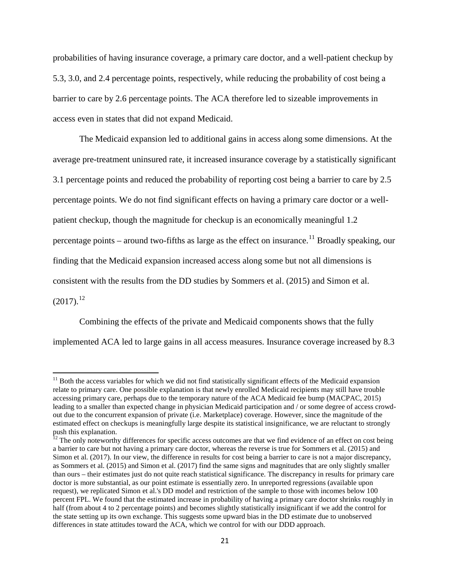probabilities of having insurance coverage, a primary care doctor, and a well-patient checkup by 5.3, 3.0, and 2.4 percentage points, respectively, while reducing the probability of cost being a barrier to care by 2.6 percentage points. The ACA therefore led to sizeable improvements in access even in states that did not expand Medicaid.

The Medicaid expansion led to additional gains in access along some dimensions. At the average pre-treatment uninsured rate, it increased insurance coverage by a statistically significant 3.1 percentage points and reduced the probability of reporting cost being a barrier to care by 2.5 percentage points. We do not find significant effects on having a primary care doctor or a wellpatient checkup, though the magnitude for checkup is an economically meaningful 1.2 percentage points – around two-fifths as large as the effect on insurance.<sup>[11](#page-23-0)</sup> Broadly speaking, our finding that the Medicaid expansion increased access along some but not all dimensions is consistent with the results from the DD studies by Sommers et al. (2015) and Simon et al.  $(2017).^{12}$  $(2017).^{12}$  $(2017).^{12}$ 

Combining the effects of the private and Medicaid components shows that the fully implemented ACA led to large gains in all access measures. Insurance coverage increased by 8.3

<span id="page-23-0"></span><sup>&</sup>lt;sup>11</sup> Both the access variables for which we did not find statistically significant effects of the Medicaid expansion relate to primary care. One possible explanation is that newly enrolled Medicaid recipients may still have trouble accessing primary care, perhaps due to the temporary nature of the ACA Medicaid fee bump (MACPAC, 2015) leading to a smaller than expected change in physician Medicaid participation and / or some degree of access crowdout due to the concurrent expansion of private (i.e. Marketplace) coverage. However, since the magnitude of the estimated effect on checkups is meaningfully large despite its statistical insignificance, we are reluctant to strongly push this explanation.

<span id="page-23-1"></span> $12$  The only noteworthy differences for specific access outcomes are that we find evidence of an effect on cost being a barrier to care but not having a primary care doctor, whereas the reverse is true for Sommers et al. (2015) and Simon et al. (2017). In our view, the difference in results for cost being a barrier to care is not a major discrepancy, as Sommers et al. (2015) and Simon et al. (2017) find the same signs and magnitudes that are only slightly smaller than ours – their estimates just do not quite reach statistical significance. The discrepancy in results for primary care doctor is more substantial, as our point estimate is essentially zero. In unreported regressions (available upon request), we replicated Simon et al.'s DD model and restriction of the sample to those with incomes below 100 percent FPL. We found that the estimated increase in probability of having a primary care doctor shrinks roughly in half (from about 4 to 2 percentage points) and becomes slightly statistically insignificant if we add the control for the state setting up its own exchange. This suggests some upward bias in the DD estimate due to unobserved differences in state attitudes toward the ACA, which we control for with our DDD approach.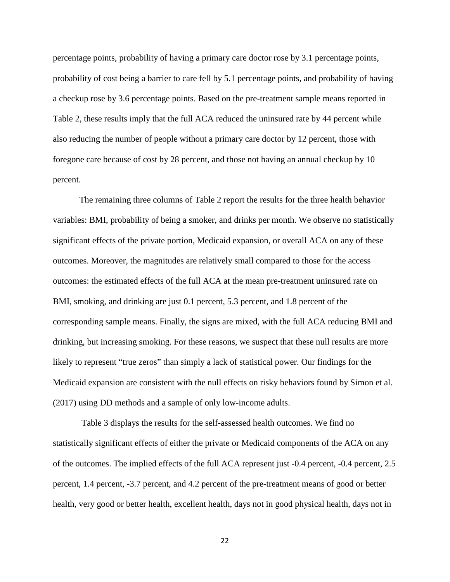percentage points, probability of having a primary care doctor rose by 3.1 percentage points, probability of cost being a barrier to care fell by 5.1 percentage points, and probability of having a checkup rose by 3.6 percentage points. Based on the pre-treatment sample means reported in Table 2, these results imply that the full ACA reduced the uninsured rate by 44 percent while also reducing the number of people without a primary care doctor by 12 percent, those with foregone care because of cost by 28 percent, and those not having an annual checkup by 10 percent.

The remaining three columns of Table 2 report the results for the three health behavior variables: BMI, probability of being a smoker, and drinks per month. We observe no statistically significant effects of the private portion, Medicaid expansion, or overall ACA on any of these outcomes. Moreover, the magnitudes are relatively small compared to those for the access outcomes: the estimated effects of the full ACA at the mean pre-treatment uninsured rate on BMI, smoking, and drinking are just 0.1 percent, 5.3 percent, and 1.8 percent of the corresponding sample means. Finally, the signs are mixed, with the full ACA reducing BMI and drinking, but increasing smoking. For these reasons, we suspect that these null results are more likely to represent "true zeros" than simply a lack of statistical power. Our findings for the Medicaid expansion are consistent with the null effects on risky behaviors found by Simon et al. (2017) using DD methods and a sample of only low-income adults.

Table 3 displays the results for the self-assessed health outcomes. We find no statistically significant effects of either the private or Medicaid components of the ACA on any of the outcomes. The implied effects of the full ACA represent just -0.4 percent, -0.4 percent, 2.5 percent, 1.4 percent, -3.7 percent, and 4.2 percent of the pre-treatment means of good or better health, very good or better health, excellent health, days not in good physical health, days not in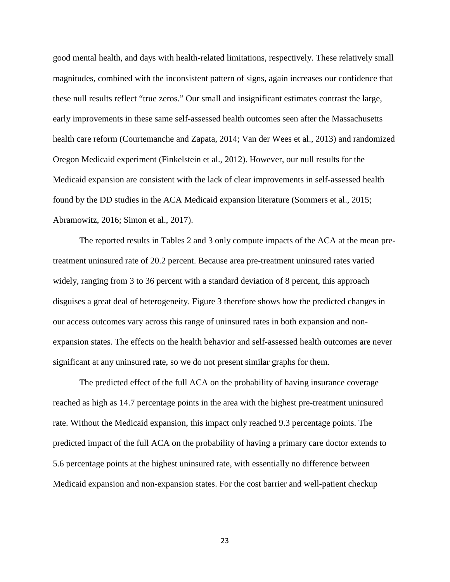good mental health, and days with health-related limitations, respectively. These relatively small magnitudes, combined with the inconsistent pattern of signs, again increases our confidence that these null results reflect "true zeros." Our small and insignificant estimates contrast the large, early improvements in these same self-assessed health outcomes seen after the Massachusetts health care reform (Courtemanche and Zapata, 2014; Van der Wees et al., 2013) and randomized Oregon Medicaid experiment (Finkelstein et al., 2012). However, our null results for the Medicaid expansion are consistent with the lack of clear improvements in self-assessed health found by the DD studies in the ACA Medicaid expansion literature (Sommers et al., 2015; Abramowitz, 2016; Simon et al., 2017).

The reported results in Tables 2 and 3 only compute impacts of the ACA at the mean pretreatment uninsured rate of 20.2 percent. Because area pre-treatment uninsured rates varied widely, ranging from 3 to 36 percent with a standard deviation of 8 percent, this approach disguises a great deal of heterogeneity. Figure 3 therefore shows how the predicted changes in our access outcomes vary across this range of uninsured rates in both expansion and nonexpansion states. The effects on the health behavior and self-assessed health outcomes are never significant at any uninsured rate, so we do not present similar graphs for them.

The predicted effect of the full ACA on the probability of having insurance coverage reached as high as 14.7 percentage points in the area with the highest pre-treatment uninsured rate. Without the Medicaid expansion, this impact only reached 9.3 percentage points. The predicted impact of the full ACA on the probability of having a primary care doctor extends to 5.6 percentage points at the highest uninsured rate, with essentially no difference between Medicaid expansion and non-expansion states. For the cost barrier and well-patient checkup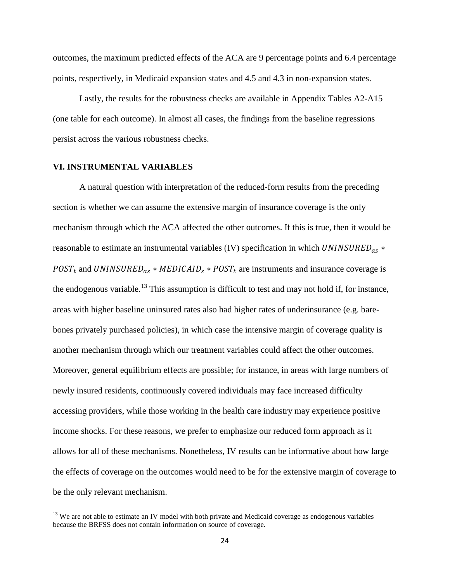outcomes, the maximum predicted effects of the ACA are 9 percentage points and 6.4 percentage points, respectively, in Medicaid expansion states and 4.5 and 4.3 in non-expansion states.

Lastly, the results for the robustness checks are available in Appendix Tables A2-A15 (one table for each outcome). In almost all cases, the findings from the baseline regressions persist across the various robustness checks.

# **VI. INSTRUMENTAL VARIABLES**

A natural question with interpretation of the reduced-form results from the preceding section is whether we can assume the extensive margin of insurance coverage is the only mechanism through which the ACA affected the other outcomes. If this is true, then it would be reasonable to estimate an instrumental variables (IV) specification in which  $UNINSURED_{as}$  \*  $POST_t$  and UNINSURED<sub>as</sub> \* MEDICAID<sub>s</sub> \* POST<sub>t</sub> are instruments and insurance coverage is the endogenous variable.<sup>[13](#page-26-0)</sup> This assumption is difficult to test and may not hold if, for instance, areas with higher baseline uninsured rates also had higher rates of underinsurance (e.g. barebones privately purchased policies), in which case the intensive margin of coverage quality is another mechanism through which our treatment variables could affect the other outcomes. Moreover, general equilibrium effects are possible; for instance, in areas with large numbers of newly insured residents, continuously covered individuals may face increased difficulty accessing providers, while those working in the health care industry may experience positive income shocks. For these reasons, we prefer to emphasize our reduced form approach as it allows for all of these mechanisms. Nonetheless, IV results can be informative about how large the effects of coverage on the outcomes would need to be for the extensive margin of coverage to be the only relevant mechanism.

<span id="page-26-0"></span> $13$  We are not able to estimate an IV model with both private and Medicaid coverage as endogenous variables because the BRFSS does not contain information on source of coverage.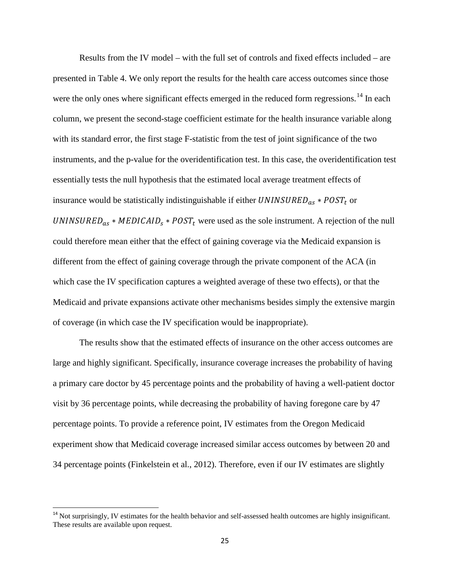Results from the IV model – with the full set of controls and fixed effects included – are presented in Table 4. We only report the results for the health care access outcomes since those were the only ones where significant effects emerged in the reduced form regressions.<sup>[14](#page-27-0)</sup> In each column, we present the second-stage coefficient estimate for the health insurance variable along with its standard error, the first stage F-statistic from the test of joint significance of the two instruments, and the p-value for the overidentification test. In this case, the overidentification test essentially tests the null hypothesis that the estimated local average treatment effects of insurance would be statistically indistinguishable if either  $UNINSURED_{as} * POST_t$  or UNINSURED<sub>as</sub> \* MEDICAID<sub>s</sub> \* POST<sub>t</sub> were used as the sole instrument. A rejection of the null could therefore mean either that the effect of gaining coverage via the Medicaid expansion is different from the effect of gaining coverage through the private component of the ACA (in which case the IV specification captures a weighted average of these two effects), or that the Medicaid and private expansions activate other mechanisms besides simply the extensive margin of coverage (in which case the IV specification would be inappropriate).

The results show that the estimated effects of insurance on the other access outcomes are large and highly significant. Specifically, insurance coverage increases the probability of having a primary care doctor by 45 percentage points and the probability of having a well-patient doctor visit by 36 percentage points, while decreasing the probability of having foregone care by 47 percentage points. To provide a reference point, IV estimates from the Oregon Medicaid experiment show that Medicaid coverage increased similar access outcomes by between 20 and 34 percentage points (Finkelstein et al., 2012). Therefore, even if our IV estimates are slightly

<span id="page-27-0"></span><sup>&</sup>lt;sup>14</sup> Not surprisingly, IV estimates for the health behavior and self-assessed health outcomes are highly insignificant. These results are available upon request.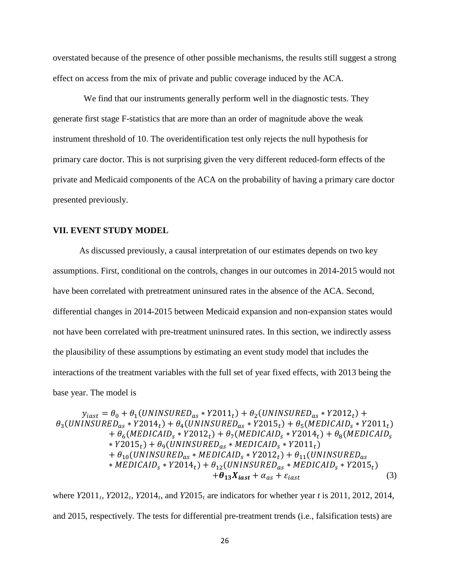overstated because of the presence of other possible mechanisms, the results still suggest a strong effect on access from the mix of private and public coverage induced by the ACA.

We find that our instruments generally perform well in the diagnostic tests. They generate first stage F-statistics that are more than an order of magnitude above the weak instrument threshold of 10. The overidentification test only rejects the null hypothesis for primary care doctor. This is not surprising given the very different reduced-form effects of the private and Medicaid components of the ACA on the probability of having a primary care doctor presented previously.

## **VII. EVENT STUDY MODEL**

As discussed previously, a causal interpretation of our estimates depends on two key assumptions. First, conditional on the controls, changes in our outcomes in 2014-2015 would not have been correlated with pretreatment uninsured rates in the absence of the ACA. Second, differential changes in 2014-2015 between Medicaid expansion and non-expansion states would not have been correlated with pre-treatment uninsured rates. In this section, we indirectly assess the plausibility of these assumptions by estimating an event study model that includes the interactions of the treatment variables with the full set of year fixed effects, with 2013 being the base year. The model is

$$
y_{iast} = \theta_0 + \theta_1(UNINSURED_{as} * Y2011_t) + \theta_2(UNINSURED_{as} * Y2012_t) + \n\theta_3(UNINSURED_{as} * Y2014_t) + \theta_4(UNINSURED_{as} * Y2015_t) + \theta_5(MEDICAID_s * Y2011_t) \n+ \theta_6(MEDICAID_s * Y2012_t) + \theta_7(MEDICAID_s * Y2014_t) + \theta_8(MEDICAID_s \n* Y2015_t) + \theta_9(UNINSURED_{as} * MEDICAID_s * Y2011_t) \n+ \theta_{10}(UNINSURED_{as} * MEDICAID_s * Y2012_t) + \theta_{11}(UNINSURED_{as} \n* MEDICAID_s * Y2014_t) + \theta_{12}(UNINSURED_{as} * MEDICAID_s * Y2015_t) \n+ \theta_{13}X_{iast} + \alpha_{as} + \varepsilon_{iast}
$$
\n(3)

where *Y*2011*t*, *Y*2012*t*, *Y*2014*t*, and *Y*2015*<sup>t</sup>* are indicators for whether year *t* is 2011, 2012, 2014, and 2015, respectively. The tests for differential pre-treatment trends (i.e., falsification tests) are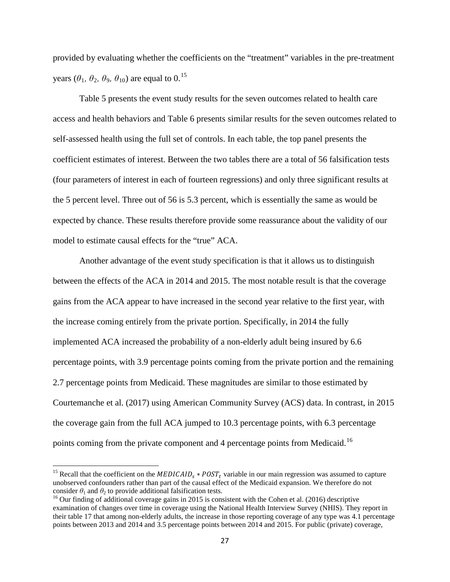provided by evaluating whether the coefficients on the "treatment" variables in the pre-treatment years ( $\theta_1$ ,  $\theta_2$ ,  $\theta_9$ ,  $\theta_{10}$ ) are equal to 0.<sup>[15](#page-29-0)</sup>

Table 5 presents the event study results for the seven outcomes related to health care access and health behaviors and Table 6 presents similar results for the seven outcomes related to self-assessed health using the full set of controls. In each table, the top panel presents the coefficient estimates of interest. Between the two tables there are a total of 56 falsification tests (four parameters of interest in each of fourteen regressions) and only three significant results at the 5 percent level. Three out of 56 is 5.3 percent, which is essentially the same as would be expected by chance. These results therefore provide some reassurance about the validity of our model to estimate causal effects for the "true" ACA.

Another advantage of the event study specification is that it allows us to distinguish between the effects of the ACA in 2014 and 2015. The most notable result is that the coverage gains from the ACA appear to have increased in the second year relative to the first year, with the increase coming entirely from the private portion. Specifically, in 2014 the fully implemented ACA increased the probability of a non-elderly adult being insured by 6.6 percentage points, with 3.9 percentage points coming from the private portion and the remaining 2.7 percentage points from Medicaid. These magnitudes are similar to those estimated by Courtemanche et al. (2017) using American Community Survey (ACS) data. In contrast, in 2015 the coverage gain from the full ACA jumped to 10.3 percentage points, with 6.3 percentage points coming from the private component and 4 percentage points from Medicaid.<sup>[16](#page-29-1)</sup>

l

<span id="page-29-0"></span><sup>&</sup>lt;sup>15</sup> Recall that the coefficient on the MEDICAID<sub>s</sub> \* POST<sub>t</sub> variable in our main regression was assumed to capture unobserved confounders rather than part of the causal effect of the Medicaid expansion. We therefore do not consider  $\theta_1$  and  $\theta_2$  to provide additional falsification tests.

<span id="page-29-1"></span><sup>&</sup>lt;sup>16</sup> Our finding of additional coverage gains in 2015 is consistent with the Cohen et al. (2016) descriptive examination of changes over time in coverage using the National Health Interview Survey (NHIS). They report in their table 17 that among non-elderly adults, the increase in those reporting coverage of any type was 4.1 percentage points between 2013 and 2014 and 3.5 percentage points between 2014 and 2015. For public (private) coverage,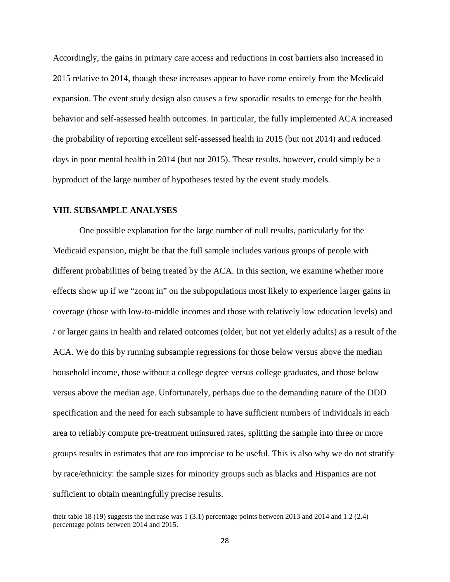Accordingly, the gains in primary care access and reductions in cost barriers also increased in 2015 relative to 2014, though these increases appear to have come entirely from the Medicaid expansion. The event study design also causes a few sporadic results to emerge for the health behavior and self-assessed health outcomes. In particular, the fully implemented ACA increased the probability of reporting excellent self-assessed health in 2015 (but not 2014) and reduced days in poor mental health in 2014 (but not 2015). These results, however, could simply be a byproduct of the large number of hypotheses tested by the event study models.

# **VIII. SUBSAMPLE ANALYSES**

l

One possible explanation for the large number of null results, particularly for the Medicaid expansion, might be that the full sample includes various groups of people with different probabilities of being treated by the ACA. In this section, we examine whether more effects show up if we "zoom in" on the subpopulations most likely to experience larger gains in coverage (those with low-to-middle incomes and those with relatively low education levels) and / or larger gains in health and related outcomes (older, but not yet elderly adults) as a result of the ACA. We do this by running subsample regressions for those below versus above the median household income, those without a college degree versus college graduates, and those below versus above the median age. Unfortunately, perhaps due to the demanding nature of the DDD specification and the need for each subsample to have sufficient numbers of individuals in each area to reliably compute pre-treatment uninsured rates, splitting the sample into three or more groups results in estimates that are too imprecise to be useful. This is also why we do not stratify by race/ethnicity: the sample sizes for minority groups such as blacks and Hispanics are not sufficient to obtain meaningfully precise results.

their table 18 (19) suggests the increase was 1 (3.1) percentage points between 2013 and 2014 and 1.2 (2.4) percentage points between 2014 and 2015.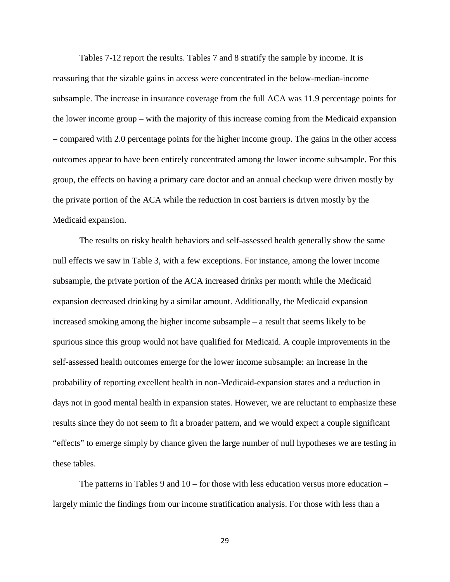Tables 7-12 report the results. Tables 7 and 8 stratify the sample by income. It is reassuring that the sizable gains in access were concentrated in the below-median-income subsample. The increase in insurance coverage from the full ACA was 11.9 percentage points for the lower income group – with the majority of this increase coming from the Medicaid expansion – compared with 2.0 percentage points for the higher income group. The gains in the other access outcomes appear to have been entirely concentrated among the lower income subsample. For this group, the effects on having a primary care doctor and an annual checkup were driven mostly by the private portion of the ACA while the reduction in cost barriers is driven mostly by the Medicaid expansion.

The results on risky health behaviors and self-assessed health generally show the same null effects we saw in Table 3, with a few exceptions. For instance, among the lower income subsample, the private portion of the ACA increased drinks per month while the Medicaid expansion decreased drinking by a similar amount. Additionally, the Medicaid expansion increased smoking among the higher income subsample – a result that seems likely to be spurious since this group would not have qualified for Medicaid. A couple improvements in the self-assessed health outcomes emerge for the lower income subsample: an increase in the probability of reporting excellent health in non-Medicaid-expansion states and a reduction in days not in good mental health in expansion states. However, we are reluctant to emphasize these results since they do not seem to fit a broader pattern, and we would expect a couple significant "effects" to emerge simply by chance given the large number of null hypotheses we are testing in these tables.

The patterns in Tables 9 and  $10 -$  for those with less education versus more education  $$ largely mimic the findings from our income stratification analysis. For those with less than a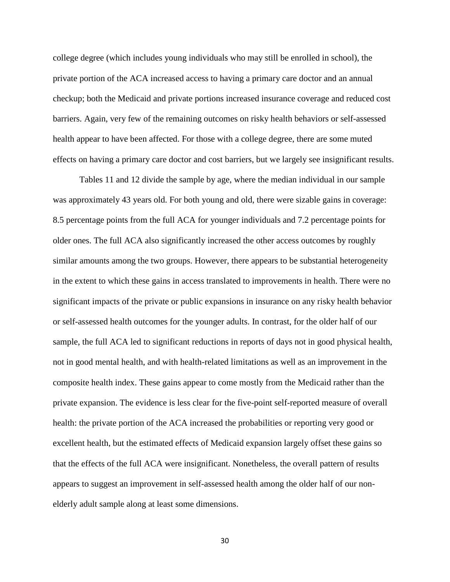college degree (which includes young individuals who may still be enrolled in school), the private portion of the ACA increased access to having a primary care doctor and an annual checkup; both the Medicaid and private portions increased insurance coverage and reduced cost barriers. Again, very few of the remaining outcomes on risky health behaviors or self-assessed health appear to have been affected. For those with a college degree, there are some muted effects on having a primary care doctor and cost barriers, but we largely see insignificant results.

Tables 11 and 12 divide the sample by age, where the median individual in our sample was approximately 43 years old. For both young and old, there were sizable gains in coverage: 8.5 percentage points from the full ACA for younger individuals and 7.2 percentage points for older ones. The full ACA also significantly increased the other access outcomes by roughly similar amounts among the two groups. However, there appears to be substantial heterogeneity in the extent to which these gains in access translated to improvements in health. There were no significant impacts of the private or public expansions in insurance on any risky health behavior or self-assessed health outcomes for the younger adults. In contrast, for the older half of our sample, the full ACA led to significant reductions in reports of days not in good physical health, not in good mental health, and with health-related limitations as well as an improvement in the composite health index. These gains appear to come mostly from the Medicaid rather than the private expansion. The evidence is less clear for the five-point self-reported measure of overall health: the private portion of the ACA increased the probabilities or reporting very good or excellent health, but the estimated effects of Medicaid expansion largely offset these gains so that the effects of the full ACA were insignificant. Nonetheless, the overall pattern of results appears to suggest an improvement in self-assessed health among the older half of our nonelderly adult sample along at least some dimensions.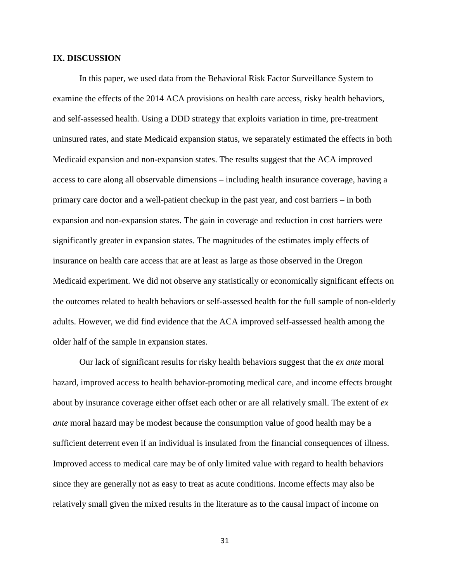### **IX. DISCUSSION**

In this paper, we used data from the Behavioral Risk Factor Surveillance System to examine the effects of the 2014 ACA provisions on health care access, risky health behaviors, and self-assessed health. Using a DDD strategy that exploits variation in time, pre-treatment uninsured rates, and state Medicaid expansion status, we separately estimated the effects in both Medicaid expansion and non-expansion states. The results suggest that the ACA improved access to care along all observable dimensions – including health insurance coverage, having a primary care doctor and a well-patient checkup in the past year, and cost barriers – in both expansion and non-expansion states. The gain in coverage and reduction in cost barriers were significantly greater in expansion states. The magnitudes of the estimates imply effects of insurance on health care access that are at least as large as those observed in the Oregon Medicaid experiment. We did not observe any statistically or economically significant effects on the outcomes related to health behaviors or self-assessed health for the full sample of non-elderly adults. However, we did find evidence that the ACA improved self-assessed health among the older half of the sample in expansion states.

Our lack of significant results for risky health behaviors suggest that the *ex ante* moral hazard, improved access to health behavior-promoting medical care, and income effects brought about by insurance coverage either offset each other or are all relatively small. The extent of *ex ante* moral hazard may be modest because the consumption value of good health may be a sufficient deterrent even if an individual is insulated from the financial consequences of illness. Improved access to medical care may be of only limited value with regard to health behaviors since they are generally not as easy to treat as acute conditions. Income effects may also be relatively small given the mixed results in the literature as to the causal impact of income on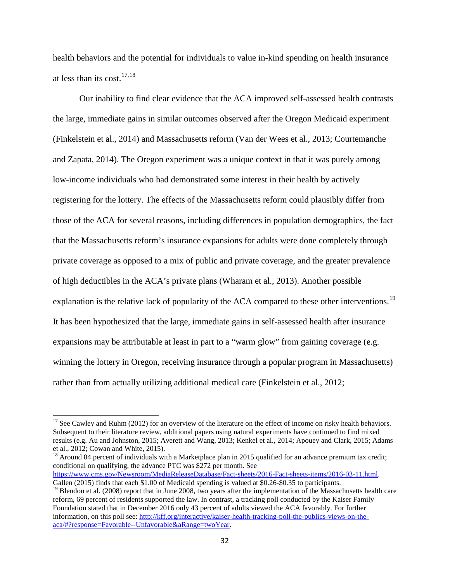health behaviors and the potential for individuals to value in-kind spending on health insurance at less than its cost. [17,](#page-34-0)[18](#page-34-1)

Our inability to find clear evidence that the ACA improved self-assessed health contrasts the large, immediate gains in similar outcomes observed after the Oregon Medicaid experiment (Finkelstein et al., 2014) and Massachusetts reform (Van der Wees et al., 2013; Courtemanche and Zapata, 2014). The Oregon experiment was a unique context in that it was purely among low-income individuals who had demonstrated some interest in their health by actively registering for the lottery. The effects of the Massachusetts reform could plausibly differ from those of the ACA for several reasons, including differences in population demographics, the fact that the Massachusetts reform's insurance expansions for adults were done completely through private coverage as opposed to a mix of public and private coverage, and the greater prevalence of high deductibles in the ACA's private plans (Wharam et al., 2013). Another possible explanation is the relative lack of popularity of the ACA compared to these other interventions.<sup>[19](#page-34-2)</sup> It has been hypothesized that the large, immediate gains in self-assessed health after insurance expansions may be attributable at least in part to a "warm glow" from gaining coverage (e.g. winning the lottery in Oregon, receiving insurance through a popular program in Massachusetts) rather than from actually utilizing additional medical care (Finkelstein et al., 2012;

<span id="page-34-1"></span> $^{18}$  Around 84 percent of individuals with a Marketplace plan in 2015 qualified for an advance premium tax credit; conditional on qualifying, the advance PTC was \$272 per month. See [https://www.cms.gov/Newsroom/MediaReleaseDatabase/Fact-sheets/2016-Fact-sheets-items/2016-03-11.html.](https://www.cms.gov/Newsroom/MediaReleaseDatabase/Fact-sheets/2016-Fact-sheets-items/2016-03-11.html)

<span id="page-34-0"></span> $17$  See Cawley and Ruhm (2012) for an overview of the literature on the effect of income on risky health behaviors. Subsequent to their literature review, additional papers using natural experiments have continued to find mixed results (e.g. Au and Johnston, 2015; Averett and Wang, 2013; Kenkel et al., 2014; Apouey and Clark, 2015; Adams

Gallen (2015) finds that each \$1.00 of Medicaid spending is valued at \$0.26-\$0.35 to participants. <sup>19</sup> Blendon et al. (2008) report that in June 2008, two years after the implementation of the Massachusetts health care

<span id="page-34-2"></span>reform, 69 percent of residents supported the law. In contrast, a tracking poll conducted by the Kaiser Family Foundation stated that in December 2016 only 43 percent of adults viewed the ACA favorably. For further information, on this poll see: [http://kff.org/interactive/kaiser-health-tracking-poll-the-publics-views-on-the](http://kff.org/interactive/kaiser-health-tracking-poll-the-publics-views-on-the-aca/#?response=Favorable--Unfavorable&aRange=twoYear)[aca/#?response=Favorable--Unfavorable&aRange=twoYear.](http://kff.org/interactive/kaiser-health-tracking-poll-the-publics-views-on-the-aca/#?response=Favorable--Unfavorable&aRange=twoYear)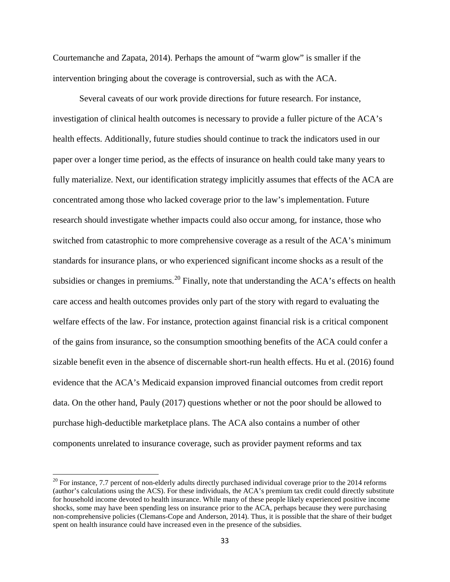Courtemanche and Zapata, 2014). Perhaps the amount of "warm glow" is smaller if the intervention bringing about the coverage is controversial, such as with the ACA.

Several caveats of our work provide directions for future research. For instance, investigation of clinical health outcomes is necessary to provide a fuller picture of the ACA's health effects. Additionally, future studies should continue to track the indicators used in our paper over a longer time period, as the effects of insurance on health could take many years to fully materialize. Next, our identification strategy implicitly assumes that effects of the ACA are concentrated among those who lacked coverage prior to the law's implementation. Future research should investigate whether impacts could also occur among, for instance, those who switched from catastrophic to more comprehensive coverage as a result of the ACA's minimum standards for insurance plans, or who experienced significant income shocks as a result of the subsidies or changes in premiums.<sup>[20](#page-35-0)</sup> Finally, note that understanding the ACA's effects on health care access and health outcomes provides only part of the story with regard to evaluating the welfare effects of the law. For instance, protection against financial risk is a critical component of the gains from insurance, so the consumption smoothing benefits of the ACA could confer a sizable benefit even in the absence of discernable short-run health effects. Hu et al. (2016) found evidence that the ACA's Medicaid expansion improved financial outcomes from credit report data. On the other hand, Pauly (2017) questions whether or not the poor should be allowed to purchase high-deductible marketplace plans. The ACA also contains a number of other components unrelated to insurance coverage, such as provider payment reforms and tax

<span id="page-35-0"></span> $^{20}$  For instance, 7.7 percent of non-elderly adults directly purchased individual coverage prior to the 2014 reforms (author's calculations using the ACS). For these individuals, the ACA's premium tax credit could directly substitute for household income devoted to health insurance. While many of these people likely experienced positive income shocks, some may have been spending less on insurance prior to the ACA, perhaps because they were purchasing non-comprehensive policies (Clemans-Cope and Anderson, 2014). Thus, it is possible that the share of their budget spent on health insurance could have increased even in the presence of the subsidies.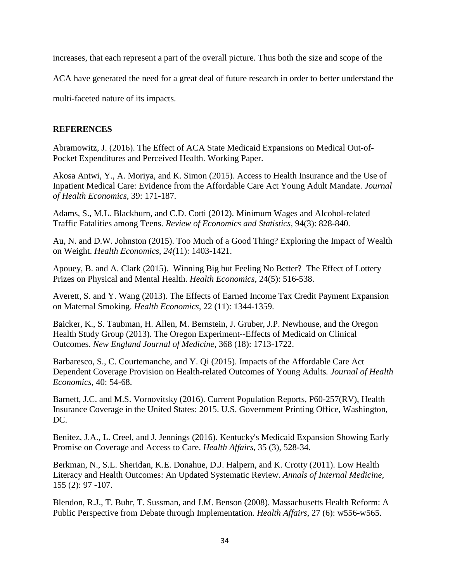increases, that each represent a part of the overall picture. Thus both the size and scope of the

ACA have generated the need for a great deal of future research in order to better understand the

multi-faceted nature of its impacts.

### **REFERENCES**

Abramowitz, J. (2016). The Effect of ACA State Medicaid Expansions on Medical Out-of-Pocket Expenditures and Perceived Health. Working Paper.

Akosa Antwi, Y., A. Moriya, and K. Simon (2015). Access to Health Insurance and the Use of Inpatient Medical Care: Evidence from the Affordable Care Act Young Adult Mandate. *Journal of Health Economics*, 39: 171-187.

Adams, S., M.L. Blackburn, and C.D. Cotti (2012). Minimum Wages and Alcohol-related Traffic Fatalities among Teens. *Review of Economics and Statistics*, 94(3): 828-840.

Au, N. and D.W. Johnston (2015). Too Much of a Good Thing? Exploring the Impact of Wealth on Weight. *Health Economics, 24(*11): 1403-1421.

Apouey, B. and A. Clark (2015). Winning Big but Feeling No Better? The Effect of Lottery Prizes on Physical and Mental Health. *Health Economics*, 24(5): 516-538.

Averett, S. and Y. Wang (2013). The Effects of Earned Income Tax Credit Payment Expansion on Maternal Smoking. *Health Economics,* 22 (11): 1344-1359.

Baicker, K., S. Taubman, H. Allen, M. Bernstein, J. Gruber, J.P. Newhouse, and the Oregon Health Study Group (2013). The Oregon Experiment--Effects of Medicaid on Clinical Outcomes. *New England Journal of Medicine*, 368 (18): 1713-1722.

Barbaresco, S., C. Courtemanche, and Y. Qi (2015). Impacts of the Affordable Care Act Dependent Coverage Provision on Health-related Outcomes of Young Adults*. Journal of Health Economics*, 40: 54-68.

Barnett, J.C. and M.S. Vornovitsky (2016). Current Population Reports, P60-257(RV), Health Insurance Coverage in the United States: 2015. U.S. Government Printing Office, Washington, DC.

Benitez, J.A., L. Creel, and J. Jennings (2016). Kentucky's Medicaid Expansion Showing Early Promise on Coverage and Access to Care. *Health Affairs*, 35 (3), 528-34.

Berkman, N., S.L. Sheridan, K.E. Donahue, D.J. Halpern, and K. Crotty (2011). Low Health Literacy and Health Outcomes: An Updated Systematic Review. *Annals of Internal Medicine,*  155 (2): 97 -107.

Blendon, R.J., T. Buhr, T. Sussman, and J.M. Benson (2008). Massachusetts Health Reform: A Public Perspective from Debate through Implementation. *Health Affairs*, 27 (6): w556-w565.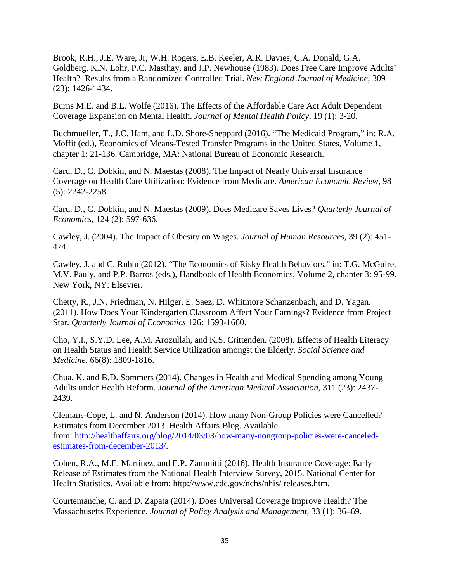Brook, R.H., J.E. Ware, Jr, W.H. Rogers, E.B. Keeler, A.R. Davies, C.A. Donald, G.A. Goldberg, K.N. Lohr, P.C. Masthay, and J.P. Newhouse (1983). Does Free Care Improve Adults' Health? Results from a Randomized Controlled Trial. *New England Journal of Medicine*, 309 (23): 1426-1434.

Burns M.E. and B.L. Wolfe (2016). The Effects of the Affordable Care Act Adult Dependent Coverage Expansion on Mental Health. *Journal of Mental Health Policy*, 19 (1): 3-20.

Buchmueller, T., J.C. Ham, and L.D. Shore-Sheppard (2016). "The Medicaid Program," in: R.A. Moffit (ed.), Economics of Means-Tested Transfer Programs in the United States, Volume 1, chapter 1: 21-136. Cambridge, MA: National Bureau of Economic Research.

Card, D., C. Dobkin, and N. Maestas (2008). The Impact of Nearly Universal Insurance Coverage on Health Care Utilization: Evidence from Medicare. *American Economic Review*, 98 (5): 2242-2258.

Card, D., C. Dobkin, and N. Maestas (2009). Does Medicare Saves Lives? *Quarterly Journal of Economics*, 124 (2): 597-636.

Cawley, J. (2004). The Impact of Obesity on Wages. *Journal of Human Resources*, 39 (2): 451- 474.

Cawley, J. and C. Ruhm (2012). "The Economics of Risky Health Behaviors," in: T.G. McGuire, M.V. Pauly, and P.P. Barros (eds.), Handbook of Health Economics, Volume 2, chapter 3: 95-99. New York, NY: Elsevier.

Chetty, R., J.N. Friedman, N. Hilger, E. Saez, D. Whitmore Schanzenbach, and D. Yagan. (2011). How Does Your Kindergarten Classroom Affect Your Earnings? Evidence from Project Star. *Quarterly Journal of Economics* 126: 1593-1660.

Cho, Y.I., S.Y.D. Lee, A.M. Arozullah, and K.S. Crittenden. (2008). Effects of Health Literacy on Health Status and Health Service Utilization amongst the Elderly. *Social Science and Medicine*, 66(8): 1809-1816.

Chua, K. and B.D. Sommers (2014). Changes in Health and Medical Spending among Young Adults under Health Reform. *Journal of the American Medical Association,* 311 (23): 2437- 2439.

Clemans-Cope, L. and N. Anderson (2014). How many Non-Group Policies were Cancelled? Estimates from December 2013. Health Affairs Blog. Available from: [http://healthaffairs.org/blog/2014/03/03/how-many-nongroup-policies-were-canceled](http://healthaffairs.org/blog/2014/03/03/how-many-nongroup-policies-were-canceled-estimates-from-december-2013/)[estimates-from-december-2013/.](http://healthaffairs.org/blog/2014/03/03/how-many-nongroup-policies-were-canceled-estimates-from-december-2013/)

Cohen, R.A., M.E. Martinez, and E.P. Zammitti (2016). Health Insurance Coverage: Early Release of Estimates from the National Health Interview Survey, 2015. National Center for Health Statistics. Available from: http://www.cdc.gov/nchs/nhis/ releases.htm.

Courtemanche, C. and D. Zapata (2014). Does Universal Coverage Improve Health? The Massachusetts Experience. *Journal of Policy Analysis and Management,* 33 (1): 36–69.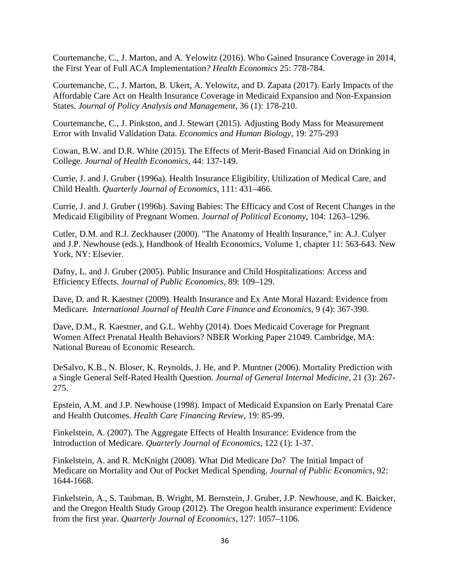Courtemanche, C., J. Marton, and A. Yelowitz (2016). Who Gained Insurance Coverage in 2014, the First Year of Full ACA Implementation*? Health Economics* 25: 778-784.

Courtemanche, C., J. Marton, B. Ukert, A. Yelowitz, and D. Zapata (2017). Early Impacts of the Affordable Care Act on Health Insurance Coverage in Medicaid Expansion and Non-Expansion States. *Journal of Policy Analysis and Management,* 36 (1): 178-210.

Courtemanche, C., J. Pinkston, and J. Stewart (2015). Adjusting Body Mass for Measurement Error with Invalid Validation Data. *Economics and Human Biology,* 19: 275-293

Cowan, B.W. and D.R. White (2015). The Effects of Merit-Based Financial Aid on Drinking in College. *Journal of Health Economics*, 44: 137-149.

Currie, J. and J. Gruber (1996a). Health Insurance Eligibility, Utilization of Medical Care, and Child Health. *Quarterly Journal of Economics*, 111: 431–466.

Currie, J. and J. Gruber (1996b). Saving Babies: The Efficacy and Cost of Recent Changes in the Medicaid Eligibility of Pregnant Women. *Journal of Political Economy*, 104: 1263–1296.

Cutler, D.M. and R.J. Zeckhauser (2000). "The Anatomy of Health Insurance," in: A.J. Culyer and J.P. Newhouse (eds.), Handbook of Health Economics, Volume 1, chapter 11: 563-643. New York, NY: Elsevier.

Dafny, L. and J. Gruber (2005). Public Insurance and Child Hospitalizations: Access and Efficiency Effects. *Journal of Public Economics*, 89: 109–129.

Dave, D. and R. Kaestner (2009). Health Insurance and Ex Ante Moral Hazard: Evidence from Medicare. *International Journal of Health Care Finance and Economics*, 9 (4): 367-390.

Dave, D.M., R. Kaestner, and G.L. Wehby (2014). Does Medicaid Coverage for Pregnant Women Affect Prenatal Health Behaviors? NBER Working Paper 21049. Cambridge, MA: National Bureau of Economic Research.

DeSalvo, K.B., N. Bloser, K. Reynolds, J. He, and P. Muntner (2006). Mortality Prediction with a Single General Self-Rated Health Question. *Journal of General Internal Medicine,* 21 (3): 267- 275.

Epstein, A.M. and J.P. Newhouse (1998). Impact of Medicaid Expansion on Early Prenatal Care and Health Outcomes. *Health Care Financing Review*, 19: 85-99.

Finkelstein, A. (2007). The Aggregate Effects of Health Insurance: Evidence from the Introduction of Medicare. *Quarterly Journal of Economics*, 122 (1): 1-37.

Finkelstein, A. and R. McKnight (2008). What Did Medicare Do? The Initial Impact of Medicare on Mortality and Out of Pocket Medical Spending. *Journal of Public Economics*, 92: 1644-1668.

Finkelstein, A., S. Taubman, B. Wright, M. Bernstein, J. Gruber, J.P. Newhouse, and K. Baicker, and the Oregon Health Study Group (2012). The Oregon health insurance experiment: Evidence from the first year. *Quarterly Journal of Economics*, 127: 1057–1106.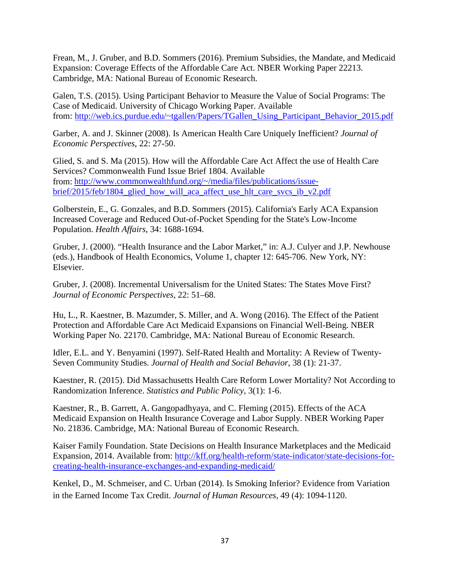Frean, M., J. Gruber, and B.D. Sommers (2016). Premium Subsidies, the Mandate, and Medicaid Expansion: Coverage Effects of the Affordable Care Act. NBER Working Paper 22213. Cambridge, MA: National Bureau of Economic Research.

Galen, T.S. (2015). Using Participant Behavior to Measure the Value of Social Programs: The Case of Medicaid. University of Chicago Working Paper. Available from: [http://web.ics.purdue.edu/~tgallen/Papers/TGallen\\_Using\\_Participant\\_Behavior\\_2015.pdf](http://web.ics.purdue.edu/~tgallen/Papers/TGallen_Using_Participant_Behavior_2015.pdf)

Garber, A. and J. Skinner (2008). Is American Health Care Uniquely Inefficient? *Journal of Economic Perspectives*, 22: 27-50.

Glied, S. and S. Ma (2015). How will the Affordable Care Act Affect the use of Health Care Services? Commonwealth Fund Issue Brief 1804. Available from: [http://www.commonwealthfund.org/~/media/files/publications/issue](http://www.commonwealthfund.org/~/media/files/publications/issue-brief/2015/feb/1804_glied_how_will_aca_affect_use_hlt_care_svcs_ib_v2.pdf)[brief/2015/feb/1804\\_glied\\_how\\_will\\_aca\\_affect\\_use\\_hlt\\_care\\_svcs\\_ib\\_v2.pdf](http://www.commonwealthfund.org/~/media/files/publications/issue-brief/2015/feb/1804_glied_how_will_aca_affect_use_hlt_care_svcs_ib_v2.pdf)

Golberstein, E., G. Gonzales, and B.D. Sommers (2015). California's Early ACA Expansion Increased Coverage and Reduced Out-of-Pocket Spending for the State's Low-Income Population. *Health Affairs*, 34: 1688-1694.

Gruber, J. (2000). "Health Insurance and the Labor Market," in: A.J. Culyer and J.P. Newhouse (eds.), Handbook of Health Economics, Volume 1, chapter 12: 645-706. New York, NY: Elsevier.

Gruber, J. (2008). Incremental Universalism for the United States: The States Move First? *Journal of Economic Perspectives*, 22: 51–68.

Hu, L., R. Kaestner, B. Mazumder, S. Miller, and A. Wong (2016). The Effect of the Patient Protection and Affordable Care Act Medicaid Expansions on Financial Well-Being. NBER Working Paper No. 22170. Cambridge, MA: National Bureau of Economic Research.

Idler, E.L. and Y. Benyamini (1997). Self-Rated Health and Mortality: A Review of Twenty-Seven Community Studies. *Journal of Health and Social Behavior*, 38 (1): 21-37.

Kaestner, R. (2015). Did Massachusetts Health Care Reform Lower Mortality? Not According to Randomization Inference. *Statistics and Public Policy*, 3(1): 1-6.

Kaestner, R., B. Garrett, A. Gangopadhyaya, and C. Fleming (2015). Effects of the ACA Medicaid Expansion on Health Insurance Coverage and Labor Supply. NBER Working Paper No. 21836. Cambridge, MA: National Bureau of Economic Research.

Kaiser Family Foundation. State Decisions on Health Insurance Marketplaces and the Medicaid Expansion, 2014. Available from: [http://kff.org/health-reform/state-indicator/state-decisions-for](http://kff.org/health-reform/state-indicator/state-decisions-for-creating-health-insurance-exchanges-and-expanding-medicaid/)[creating-health-insurance-exchanges-and-expanding-medicaid/](http://kff.org/health-reform/state-indicator/state-decisions-for-creating-health-insurance-exchanges-and-expanding-medicaid/)

Kenkel, D., M. Schmeiser, and C. Urban (2014). Is Smoking Inferior? Evidence from Variation in the Earned Income Tax Credit. *Journal of Human Resources*, 49 (4): 1094-1120.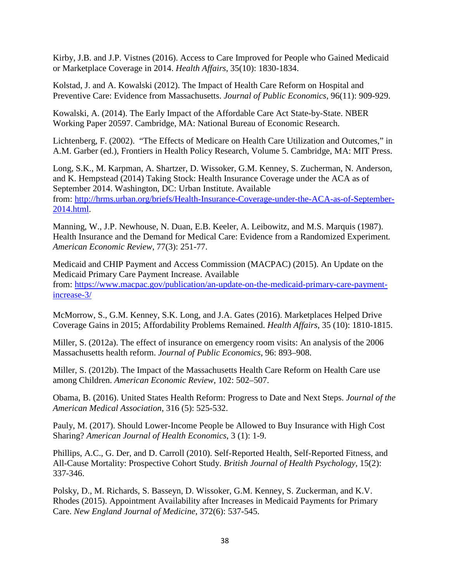Kirby, J.B. and J.P. Vistnes (2016). Access to Care Improved for People who Gained Medicaid or Marketplace Coverage in 2014. *Health Affairs*, 35(10): 1830-1834.

Kolstad, J. and A. Kowalski (2012). The Impact of Health Care Reform on Hospital and Preventive Care: Evidence from Massachusetts. *Journal of Public Economics*, 96(11): 909-929.

Kowalski, A. (2014). The Early Impact of the Affordable Care Act State-by-State. NBER Working Paper 20597. Cambridge, MA: National Bureau of Economic Research.

Lichtenberg, F. (2002). "The Effects of Medicare on Health Care Utilization and Outcomes," in A.M. Garber (ed.), Frontiers in Health Policy Research, Volume 5. Cambridge, MA: MIT Press.

Long, S.K., M. Karpman, A. Shartzer, D. Wissoker, G.M. Kenney, S. Zucherman, N. Anderson, and K. Hempstead (2014) Taking Stock: Health Insurance Coverage under the ACA as of September 2014. Washington, DC: Urban Institute. Available from: [http://hrms.urban.org/briefs/Health-Insurance-Coverage-under-the-ACA-as-of-September-](http://hrms.urban.org/briefs/Health-Insurance-Coverage-under-the-ACA-as-of-September-2014.html)[2014.html.](http://hrms.urban.org/briefs/Health-Insurance-Coverage-under-the-ACA-as-of-September-2014.html)

Manning, W., J.P. Newhouse, N. Duan, E.B. Keeler, A. Leibowitz, and M.S. Marquis (1987). Health Insurance and the Demand for Medical Care: Evidence from a Randomized Experiment*. American Economic Review*, 77(3): 251-77.

Medicaid and CHIP Payment and Access Commission (MACPAC) (2015). An Update on the Medicaid Primary Care Payment Increase. Available from: [https://www.macpac.gov/publication/an-update-on-the-medicaid-primary-care-payment](https://www.macpac.gov/publication/an-update-on-the-medicaid-primary-care-payment-increase-3/)[increase-3/](https://www.macpac.gov/publication/an-update-on-the-medicaid-primary-care-payment-increase-3/)

McMorrow, S., G.M. Kenney, S.K. Long, and J.A. Gates (2016). Marketplaces Helped Drive Coverage Gains in 2015; Affordability Problems Remained. *Health Affairs*, 35 (10): 1810-1815.

Miller, S. (2012a). The effect of insurance on emergency room visits: An analysis of the 2006 Massachusetts health reform. *Journal of Public Economics*, 96: 893–908.

Miller, S. (2012b). The Impact of the Massachusetts Health Care Reform on Health Care use among Children. *American Economic Review*, 102: 502–507.

Obama, B. (2016). United States Health Reform: Progress to Date and Next Steps. *Journal of the American Medical Association*, 316 (5): 525-532.

Pauly, M. (2017). Should Lower-Income People be Allowed to Buy Insurance with High Cost Sharing? *American Journal of Health Economics*, 3 (1): 1-9.

Phillips, A.C., G. Der, and D. Carroll (2010). Self-Reported Health, Self-Reported Fitness, and All-Cause Mortality: Prospective Cohort Study. *British Journal of Health Psychology*, 15(2): 337-346.

Polsky, D., M. Richards, S. Basseyn, D. Wissoker, G.M. Kenney, S. Zuckerman, and K.V. Rhodes (2015). Appointment Availability after Increases in Medicaid Payments for Primary Care. *New England Journal of Medicine*, 372(6): 537-545.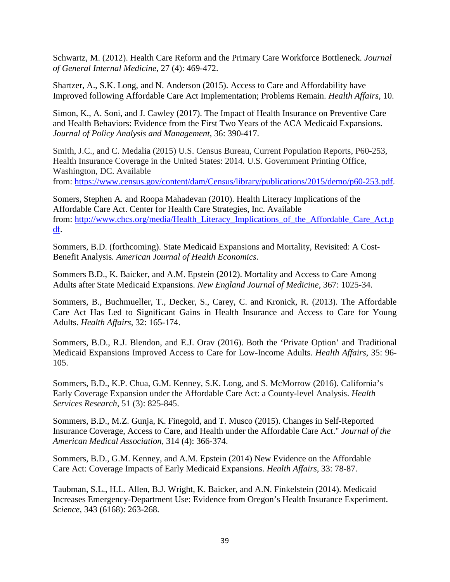Schwartz, M. (2012). Health Care Reform and the Primary Care Workforce Bottleneck. *Journal of General Internal Medicine*, 27 (4): 469-472.

Shartzer, A., S.K. Long, and N. Anderson (2015). Access to Care and Affordability have Improved following Affordable Care Act Implementation; Problems Remain. *Health Affairs*, 10.

Simon, K., A. Soni, and J. Cawley (2017). The Impact of Health Insurance on Preventive Care and Health Behaviors: Evidence from the First Two Years of the ACA Medicaid Expansions. *Journal of Policy Analysis and Management*, 36: 390-417.

Smith, J.C., and C. Medalia (2015) U.S. Census Bureau, Current Population Reports, P60-253, Health Insurance Coverage in the United States: 2014. U.S. Government Printing Office, Washington, DC. Available

from: [https://www.census.gov/content/dam/Census/library/publications/2015/demo/p60-253.pdf.](https://www.census.gov/content/dam/Census/library/publications/2015/demo/p60-253.pdf)

Somers, Stephen A. and Roopa Mahadevan (2010). Health Literacy Implications of the Affordable Care Act. Center for Health Care Strategies, Inc. Available from: [http://www.chcs.org/media/Health\\_Literacy\\_Implications\\_of\\_the\\_Affordable\\_Care\\_Act.p](http://www.chcs.org/media/Health_Literacy_Implications_of_the_Affordable_Care_Act.pdf) [df.](http://www.chcs.org/media/Health_Literacy_Implications_of_the_Affordable_Care_Act.pdf)

Sommers, B.D. (forthcoming). State Medicaid Expansions and Mortality, Revisited: A Cost-Benefit Analysis*. American Journal of Health Economics*.

Sommers B.D., K. Baicker, and A.M. Epstein (2012). Mortality and Access to Care Among Adults after State Medicaid Expansions. *New England Journal of Medicine*, 367: 1025-34.

Sommers, B., Buchmueller, T., Decker, S., Carey, C. and Kronick, R. (2013). The Affordable Care Act Has Led to Significant Gains in Health Insurance and Access to Care for Young Adults. *Health Affairs*, 32: 165-174.

Sommers, B.D., R.J. Blendon, and E.J. Orav (2016). Both the 'Private Option' and Traditional Medicaid Expansions Improved Access to Care for Low-Income Adults. *Health Affairs*, 35: 96- 105.

Sommers, B.D., K.P. Chua, G.M. Kenney, S.K. Long, and S. McMorrow (2016). California's Early Coverage Expansion under the Affordable Care Act: a County-level Analysis. *Health Services Research*, 51 (3): 825-845.

Sommers, B.D., M.Z. Gunja, K. Finegold, and T. Musco (2015). Changes in Self-Reported Insurance Coverage, Access to Care, and Health under the Affordable Care Act." *Journal of the American Medical Association*, 314 (4): 366-374.

Sommers, B.D., G.M. Kenney, and A.M. Epstein (2014) New Evidence on the Affordable Care Act: Coverage Impacts of Early Medicaid Expansions. *Health Affairs*, 33: 78-87.

Taubman, S.L., H.L. Allen, B.J. Wright, K. Baicker, and A.N. Finkelstein (2014). Medicaid Increases Emergency-Department Use: Evidence from Oregon's Health Insurance Experiment. *Science*, 343 (6168): 263-268.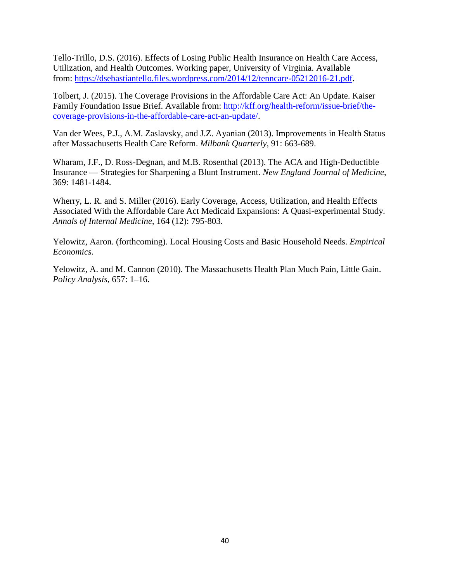Tello-Trillo, D.S. (2016). Effects of Losing Public Health Insurance on Health Care Access, Utilization, and Health Outcomes. Working paper, University of Virginia. Available from: [https://dsebastiantello.files.wordpress.com/2014/12/tenncare-05212016-21.pdf.](https://dsebastiantello.files.wordpress.com/2014/12/tenncare-05212016-21.pdf)

Tolbert, J. (2015). The Coverage Provisions in the Affordable Care Act: An Update. Kaiser Family Foundation Issue Brief. Available from: [http://kff.org/health-reform/issue-brief/the](http://kff.org/health-reform/issue-brief/the-coverage-provisions-in-the-affordable-care-act-an-update/)[coverage-provisions-in-the-affordable-care-act-an-update/.](http://kff.org/health-reform/issue-brief/the-coverage-provisions-in-the-affordable-care-act-an-update/)

Van der Wees, P.J., A.M. Zaslavsky, and J.Z. Ayanian (2013). Improvements in Health Status after Massachusetts Health Care Reform. *Milbank Quarterly*, 91: 663-689.

Wharam, J.F., D. Ross-Degnan, and M.B. Rosenthal (2013). The ACA and High-Deductible Insurance — Strategies for Sharpening a Blunt Instrument. *New England Journal of Medicine*, 369: 1481-1484.

Wherry, L. R. and S. Miller (2016). Early Coverage, Access, Utilization, and Health Effects Associated With the Affordable Care Act Medicaid Expansions: A Quasi-experimental Study. *Annals of Internal Medicine*, 164 (12): 795-803.

Yelowitz, Aaron. (forthcoming). Local Housing Costs and Basic Household Needs. *Empirical Economics*.

Yelowitz, A. and M. Cannon (2010). The Massachusetts Health Plan Much Pain, Little Gain. *Policy Analysis*, 657: 1–16.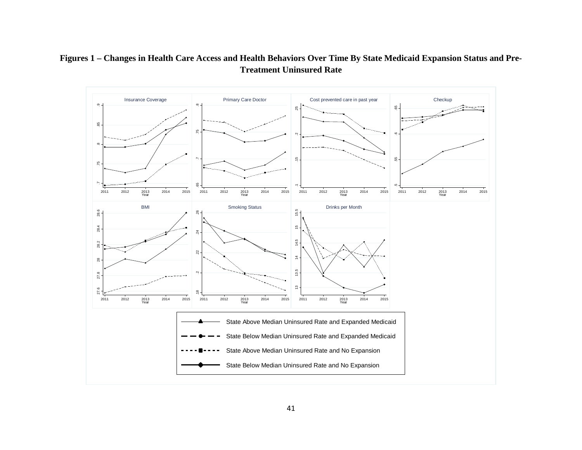## **Figures 1 – Changes in Health Care Access and Health Behaviors Over Time By State Medicaid Expansion Status and Pre-Treatment Uninsured Rate**

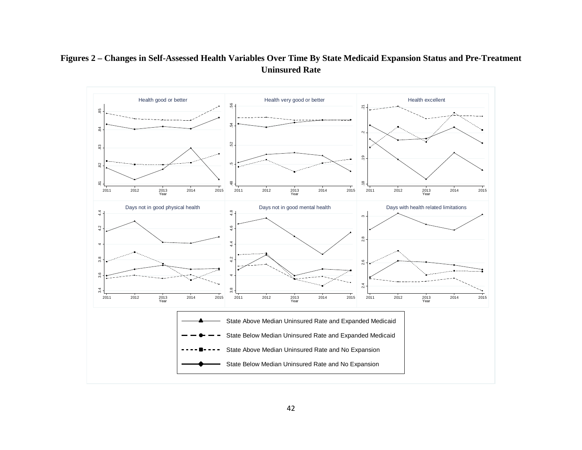## **Figures 2 – Changes in Self-Assessed Health Variables Over Time By State Medicaid Expansion Status and Pre-Treatment Uninsured Rate**

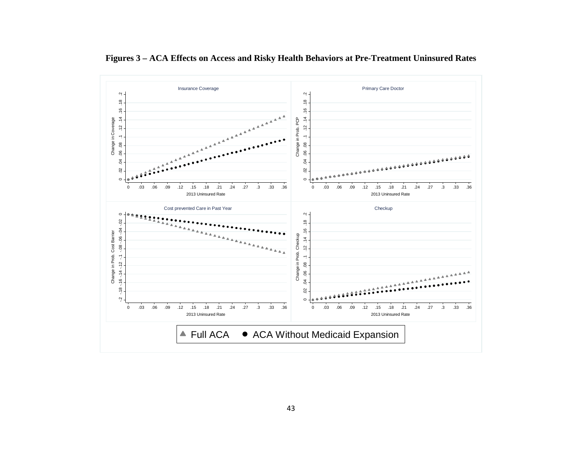

**Figures 3 – ACA Effects on Access and Risky Health Behaviors at Pre-Treatment Uninsured Rates**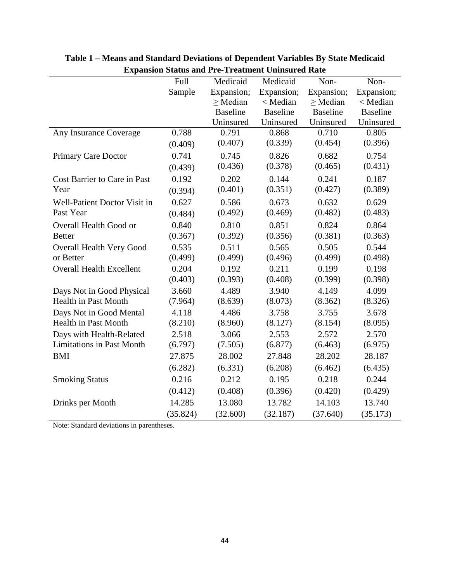|                                  | Full     | andron Durub and I IV II cannent Uningh co<br>Medicaid | Medicaid        | Non-            | Non-            |
|----------------------------------|----------|--------------------------------------------------------|-----------------|-----------------|-----------------|
|                                  | Sample   | Expansion;                                             | Expansion;      | Expansion;      | Expansion;      |
|                                  |          | > Median                                               | $<$ Median      | > Median        | $<$ Median      |
|                                  |          | <b>Baseline</b>                                        | <b>Baseline</b> | <b>Baseline</b> | <b>Baseline</b> |
|                                  |          | Uninsured                                              | Uninsured       | Uninsured       | Uninsured       |
| Any Insurance Coverage           | 0.788    | 0.791                                                  | 0.868           | 0.710           | 0.805           |
|                                  | (0.409)  | (0.407)                                                | (0.339)         | (0.454)         | (0.396)         |
| <b>Primary Care Doctor</b>       | 0.741    | 0.745                                                  | 0.826           | 0.682           | 0.754           |
|                                  | (0.439)  | (0.436)                                                | (0.378)         | (0.465)         | (0.431)         |
| Cost Barrier to Care in Past     | 0.192    | 0.202                                                  | 0.144           | 0.241           | 0.187           |
| Year                             | (0.394)  | (0.401)                                                | (0.351)         | (0.427)         | (0.389)         |
| Well-Patient Doctor Visit in     | 0.627    | 0.586                                                  | 0.673           | 0.632           | 0.629           |
| Past Year                        | (0.484)  | (0.492)                                                | (0.469)         | (0.482)         | (0.483)         |
| Overall Health Good or           | 0.840    | 0.810                                                  | 0.851           | 0.824           | 0.864           |
| <b>Better</b>                    | (0.367)  | (0.392)                                                | (0.356)         | (0.381)         | (0.363)         |
| <b>Overall Health Very Good</b>  | 0.535    | 0.511                                                  | 0.565           | 0.505           | 0.544           |
| or Better                        | (0.499)  | (0.499)                                                | (0.496)         | (0.499)         | (0.498)         |
| <b>Overall Health Excellent</b>  | 0.204    | 0.192                                                  | 0.211           | 0.199           | 0.198           |
|                                  | (0.403)  | (0.393)                                                | (0.408)         | (0.399)         | (0.398)         |
| Days Not in Good Physical        | 3.660    | 4.489                                                  | 3.940           | 4.149           | 4.099           |
| <b>Health in Past Month</b>      | (7.964)  | (8.639)                                                | (8.073)         | (8.362)         | (8.326)         |
| Days Not in Good Mental          | 4.118    | 4.486                                                  | 3.758           | 3.755           | 3.678           |
| <b>Health in Past Month</b>      | (8.210)  | (8.960)                                                | (8.127)         | (8.154)         | (8.095)         |
| Days with Health-Related         | 2.518    | 3.066                                                  | 2.553           | 2.572           | 2.570           |
| <b>Limitations in Past Month</b> | (6.797)  | (7.505)                                                | (6.877)         | (6.463)         | (6.975)         |
| <b>BMI</b>                       | 27.875   | 28.002                                                 | 27.848          | 28.202          | 28.187          |
|                                  | (6.282)  | (6.331)                                                | (6.208)         | (6.462)         | (6.435)         |
| <b>Smoking Status</b>            | 0.216    | 0.212                                                  | 0.195           | 0.218           | 0.244           |
|                                  | (0.412)  | (0.408)                                                | (0.396)         | (0.420)         | (0.429)         |
| Drinks per Month                 | 14.285   | 13.080                                                 | 13.782          | 14.103          | 13.740          |
|                                  | (35.824) | (32.600)                                               | (32.187)        | (37.640)        | (35.173)        |

# **Table 1 – Means and Standard Deviations of Dependent Variables By State Medicaid Expansion Status and Pre-Treatment Uninsured Rate**

Note: Standard deviations in parentheses.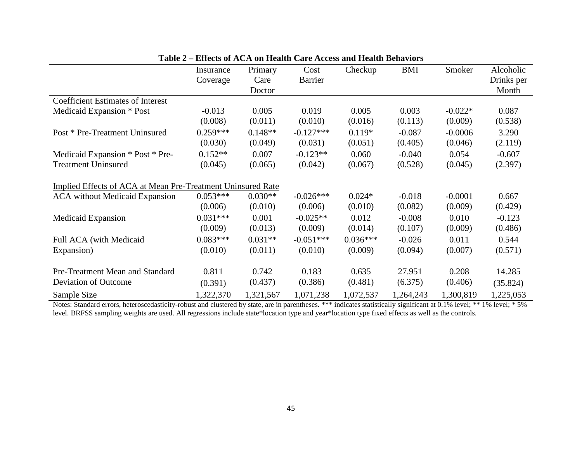|                                                             | Insurance  | Primary   | Cost           | Checkup    | <b>BMI</b> | Smoker    | Alcoholic  |
|-------------------------------------------------------------|------------|-----------|----------------|------------|------------|-----------|------------|
|                                                             | Coverage   | Care      | <b>Barrier</b> |            |            |           | Drinks per |
|                                                             |            | Doctor    |                |            |            |           | Month      |
| <b>Coefficient Estimates of Interest</b>                    |            |           |                |            |            |           |            |
| Medicaid Expansion * Post                                   | $-0.013$   | 0.005     | 0.019          | 0.005      | 0.003      | $-0.022*$ | 0.087      |
|                                                             | (0.008)    | (0.011)   | (0.010)        | (0.016)    | (0.113)    | (0.009)   | (0.538)    |
| Post * Pre-Treatment Uninsured                              | $0.259***$ | $0.148**$ | $-0.127***$    | $0.119*$   | $-0.087$   | $-0.0006$ | 3.290      |
|                                                             | (0.030)    | (0.049)   | (0.031)        | (0.051)    | (0.405)    | (0.046)   | (2.119)    |
| Medicaid Expansion * Post * Pre-                            | $0.152**$  | 0.007     | $-0.123**$     | 0.060      | $-0.040$   | 0.054     | $-0.607$   |
| <b>Treatment Uninsured</b>                                  | (0.045)    | (0.065)   | (0.042)        | (0.067)    | (0.528)    | (0.045)   | (2.397)    |
| Implied Effects of ACA at Mean Pre-Treatment Uninsured Rate |            |           |                |            |            |           |            |
| <b>ACA</b> without Medicaid Expansion                       | $0.053***$ | $0.030**$ | $-0.026***$    | $0.024*$   | $-0.018$   | $-0.0001$ | 0.667      |
|                                                             | (0.006)    | (0.010)   | (0.006)        | (0.010)    | (0.082)    | (0.009)   | (0.429)    |
| <b>Medicaid Expansion</b>                                   | $0.031***$ | 0.001     | $-0.025**$     | 0.012      | $-0.008$   | 0.010     | $-0.123$   |
|                                                             | (0.009)    | (0.013)   | (0.009)        | (0.014)    | (0.107)    | (0.009)   | (0.486)    |
| Full ACA (with Medicaid                                     | $0.083***$ | $0.031**$ | $-0.051***$    | $0.036***$ | $-0.026$   | 0.011     | 0.544      |
| Expansion)                                                  | (0.010)    | (0.011)   | (0.010)        | (0.009)    | (0.094)    | (0.007)   | (0.571)    |
| Pre-Treatment Mean and Standard                             | 0.811      | 0.742     | 0.183          | 0.635      | 27.951     | 0.208     | 14.285     |
| Deviation of Outcome                                        | (0.391)    | (0.437)   | (0.386)        | (0.481)    | (6.375)    | (0.406)   | (35.824)   |
| Sample Size                                                 | 1,322,370  | 1,321,567 | 1,071,238      | 1,072,537  | 1,264,243  | 1,300,819 | 1,225,053  |

**Table 2 – Effects of ACA on Health Care Access and Health Behaviors**

Notes: Standard errors, heteroscedasticity-robust and clustered by state, are in parentheses. \*\*\* indicates statistically significant at 0.1% level; \*\* 1% level; \*5% level. BRFSS sampling weights are used. All regressions include state\*location type and year\*location type fixed effects as well as the controls.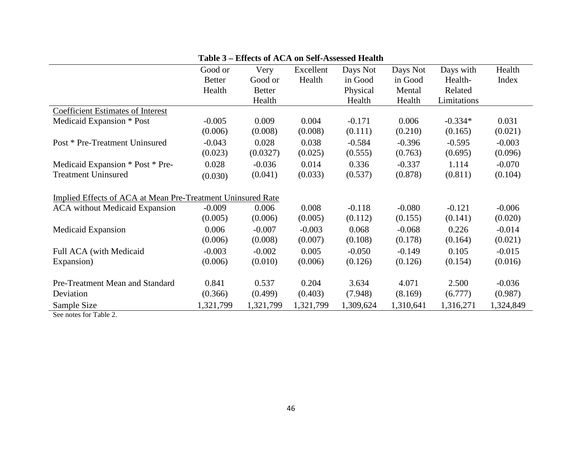|                                                                    | Good or       | Very          | Excellent | Days Not  | Days Not  | Days with   | Health    |
|--------------------------------------------------------------------|---------------|---------------|-----------|-----------|-----------|-------------|-----------|
|                                                                    | <b>Better</b> | Good or       | Health    | in Good   | in Good   | Health-     | Index     |
|                                                                    | Health        | <b>Better</b> |           | Physical  | Mental    | Related     |           |
|                                                                    |               | Health        |           | Health    | Health    | Limitations |           |
| <b>Coefficient Estimates of Interest</b>                           |               |               |           |           |           |             |           |
| Medicaid Expansion * Post                                          | $-0.005$      | 0.009         | 0.004     | $-0.171$  | 0.006     | $-0.334*$   | 0.031     |
|                                                                    | (0.006)       | (0.008)       | (0.008)   | (0.111)   | (0.210)   | (0.165)     | (0.021)   |
| Post * Pre-Treatment Uninsured                                     | $-0.043$      | 0.028         | 0.038     | $-0.584$  | $-0.396$  | $-0.595$    | $-0.003$  |
|                                                                    | (0.023)       | (0.0327)      | (0.025)   | (0.555)   | (0.763)   | (0.695)     | (0.096)   |
| Medicaid Expansion * Post * Pre-                                   | 0.028         | $-0.036$      | 0.014     | 0.336     | $-0.337$  | 1.114       | $-0.070$  |
| <b>Treatment Uninsured</b>                                         | (0.030)       | (0.041)       | (0.033)   | (0.537)   | (0.878)   | (0.811)     | (0.104)   |
| <b>Implied Effects of ACA at Mean Pre-Treatment Uninsured Rate</b> |               |               |           |           |           |             |           |
| <b>ACA</b> without Medicaid Expansion                              | $-0.009$      | 0.006         | 0.008     | $-0.118$  | $-0.080$  | $-0.121$    | $-0.006$  |
|                                                                    | (0.005)       | (0.006)       | (0.005)   | (0.112)   | (0.155)   | (0.141)     | (0.020)   |
| <b>Medicaid Expansion</b>                                          | 0.006         | $-0.007$      | $-0.003$  | 0.068     | $-0.068$  | 0.226       | $-0.014$  |
|                                                                    | (0.006)       | (0.008)       | (0.007)   | (0.108)   | (0.178)   | (0.164)     | (0.021)   |
| Full ACA (with Medicaid                                            | $-0.003$      | $-0.002$      | 0.005     | $-0.050$  | $-0.149$  | 0.105       | $-0.015$  |
| Expansion)                                                         | (0.006)       | (0.010)       | (0.006)   | (0.126)   | (0.126)   | (0.154)     | (0.016)   |
| Pre-Treatment Mean and Standard                                    | 0.841         | 0.537         | 0.204     | 3.634     | 4.071     | 2.500       | $-0.036$  |
| Deviation                                                          | (0.366)       | (0.499)       | (0.403)   | (7.948)   | (8.169)   | (6.777)     | (0.987)   |
| Sample Size<br>$c \mod 11$                                         | 1,321,799     | 1,321,799     | 1,321,799 | 1,309,624 | 1,310,641 | 1,316,271   | 1,324,849 |

## **Table 3 – Effects of ACA on Self-Assessed Health**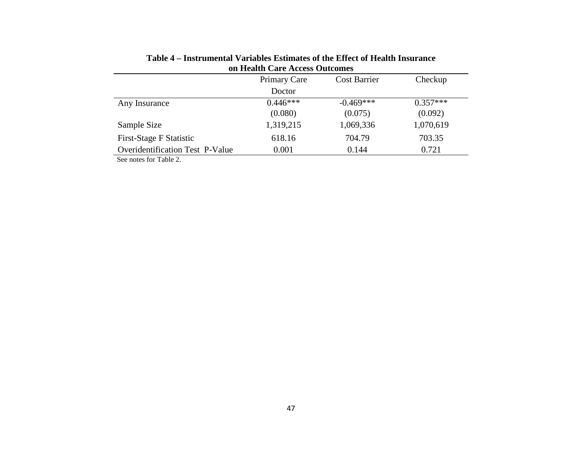|                                        | <u>un mumin cure ricecos o atennos</u> |                     |            |
|----------------------------------------|----------------------------------------|---------------------|------------|
|                                        | <b>Primary Care</b>                    | <b>Cost Barrier</b> | Checkup    |
|                                        | Doctor                                 |                     |            |
| Any Insurance                          | $0.446***$                             | $-0.469***$         | $0.357***$ |
|                                        | (0.080)                                | (0.075)             | (0.092)    |
| Sample Size                            | 1,319,215                              | 1,069,336           | 1,070,619  |
| First-Stage F Statistic                | 618.16                                 | 704.79              | 703.35     |
| <b>Overidentification Test P-Value</b> | 0.001                                  | 0.144               | 0.721      |
|                                        |                                        |                     |            |

#### **Table 4 – Instrumental Variables Estimates of the Effect of Health Insurance on Health Care Access Outcomes**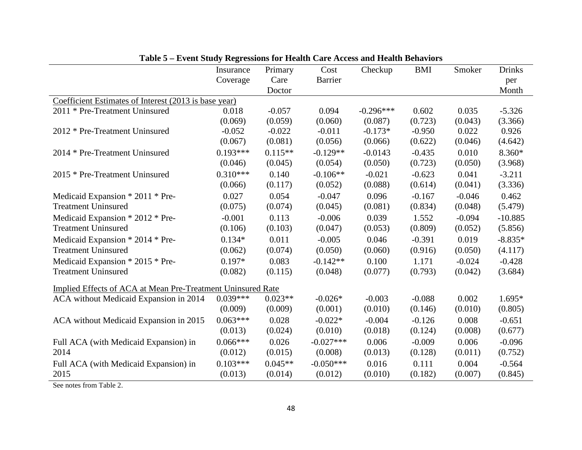|                                                             | o<br>Insurance<br>Coverage | Primary<br>Care<br>Doctor | Cost<br><b>Barrier</b> | Checkup     | <b>BMI</b> | Smoker   | <b>Drinks</b><br>per<br>Month |
|-------------------------------------------------------------|----------------------------|---------------------------|------------------------|-------------|------------|----------|-------------------------------|
| Coefficient Estimates of Interest (2013 is base year)       |                            |                           |                        |             |            |          |                               |
| 2011 * Pre-Treatment Uninsured                              | 0.018                      | $-0.057$                  | 0.094                  | $-0.296***$ | 0.602      | 0.035    | $-5.326$                      |
|                                                             | (0.069)                    | (0.059)                   | (0.060)                | (0.087)     | (0.723)    | (0.043)  | (3.366)                       |
| 2012 * Pre-Treatment Uninsured                              | $-0.052$                   | $-0.022$                  | $-0.011$               | $-0.173*$   | $-0.950$   | 0.022    | 0.926                         |
|                                                             | (0.067)                    | (0.081)                   | (0.056)                | (0.066)     | (0.622)    | (0.046)  | (4.642)                       |
| 2014 * Pre-Treatment Uninsured                              | $0.193***$                 | $0.115**$                 | $-0.129**$             | $-0.0143$   | $-0.435$   | 0.010    | 8.360*                        |
|                                                             | (0.046)                    | (0.045)                   | (0.054)                | (0.050)     | (0.723)    | (0.050)  | (3.968)                       |
| 2015 * Pre-Treatment Uninsured                              | $0.310***$                 | 0.140                     | $-0.106**$             | $-0.021$    | $-0.623$   | 0.041    | $-3.211$                      |
|                                                             | (0.066)                    | (0.117)                   | (0.052)                | (0.088)     | (0.614)    | (0.041)  | (3.336)                       |
| Medicaid Expansion $*$ 2011 $*$ Pre-                        | 0.027                      | 0.054                     | $-0.047$               | 0.096       | $-0.167$   | $-0.046$ | 0.462                         |
| <b>Treatment Uninsured</b>                                  | (0.075)                    | (0.074)                   | (0.045)                | (0.081)     | (0.834)    | (0.048)  | (5.479)                       |
| Medicaid Expansion * 2012 * Pre-                            | $-0.001$                   | 0.113                     | $-0.006$               | 0.039       | 1.552      | $-0.094$ | $-10.885$                     |
| <b>Treatment Uninsured</b>                                  | (0.106)                    | (0.103)                   | (0.047)                | (0.053)     | (0.809)    | (0.052)  | (5.856)                       |
| Medicaid Expansion * 2014 * Pre-                            | $0.134*$                   | 0.011                     | $-0.005$               | 0.046       | $-0.391$   | 0.019    | $-8.835*$                     |
| <b>Treatment Uninsured</b>                                  | (0.062)                    | (0.074)                   | (0.050)                | (0.060)     | (0.916)    | (0.050)  | (4.117)                       |
| Medicaid Expansion * 2015 * Pre-                            | $0.197*$                   | 0.083                     | $-0.142**$             | 0.100       | 1.171      | $-0.024$ | $-0.428$                      |
| <b>Treatment Uninsured</b>                                  | (0.082)                    | (0.115)                   | (0.048)                | (0.077)     | (0.793)    | (0.042)  | (3.684)                       |
| Implied Effects of ACA at Mean Pre-Treatment Uninsured Rate |                            |                           |                        |             |            |          |                               |
| ACA without Medicaid Expansion in 2014                      | $0.039***$                 | $0.023**$                 | $-0.026*$              | $-0.003$    | $-0.088$   | 0.002    | $1.695*$                      |
|                                                             | (0.009)                    | (0.009)                   | (0.001)                | (0.010)     | (0.146)    | (0.010)  | (0.805)                       |
| ACA without Medicaid Expansion in 2015                      | $0.063***$                 | 0.028                     | $-0.022*$              | $-0.004$    | $-0.126$   | 0.008    | $-0.651$                      |
|                                                             | (0.013)                    | (0.024)                   | (0.010)                | (0.018)     | (0.124)    | (0.008)  | (0.677)                       |
| Full ACA (with Medicaid Expansion) in                       | $0.066***$                 | 0.026                     | $-0.027***$            | 0.006       | $-0.009$   | 0.006    | $-0.096$                      |
| 2014                                                        | (0.012)                    | (0.015)                   | (0.008)                | (0.013)     | (0.128)    | (0.011)  | (0.752)                       |
| Full ACA (with Medicaid Expansion) in                       | $0.103***$                 | $0.045**$                 | $-0.050***$            | 0.016       | 0.111      | 0.004    | $-0.564$                      |
| 2015                                                        | (0.013)                    | (0.014)                   | (0.012)                | (0.010)     | (0.182)    | (0.007)  | (0.845)                       |

**Table 5 – Event Study Regressions for Health Care Access and Health Behaviors**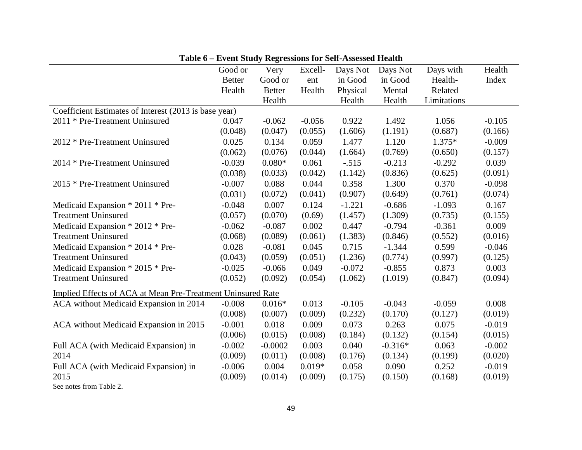|                                                             | Good or       | o<br>Very     | Excell-  | Days Not | Days Not  | Days with   | Health   |
|-------------------------------------------------------------|---------------|---------------|----------|----------|-----------|-------------|----------|
|                                                             | <b>Better</b> | Good or       | ent      | in Good  | in Good   | Health-     | Index    |
|                                                             | Health        | <b>Better</b> | Health   | Physical | Mental    | Related     |          |
|                                                             |               | Health        |          | Health   | Health    | Limitations |          |
| Coefficient Estimates of Interest (2013 is base year)       |               |               |          |          |           |             |          |
| 2011 * Pre-Treatment Uninsured                              | 0.047         | $-0.062$      | $-0.056$ | 0.922    | 1.492     | 1.056       | $-0.105$ |
|                                                             | (0.048)       | (0.047)       | (0.055)  | (1.606)  | (1.191)   | (0.687)     | (0.166)  |
| 2012 * Pre-Treatment Uninsured                              | 0.025         | 0.134         | 0.059    | 1.477    | 1.120     | $1.375*$    | $-0.009$ |
|                                                             | (0.062)       | (0.076)       | (0.044)  | (1.664)  | (0.769)   | (0.650)     | (0.157)  |
| 2014 * Pre-Treatment Uninsured                              | $-0.039$      | $0.080*$      | 0.061    | $-.515$  | $-0.213$  | $-0.292$    | 0.039    |
|                                                             | (0.038)       | (0.033)       | (0.042)  | (1.142)  | (0.836)   | (0.625)     | (0.091)  |
| 2015 * Pre-Treatment Uninsured                              | $-0.007$      | 0.088         | 0.044    | 0.358    | 1.300     | 0.370       | $-0.098$ |
|                                                             | (0.031)       | (0.072)       | (0.041)  | (0.907)  | (0.649)   | (0.761)     | (0.074)  |
| Medicaid Expansion $*$ 2011 $*$ Pre-                        | $-0.048$      | 0.007         | 0.124    | $-1.221$ | $-0.686$  | $-1.093$    | 0.167    |
| <b>Treatment Uninsured</b>                                  | (0.057)       | (0.070)       | (0.69)   | (1.457)  | (1.309)   | (0.735)     | (0.155)  |
| Medicaid Expansion * 2012 * Pre-                            | $-0.062$      | $-0.087$      | 0.002    | 0.447    | $-0.794$  | $-0.361$    | 0.009    |
| <b>Treatment Uninsured</b>                                  | (0.068)       | (0.089)       | (0.061)  | (1.383)  | (0.846)   | (0.552)     | (0.016)  |
| Medicaid Expansion * 2014 * Pre-                            | 0.028         | $-0.081$      | 0.045    | 0.715    | $-1.344$  | 0.599       | $-0.046$ |
| <b>Treatment Uninsured</b>                                  | (0.043)       | (0.059)       | (0.051)  | (1.236)  | (0.774)   | (0.997)     | (0.125)  |
| Medicaid Expansion * 2015 * Pre-                            | $-0.025$      | $-0.066$      | 0.049    | $-0.072$ | $-0.855$  | 0.873       | 0.003    |
| <b>Treatment Uninsured</b>                                  | (0.052)       | (0.092)       | (0.054)  | (1.062)  | (1.019)   | (0.847)     | (0.094)  |
| Implied Effects of ACA at Mean Pre-Treatment Uninsured Rate |               |               |          |          |           |             |          |
| ACA without Medicaid Expansion in 2014                      | $-0.008$      | $0.016*$      | 0.013    | $-0.105$ | $-0.043$  | $-0.059$    | 0.008    |
|                                                             | (0.008)       | (0.007)       | (0.009)  | (0.232)  | (0.170)   | (0.127)     | (0.019)  |
| ACA without Medicaid Expansion in 2015                      | $-0.001$      | 0.018         | 0.009    | 0.073    | 0.263     | 0.075       | $-0.019$ |
|                                                             | (0.006)       | (0.015)       | (0.008)  | (0.184)  | (0.132)   | (0.154)     | (0.015)  |
| Full ACA (with Medicaid Expansion) in                       | $-0.002$      | $-0.0002$     | 0.003    | 0.040    | $-0.316*$ | 0.063       | $-0.002$ |
| 2014                                                        | (0.009)       | (0.011)       | (0.008)  | (0.176)  | (0.134)   | (0.199)     | (0.020)  |
| Full ACA (with Medicaid Expansion) in                       | $-0.006$      | 0.004         | $0.019*$ | 0.058    | 0.090     | 0.252       | $-0.019$ |
| 2015                                                        | (0.009)       | (0.014)       | (0.009)  | (0.175)  | (0.150)   | (0.168)     | (0.019)  |

**Table 6 – Event Study Regressions for Self-Assessed Health**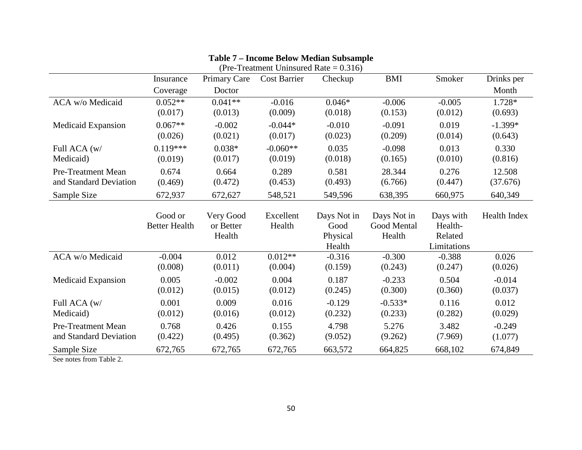|                                                     |                                 |                                  | (Pre-Treatment Uninsured Rate = $0.316$ ) |                                           |                                      |                                                |                     |
|-----------------------------------------------------|---------------------------------|----------------------------------|-------------------------------------------|-------------------------------------------|--------------------------------------|------------------------------------------------|---------------------|
|                                                     | Insurance                       | Primary Care                     | <b>Cost Barrier</b>                       | Checkup                                   | <b>BMI</b>                           | Smoker                                         | Drinks per          |
|                                                     | Coverage                        | Doctor                           |                                           |                                           |                                      |                                                | Month               |
| ACA w/o Medicaid                                    | $0.052**$                       | $0.041**$                        | $-0.016$                                  | $0.046*$                                  | $-0.006$                             | $-0.005$                                       | 1.728*              |
|                                                     | (0.017)                         | (0.013)                          | (0.009)                                   | (0.018)                                   | (0.153)                              | (0.012)                                        | (0.693)             |
| Medicaid Expansion                                  | $0.067**$                       | $-0.002$                         | $-0.044*$                                 | $-0.010$                                  | $-0.091$                             | 0.019                                          | $-1.399*$           |
|                                                     | (0.026)                         | (0.021)                          | (0.017)                                   | (0.023)                                   | (0.209)                              | (0.014)                                        | (0.643)             |
| Full ACA (w/                                        | $0.119***$                      | $0.038*$                         | $-0.060**$                                | 0.035                                     | $-0.098$                             | 0.013                                          | 0.330               |
| Medicaid)                                           | (0.019)                         | (0.017)                          | (0.019)                                   | (0.018)                                   | (0.165)                              | (0.010)                                        | (0.816)             |
| <b>Pre-Treatment Mean</b>                           | 0.674                           | 0.664                            | 0.289                                     | 0.581                                     | 28.344                               | 0.276                                          | 12.508              |
| and Standard Deviation                              | (0.469)                         | (0.472)                          | (0.453)                                   | (0.493)                                   | (6.766)                              | (0.447)                                        | (37.676)            |
| Sample Size                                         | 672,937                         | 672,627                          | 548,521                                   | 549,596                                   | 638,395                              | 660,975                                        | 640,349             |
|                                                     |                                 |                                  |                                           |                                           |                                      |                                                |                     |
|                                                     | Good or<br><b>Better Health</b> | Very Good<br>or Better<br>Health | Excellent<br>Health                       | Days Not in<br>Good<br>Physical<br>Health | Days Not in<br>Good Mental<br>Health | Days with<br>Health-<br>Related<br>Limitations | Health Index        |
| ACA w/o Medicaid                                    | $-0.004$<br>(0.008)             | 0.012<br>(0.011)                 | $0.012**$<br>(0.004)                      | $-0.316$<br>(0.159)                       | $-0.300$<br>(0.243)                  | $-0.388$<br>(0.247)                            | 0.026<br>(0.026)    |
| Medicaid Expansion                                  | 0.005<br>(0.012)                | $-0.002$<br>(0.015)              | 0.004<br>(0.012)                          | 0.187<br>(0.245)                          | $-0.233$<br>(0.300)                  | 0.504<br>(0.360)                               | $-0.014$<br>(0.037) |
| Full ACA (w/                                        | 0.001                           | 0.009                            | 0.016                                     | $-0.129$                                  | $-0.533*$                            | 0.116                                          | 0.012               |
| Medicaid)                                           | (0.012)                         | (0.016)                          | (0.012)                                   | (0.232)                                   | (0.233)                              | (0.282)                                        | (0.029)             |
| <b>Pre-Treatment Mean</b><br>and Standard Deviation | 0.768<br>(0.422)                | 0.426<br>(0.495)                 | 0.155<br>(0.362)                          | 4.798<br>(9.052)                          | 5.276<br>(9.262)                     | 3.482<br>(7.969)                               | $-0.249$<br>(1.077) |

#### **Table 7 – Income Below Median Subsample**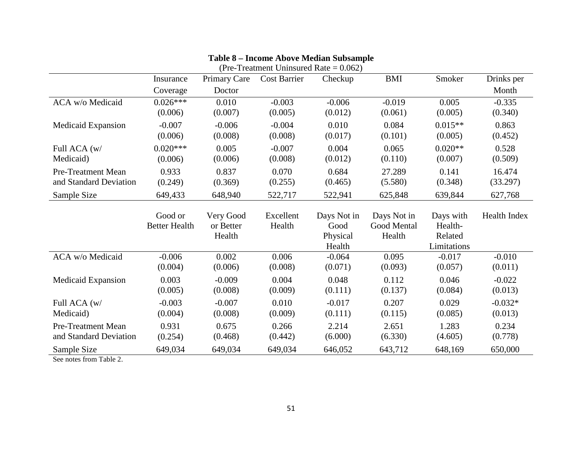|                                                     |                                 |                                  | (Pre-Treatment Uninsured Rate = $0.062$ ) |                                           |                                      |                                                |                     |
|-----------------------------------------------------|---------------------------------|----------------------------------|-------------------------------------------|-------------------------------------------|--------------------------------------|------------------------------------------------|---------------------|
|                                                     | Insurance                       | Primary Care                     | <b>Cost Barrier</b>                       | Checkup                                   | <b>BMI</b>                           | Smoker                                         | Drinks per          |
|                                                     | Coverage                        | Doctor                           |                                           |                                           |                                      |                                                | Month               |
| ACA w/o Medicaid                                    | $0.026***$                      | 0.010                            | $-0.003$                                  | $-0.006$                                  | $-0.019$                             | 0.005                                          | $-0.335$            |
|                                                     | (0.006)                         | (0.007)                          | (0.005)                                   | (0.012)                                   | (0.061)                              | (0.005)                                        | (0.340)             |
| Medicaid Expansion                                  | $-0.007$                        | $-0.006$                         | $-0.004$                                  | 0.010                                     | 0.084                                | $0.015**$                                      | 0.863               |
|                                                     | (0.006)                         | (0.008)                          | (0.008)                                   | (0.017)                                   | (0.101)                              | (0.005)                                        | (0.452)             |
| Full ACA (w/                                        | $0.020***$                      | 0.005                            | $-0.007$                                  | 0.004                                     | 0.065                                | $0.020**$                                      | 0.528               |
| Medicaid)                                           | (0.006)                         | (0.006)                          | (0.008)                                   | (0.012)                                   | (0.110)                              | (0.007)                                        | (0.509)             |
| <b>Pre-Treatment Mean</b>                           | 0.933                           | 0.837                            | 0.070                                     | 0.684                                     | 27.289                               | 0.141                                          | 16.474              |
| and Standard Deviation                              | (0.249)                         | (0.369)                          | (0.255)                                   | (0.465)                                   | (5.580)                              | (0.348)                                        | (33.297)            |
| Sample Size                                         | 649,433                         | 648,940                          | 522,717                                   | 522,941                                   | 625,848                              | 639,844                                        | 627,768             |
|                                                     |                                 |                                  |                                           |                                           |                                      |                                                |                     |
|                                                     | Good or<br><b>Better Health</b> | Very Good<br>or Better<br>Health | Excellent<br>Health                       | Days Not in<br>Good<br>Physical<br>Health | Days Not in<br>Good Mental<br>Health | Days with<br>Health-<br>Related<br>Limitations | Health Index        |
| ACA w/o Medicaid                                    | $-0.006$<br>(0.004)             | 0.002<br>(0.006)                 | 0.006<br>(0.008)                          | $-0.064$<br>(0.071)                       | 0.095<br>(0.093)                     | $-0.017$<br>(0.057)                            | $-0.010$<br>(0.011) |
| Medicaid Expansion                                  | 0.003<br>(0.005)                | $-0.009$<br>(0.008)              | 0.004<br>(0.009)                          | 0.048<br>(0.111)                          | 0.112<br>(0.137)                     | 0.046<br>(0.084)                               | $-0.022$<br>(0.013) |
| Full ACA (w/                                        | $-0.003$                        | $-0.007$                         | 0.010                                     | $-0.017$                                  | 0.207                                | 0.029                                          | $-0.032*$           |
| Medicaid)                                           | (0.004)                         | (0.008)                          | (0.009)                                   | (0.111)                                   | (0.115)                              | (0.085)                                        | (0.013)             |
| <b>Pre-Treatment Mean</b><br>and Standard Deviation | 0.931<br>(0.254)                | 0.675<br>(0.468)                 | 0.266<br>(0.442)                          | 2.214<br>(6.000)                          | 2.651<br>(6.330)                     | 1.283<br>(4.605)                               | 0.234<br>(0.778)    |

#### **Table 8 – Income Above Median Subsample**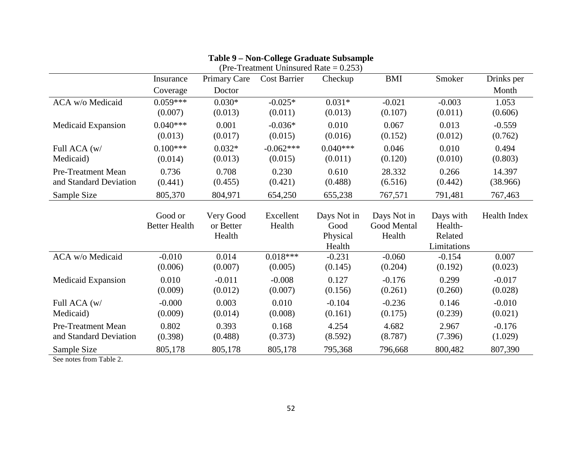|                           |                                 |                                  | (Pre-Treatment Uninsured Rate = $0.253$ ) |                                           |                                      |                                                |                     |
|---------------------------|---------------------------------|----------------------------------|-------------------------------------------|-------------------------------------------|--------------------------------------|------------------------------------------------|---------------------|
|                           | Insurance                       | Primary Care                     | <b>Cost Barrier</b>                       | Checkup                                   | <b>BMI</b>                           | Smoker                                         | Drinks per          |
|                           | Coverage                        | Doctor                           |                                           |                                           |                                      |                                                | Month               |
| ACA w/o Medicaid          | $0.059***$                      | $0.030*$                         | $-0.025*$                                 | $0.031*$                                  | $-0.021$                             | $-0.003$                                       | 1.053               |
|                           | (0.007)                         | (0.013)                          | (0.011)                                   | (0.013)                                   | (0.107)                              | (0.011)                                        | (0.606)             |
| Medicaid Expansion        | $0.040***$                      | 0.001                            | $-0.036*$                                 | 0.010                                     | 0.067                                | 0.013                                          | $-0.559$            |
|                           | (0.013)                         | (0.017)                          | (0.015)                                   | (0.016)                                   | (0.152)                              | (0.012)                                        | (0.762)             |
| Full ACA (w/              | $0.100***$                      | $0.032*$                         | $-0.062***$                               | $0.040***$                                | 0.046                                | 0.010                                          | 0.494               |
| Medicaid)                 | (0.014)                         | (0.013)                          | (0.015)                                   | (0.011)                                   | (0.120)                              | (0.010)                                        | (0.803)             |
| <b>Pre-Treatment Mean</b> | 0.736                           | 0.708                            | 0.230                                     | 0.610                                     | 28.332                               | 0.266                                          | 14.397              |
| and Standard Deviation    | (0.441)                         | (0.455)                          | (0.421)                                   | (0.488)                                   | (6.516)                              | (0.442)                                        | (38.966)            |
| Sample Size               | 805,370                         | 804,971                          | 654,250                                   | 655,238                                   | 767,571                              | 791,481                                        | 767,463             |
|                           |                                 |                                  |                                           |                                           |                                      |                                                |                     |
|                           | Good or<br><b>Better Health</b> | Very Good<br>or Better<br>Health | Excellent<br>Health                       | Days Not in<br>Good<br>Physical<br>Health | Days Not in<br>Good Mental<br>Health | Days with<br>Health-<br>Related<br>Limitations | Health Index        |
| ACA w/o Medicaid          | $-0.010$<br>(0.006)             | 0.014<br>(0.007)                 | $0.018***$<br>(0.005)                     | $-0.231$<br>(0.145)                       | $-0.060$<br>(0.204)                  | $-0.154$<br>(0.192)                            | 0.007<br>(0.023)    |
| Medicaid Expansion        | 0.010<br>(0.009)                | $-0.011$<br>(0.012)              | $-0.008$<br>(0.007)                       | 0.127<br>(0.156)                          | $-0.176$<br>(0.261)                  | 0.299<br>(0.260)                               | $-0.017$<br>(0.028) |
| Full ACA (w/              | $-0.000$                        | 0.003                            | 0.010                                     | $-0.104$                                  | $-0.236$                             | 0.146                                          | $-0.010$            |
| Medicaid)                 | (0.009)                         | (0.014)                          | (0.008)                                   | (0.161)                                   | (0.175)                              | (0.239)                                        | (0.021)             |
| <b>Pre-Treatment Mean</b> | 0.802                           | 0.393                            | 0.168                                     | 4.254                                     | 4.682                                | 2.967                                          | $-0.176$            |
| and Standard Deviation    | (0.398)                         | (0.488)                          | (0.373)                                   | (8.592)                                   | (8.787)                              | (7.396)                                        | (1.029)             |

#### **Table 9 – Non-College Graduate Subsample**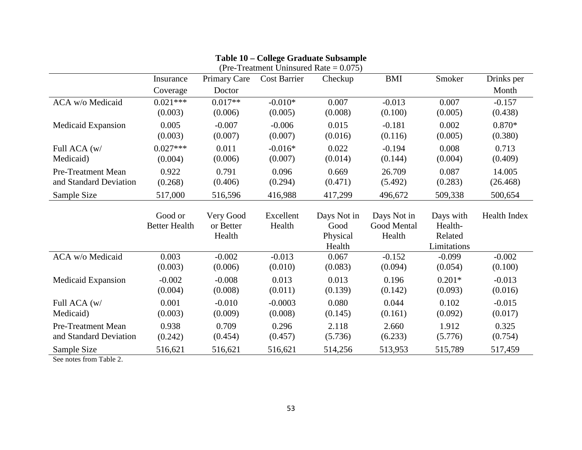|                                       |                                 |                                  | (Pre-Treatment Uninsured Rate = $0.075$ ) |                                           |                                      |                                                |                     |
|---------------------------------------|---------------------------------|----------------------------------|-------------------------------------------|-------------------------------------------|--------------------------------------|------------------------------------------------|---------------------|
|                                       | Insurance                       | Primary Care                     | <b>Cost Barrier</b>                       | Checkup                                   | <b>BMI</b>                           | Smoker                                         | Drinks per          |
|                                       | Coverage                        | Doctor                           |                                           |                                           |                                      |                                                | Month               |
| ACA w/o Medicaid                      | $0.021***$                      | $0.017**$                        | $-0.010*$                                 | 0.007                                     | $-0.013$                             | 0.007                                          | $-0.157$            |
|                                       | (0.003)                         | (0.006)                          | (0.005)                                   | (0.008)                                   | (0.100)                              | (0.005)                                        | (0.438)             |
| Medicaid Expansion                    | 0.005                           | $-0.007$                         | $-0.006$                                  | 0.015                                     | $-0.181$                             | 0.002                                          | $0.870*$            |
|                                       | (0.003)                         | (0.007)                          | (0.007)                                   | (0.016)                                   | (0.116)                              | (0.005)                                        | (0.380)             |
| Full ACA (w/                          | $0.027***$                      | 0.011                            | $-0.016*$                                 | 0.022                                     | $-0.194$                             | 0.008                                          | 0.713               |
| Medicaid)                             | (0.004)                         | (0.006)                          | (0.007)                                   | (0.014)                                   | (0.144)                              | (0.004)                                        | (0.409)             |
| Pre-Treatment Mean                    | 0.922                           | 0.791                            | 0.096                                     | 0.669                                     | 26.709                               | 0.087                                          | 14.005              |
| and Standard Deviation                | (0.268)                         | (0.406)                          | (0.294)                                   | (0.471)                                   | (5.492)                              | (0.283)                                        | (26.468)            |
| Sample Size                           | 517,000                         | 516,596                          | 416,988                                   | 417,299                                   | 496,672                              | 509,338                                        | 500,654             |
|                                       |                                 |                                  |                                           |                                           |                                      |                                                |                     |
|                                       | Good or<br><b>Better Health</b> | Very Good<br>or Better<br>Health | Excellent<br>Health                       | Days Not in<br>Good<br>Physical<br>Health | Days Not in<br>Good Mental<br>Health | Days with<br>Health-<br>Related<br>Limitations | Health Index        |
| ACA w/o Medicaid                      | 0.003<br>(0.003)                | $-0.002$<br>(0.006)              | $-0.013$<br>(0.010)                       | 0.067<br>(0.083)                          | $-0.152$<br>(0.094)                  | $-0.099$<br>(0.054)                            | $-0.002$<br>(0.100) |
| Medicaid Expansion                    | $-0.002$<br>(0.004)             | $-0.008$<br>(0.008)              | 0.013<br>(0.011)                          | 0.013<br>(0.139)                          | 0.196<br>(0.142)                     | $0.201*$<br>(0.093)                            | $-0.013$<br>(0.016) |
| Full ACA (w/                          | 0.001                           | $-0.010$                         | $-0.0003$                                 | 0.080                                     | 0.044                                | 0.102                                          | $-0.015$            |
| Medicaid)                             | (0.003)                         | (0.009)                          | (0.008)                                   | (0.145)                                   | (0.161)                              | (0.092)                                        | (0.017)             |
| <b>Pre-Treatment Mean</b>             | 0.938                           | 0.709                            | 0.296                                     | 2.118                                     | 2.660                                | 1.912                                          | 0.325               |
| and Standard Deviation<br>Sample Size | (0.242)<br>516,621              | (0.454)<br>516,621               | (0.457)<br>516,621                        | (5.736)<br>514,256                        | (6.233)<br>513,953                   | (5.776)<br>515,789                             | (0.754)<br>517,459  |

### **Table 10 – College Graduate Subsample**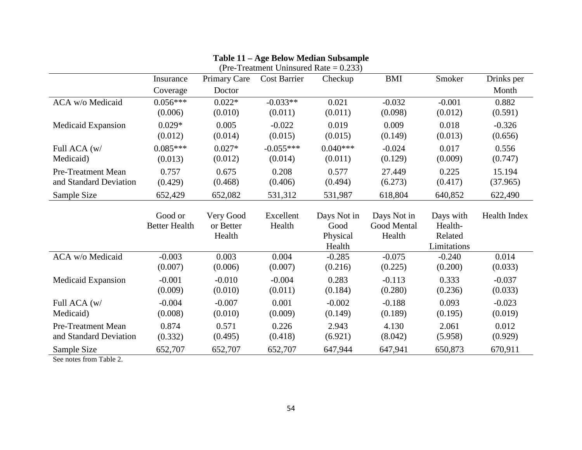|                                                     |                                 |                                  | (Pre-Treatment Uninsured Rate = $0.233$ ) |                                           |                                      |                                                |                     |
|-----------------------------------------------------|---------------------------------|----------------------------------|-------------------------------------------|-------------------------------------------|--------------------------------------|------------------------------------------------|---------------------|
|                                                     | Insurance                       | Primary Care                     | <b>Cost Barrier</b>                       | Checkup                                   | <b>BMI</b>                           | Smoker                                         | Drinks per          |
|                                                     | Coverage                        | Doctor                           |                                           |                                           |                                      |                                                | Month               |
| ACA w/o Medicaid                                    | $0.056***$                      | $0.022*$                         | $-0.033**$                                | 0.021                                     | $-0.032$                             | $-0.001$                                       | 0.882               |
|                                                     | (0.006)                         | (0.010)                          | (0.011)                                   | (0.011)                                   | (0.098)                              | (0.012)                                        | (0.591)             |
| Medicaid Expansion                                  | $0.029*$                        | 0.005                            | $-0.022$                                  | 0.019                                     | 0.009                                | 0.018                                          | $-0.326$            |
|                                                     | (0.012)                         | (0.014)                          | (0.015)                                   | (0.015)                                   | (0.149)                              | (0.013)                                        | (0.656)             |
| Full ACA (w/                                        | $0.085***$                      | $0.027*$                         | $-0.055***$                               | $0.040***$                                | $-0.024$                             | 0.017                                          | 0.556               |
| Medicaid)                                           | (0.013)                         | (0.012)                          | (0.014)                                   | (0.011)                                   | (0.129)                              | (0.009)                                        | (0.747)             |
| Pre-Treatment Mean                                  | 0.757                           | 0.675                            | 0.208                                     | 0.577                                     | 27.449                               | 0.225                                          | 15.194              |
| and Standard Deviation                              | (0.429)                         | (0.468)                          | (0.406)                                   | (0.494)                                   | (6.273)                              | (0.417)                                        | (37.965)            |
| Sample Size                                         | 652,429                         | 652,082                          | 531,312                                   | 531,987                                   | 618,804                              | 640,852                                        | 622,490             |
|                                                     |                                 |                                  |                                           |                                           |                                      |                                                |                     |
|                                                     | Good or<br><b>Better Health</b> | Very Good<br>or Better<br>Health | Excellent<br>Health                       | Days Not in<br>Good<br>Physical<br>Health | Days Not in<br>Good Mental<br>Health | Days with<br>Health-<br>Related<br>Limitations | Health Index        |
| ACA w/o Medicaid                                    | $-0.003$<br>(0.007)             | 0.003<br>(0.006)                 | 0.004<br>(0.007)                          | $-0.285$<br>(0.216)                       | $-0.075$<br>(0.225)                  | $-0.240$<br>(0.200)                            | 0.014<br>(0.033)    |
| Medicaid Expansion                                  | $-0.001$<br>(0.009)             | $-0.010$<br>(0.010)              | $-0.004$<br>(0.011)                       | 0.283<br>(0.184)                          | $-0.113$<br>(0.280)                  | 0.333<br>(0.236)                               | $-0.037$<br>(0.033) |
| Full ACA (w/                                        | $-0.004$                        | $-0.007$                         | 0.001                                     | $-0.002$                                  | $-0.188$                             | 0.093                                          | $-0.023$            |
| Medicaid)                                           | (0.008)                         | (0.010)                          | (0.009)                                   | (0.149)                                   | (0.189)                              | (0.195)                                        | (0.019)             |
| <b>Pre-Treatment Mean</b><br>and Standard Deviation | 0.874<br>(0.332)                | 0.571<br>(0.495)                 | 0.226<br>(0.418)                          | 2.943<br>(6.921)                          | 4.130<br>(8.042)                     | 2.061<br>(5.958)                               | 0.012<br>(0.929)    |

### **Table 11 – Age Below Median Subsample**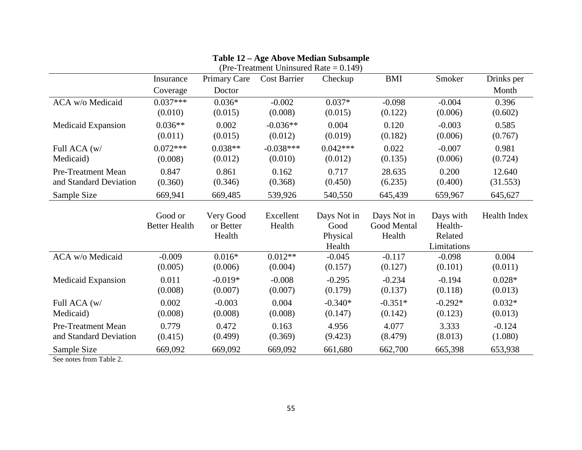|                                                     |                      |                      | (Pre-Treatment Uninsured Rate = $0.149$ ) |                            |                       |                                   |                     |
|-----------------------------------------------------|----------------------|----------------------|-------------------------------------------|----------------------------|-----------------------|-----------------------------------|---------------------|
|                                                     | Insurance            | Primary Care         | <b>Cost Barrier</b>                       | Checkup                    | <b>BMI</b>            | Smoker                            | Drinks per          |
|                                                     | Coverage             | Doctor               |                                           |                            |                       |                                   | Month               |
| ACA w/o Medicaid                                    | $0.037***$           | $0.036*$             | $-0.002$                                  | $0.037*$                   | $-0.098$              | $-0.004$                          | 0.396               |
|                                                     | (0.010)              | (0.015)              | (0.008)                                   | (0.015)                    | (0.122)               | (0.006)                           | (0.602)             |
| Medicaid Expansion                                  | $0.036**$            | 0.002                | $-0.036**$                                | 0.004                      | 0.120                 | $-0.003$                          | 0.585               |
|                                                     | (0.011)              | (0.015)              | (0.012)                                   | (0.019)                    | (0.182)               | (0.006)                           | (0.767)             |
| Full ACA (w/                                        | $0.072***$           | $0.038**$            | $-0.038***$                               | $0.042***$                 | 0.022                 | $-0.007$                          | 0.981               |
| Medicaid)                                           | (0.008)              | (0.012)              | (0.010)                                   | (0.012)                    | (0.135)               | (0.006)                           | (0.724)             |
| Pre-Treatment Mean                                  | 0.847                | 0.861                | 0.162                                     | 0.717                      | 28.635                | 0.200                             | 12.640              |
| and Standard Deviation                              | (0.360)              | (0.346)              | (0.368)                                   | (0.450)                    | (6.235)               | (0.400)                           | (31.553)            |
| Sample Size                                         | 669,941              | 669,485              | 539,926                                   | 540,550                    | 645,439               | 659,967                           | 645,627             |
|                                                     | Good or              | Very Good            | Excellent                                 | Days Not in                | Days Not in           | Days with                         | Health Index        |
|                                                     | <b>Better Health</b> | or Better<br>Health  | Health                                    | Good<br>Physical<br>Health | Good Mental<br>Health | Health-<br>Related<br>Limitations |                     |
| ACA w/o Medicaid                                    | $-0.009$<br>(0.005)  | $0.016*$<br>(0.006)  | $0.012**$<br>(0.004)                      | $-0.045$<br>(0.157)        | $-0.117$<br>(0.127)   | $-0.098$<br>(0.101)               | 0.004<br>(0.011)    |
| Medicaid Expansion                                  | 0.011<br>(0.008)     | $-0.019*$<br>(0.007) | $-0.008$<br>(0.007)                       | $-0.295$<br>(0.179)        | $-0.234$<br>(0.137)   | $-0.194$<br>(0.118)               | $0.028*$<br>(0.013) |
| Full ACA (w/                                        | 0.002                | $-0.003$             | 0.004                                     | $-0.340*$                  | $-0.351*$             | $-0.292*$                         | $0.032*$            |
| Medicaid)                                           | (0.008)              | (0.008)              | (0.008)                                   | (0.147)                    | (0.142)               | (0.123)                           | (0.013)             |
| <b>Pre-Treatment Mean</b><br>and Standard Deviation | 0.779<br>(0.415)     | 0.472<br>(0.499)     | 0.163<br>(0.369)                          | 4.956<br>(9.423)           | 4.077<br>(8.479)      | 3.333<br>(8.013)                  | $-0.124$<br>(1.080) |

### **Table 12 – Age Above Median Subsample**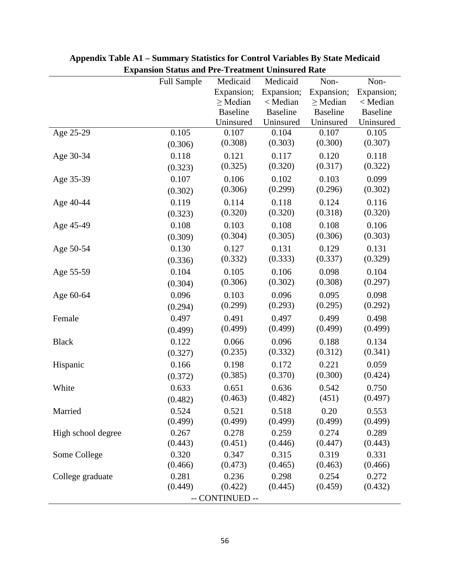|                    | Full Sample | Medicaid                         | Medicaid                               | Non-                        | Non-                   |
|--------------------|-------------|----------------------------------|----------------------------------------|-----------------------------|------------------------|
|                    |             | Expansion;                       | Expansion;                             | Expansion;<br>$\geq$ Median | Expansion;<br>< Median |
|                    |             | $\geq$ Median<br><b>Baseline</b> | <median<br><b>Baseline</b></median<br> | <b>Baseline</b>             | <b>Baseline</b>        |
|                    |             | Uninsured                        | Uninsured                              | Uninsured                   | Uninsured              |
| Age 25-29          | 0.105       | 0.107                            | 0.104                                  | 0.107                       | 0.105                  |
|                    | (0.306)     | (0.308)                          | (0.303)                                | (0.300)                     | (0.307)                |
| Age 30-34          | 0.118       | 0.121                            | 0.117                                  | 0.120                       | 0.118                  |
|                    | (0.323)     | (0.325)                          | (0.320)                                | (0.317)                     | (0.322)                |
| Age 35-39          | 0.107       | 0.106                            | 0.102                                  | 0.103                       | 0.099                  |
|                    | (0.302)     | (0.306)                          | (0.299)                                | (0.296)                     | (0.302)                |
| Age 40-44          | 0.119       | 0.114                            | 0.118                                  | 0.124                       | 0.116                  |
|                    | (0.323)     | (0.320)                          | (0.320)                                | (0.318)                     | (0.320)                |
| Age 45-49          | 0.108       | 0.103                            | 0.108                                  | 0.108                       | 0.106                  |
|                    | (0.309)     | (0.304)                          | (0.305)                                | (0.306)                     | (0.303)                |
| Age 50-54          | 0.130       | 0.127                            | 0.131                                  | 0.129                       | 0.131                  |
|                    | (0.336)     | (0.332)                          | (0.333)                                | (0.337)                     | (0.329)                |
| Age 55-59          | 0.104       | 0.105                            | 0.106                                  | 0.098                       | 0.104                  |
|                    | (0.304)     | (0.306)                          | (0.302)                                | (0.308)                     | (0.297)                |
| Age 60-64          | 0.096       | 0.103                            | 0.096                                  | 0.095                       | 0.098                  |
|                    | (0.294)     | (0.299)                          | (0.293)                                | (0.295)                     | (0.292)                |
| Female             | 0.497       | 0.491                            | 0.497                                  | 0.499                       | 0.498                  |
|                    | (0.499)     | (0.499)                          | (0.499)                                | (0.499)                     | (0.499)                |
| <b>Black</b>       | 0.122       | 0.066                            | 0.096                                  | 0.188                       | 0.134                  |
|                    | (0.327)     | (0.235)                          | (0.332)                                | (0.312)                     | (0.341)                |
| Hispanic           | 0.166       | 0.198                            | 0.172                                  | 0.221                       | 0.059                  |
|                    | (0.372)     | (0.385)                          | (0.370)                                | (0.300)                     | (0.424)                |
| White              | 0.633       | 0.651                            | 0.636                                  | 0.542                       | 0.750                  |
|                    | (0.482)     | (0.463)                          | (0.482)                                | (451)                       | (0.497)                |
| Married            | 0.524       | 0.521                            | 0.518                                  | 0.20                        | 0.553                  |
|                    | (0.499)     | (0.499)                          | (0.499)                                | (0.499)                     | (0.499)                |
| High school degree | 0.267       | 0.278                            | 0.259                                  | 0.274                       | 0.289                  |
|                    | (0.443)     | (0.451)                          | (0.446)                                | (0.447)                     | (0.443)                |
| Some College       | 0.320       | 0.347                            | 0.315                                  | 0.319                       | 0.331                  |
|                    | (0.466)     | (0.473)                          | (0.465)                                | (0.463)                     | (0.466)                |
| College graduate   | 0.281       | 0.236                            | 0.298                                  | 0.254                       | 0.272                  |
|                    | (0.449)     | (0.422)                          | (0.445)                                | (0.459)                     | (0.432)                |
|                    |             | -- CONTINUED --                  |                                        |                             |                        |

## **Appendix Table A1 – Summary Statistics for Control Variables By State Medicaid Expansion Status and Pre-Treatment Uninsured Rate**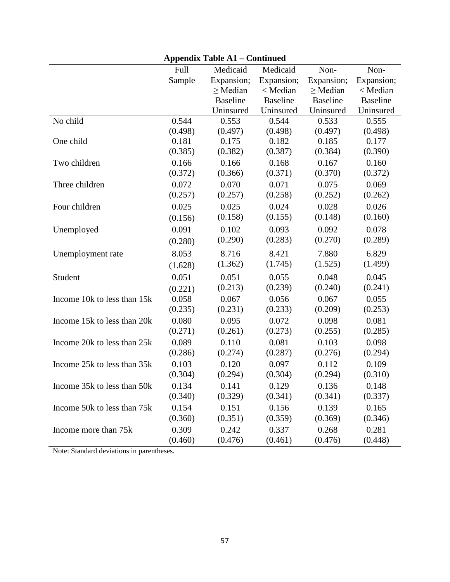|                             |         | Аррения т <i>а</i> ше Ат – Conunueu |                 |                 |                 |
|-----------------------------|---------|-------------------------------------|-----------------|-----------------|-----------------|
|                             | Full    | Medicaid                            | Medicaid        | Non-            | Non-            |
|                             | Sample  | Expansion;                          | Expansion;      | Expansion;      | Expansion;      |
|                             |         | $\geq$ Median                       | $<$ Median      | $\geq$ Median   | < Median        |
|                             |         | <b>Baseline</b>                     | <b>Baseline</b> | <b>Baseline</b> | <b>Baseline</b> |
|                             |         | Uninsured                           | Uninsured       | Uninsured       | Uninsured       |
| No child                    | 0.544   | 0.553                               | 0.544           | 0.533           | 0.555           |
|                             | (0.498) | (0.497)                             | (0.498)         | (0.497)         | (0.498)         |
| One child                   | 0.181   | 0.175                               | 0.182           | 0.185           | 0.177           |
|                             | (0.385) | (0.382)                             | (0.387)         | (0.384)         | (0.390)         |
| Two children                | 0.166   | 0.166                               | 0.168           | 0.167           | 0.160           |
|                             | (0.372) | (0.366)                             | (0.371)         | (0.370)         | (0.372)         |
| Three children              | 0.072   | 0.070                               | 0.071           | 0.075           | 0.069           |
|                             | (0.257) | (0.257)                             | (0.258)         | (0.252)         | (0.262)         |
| Four children               | 0.025   | 0.025                               | 0.024           | 0.028           | 0.026           |
|                             | (0.156) | (0.158)                             | (0.155)         | (0.148)         | (0.160)         |
| Unemployed                  | 0.091   | 0.102                               | 0.093           | 0.092           | 0.078           |
|                             | (0.280) | (0.290)                             | (0.283)         | (0.270)         | (0.289)         |
| Unemployment rate           | 8.053   | 8.716                               | 8.421           | 7.880           | 6.829           |
|                             | (1.628) | (1.362)                             | (1.745)         | (1.525)         | (1.499)         |
| Student                     | 0.051   | 0.051                               | 0.055           | 0.048           | 0.045           |
|                             | (0.221) | (0.213)                             | (0.239)         | (0.240)         | (0.241)         |
| Income 10k to less than 15k | 0.058   | 0.067                               | 0.056           | 0.067           | 0.055           |
|                             | (0.235) | (0.231)                             | (0.233)         | (0.209)         | (0.253)         |
| Income 15k to less than 20k | 0.080   | 0.095                               | 0.072           | 0.098           | 0.081           |
|                             | (0.271) | (0.261)                             | (0.273)         | (0.255)         | (0.285)         |
| Income 20k to less than 25k | 0.089   | 0.110                               | 0.081           | 0.103           | 0.098           |
|                             | (0.286) | (0.274)                             | (0.287)         | (0.276)         | (0.294)         |
| Income 25k to less than 35k | 0.103   | 0.120                               | 0.097           | 0.112           | 0.109           |
|                             | (0.304) | (0.294)                             | (0.304)         | (0.294)         | (0.310)         |
| Income 35k to less than 50k | 0.134   | 0.141                               | 0.129           | 0.136           | 0.148           |
|                             | (0.340) | (0.329)                             | (0.341)         | (0.341)         | (0.337)         |
| Income 50k to less than 75k | 0.154   | 0.151                               | 0.156           | 0.139           | 0.165           |
|                             | (0.360) | (0.351)                             | (0.359)         | (0.369)         | (0.346)         |
| Income more than 75k        | 0.309   | 0.242                               | 0.337           | 0.268           | 0.281           |
|                             | (0.460) | (0.476)                             | (0.461)         | (0.476)         | (0.448)         |

**Appendix Table A1 – Continued**

Note: Standard deviations in parentheses.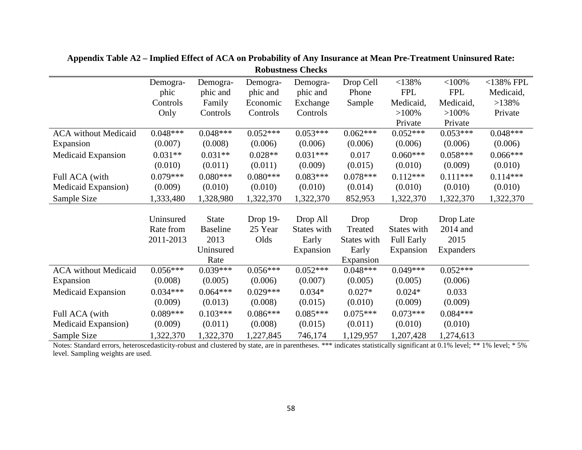|                             |            |                 |            |             |             |                   | $<$ 100%   | $<$ 138% FPL |
|-----------------------------|------------|-----------------|------------|-------------|-------------|-------------------|------------|--------------|
|                             | Demogra-   | Demogra-        | Demogra-   | Demogra-    | Drop Cell   | <138%             |            |              |
|                             | phic       | phic and        | phic and   | phic and    | Phone       | <b>FPL</b>        | <b>FPL</b> | Medicaid,    |
|                             | Controls   | Family          | Economic   | Exchange    | Sample      | Medicaid,         | Medicaid,  | $>138\%$     |
|                             | Only       | Controls        | Controls   | Controls    |             | $>100\%$          | $>100\%$   | Private      |
|                             |            |                 |            |             |             | Private           | Private    |              |
| <b>ACA</b> without Medicaid | $0.048***$ | $0.048***$      | $0.052***$ | $0.053***$  | $0.062***$  | $0.052***$        | $0.053***$ | $0.048***$   |
| Expansion                   | (0.007)    | (0.008)         | (0.006)    | (0.006)     | (0.006)     | (0.006)           | (0.006)    | (0.006)      |
| Medicaid Expansion          | $0.031**$  | $0.031**$       | $0.028**$  | $0.031***$  | 0.017       | $0.060***$        | $0.058***$ | $0.066***$   |
|                             | (0.010)    | (0.011)         | (0.011)    | (0.009)     | (0.015)     | (0.010)           | (0.009)    | (0.010)      |
| Full ACA (with              | $0.079***$ | $0.080***$      | $0.080***$ | $0.083***$  | $0.078***$  | $0.112***$        | $0.111***$ | $0.114***$   |
| Medicaid Expansion)         | (0.009)    | (0.010)         | (0.010)    | (0.010)     | (0.014)     | (0.010)           | (0.010)    | (0.010)      |
| Sample Size                 | 1,333,480  | 1,328,980       | 1,322,370  | 1,322,370   | 852,953     | 1,322,370         | 1,322,370  | 1,322,370    |
|                             |            |                 |            |             |             |                   |            |              |
|                             | Uninsured  | <b>State</b>    | Drop 19-   | Drop All    | Drop        | Drop              | Drop Late  |              |
|                             | Rate from  | <b>Baseline</b> | 25 Year    | States with | Treated     | States with       | 2014 and   |              |
|                             | 2011-2013  | 2013            | Olds       | Early       | States with | <b>Full Early</b> | 2015       |              |
|                             |            | Uninsured       |            | Expansion   | Early       | Expansion         | Expanders  |              |
|                             |            | Rate            |            |             | Expansion   |                   |            |              |
| <b>ACA</b> without Medicaid | $0.056***$ | $0.039***$      | $0.056***$ | $0.052***$  | $0.048***$  | $0.049***$        | $0.052***$ |              |
| Expansion                   | (0.008)    | (0.005)         | (0.006)    | (0.007)     | (0.005)     | (0.005)           | (0.006)    |              |
| Medicaid Expansion          | $0.034***$ | $0.064***$      | $0.029***$ | $0.034*$    | $0.027*$    | $0.024*$          | 0.033      |              |
|                             | (0.009)    | (0.013)         | (0.008)    | (0.015)     | (0.010)     | (0.009)           | (0.009)    |              |
| Full ACA (with              | $0.089***$ | $0.103***$      | $0.086***$ | $0.085***$  | $0.075***$  | $0.073***$        | $0.084***$ |              |
| Medicaid Expansion)         | (0.009)    | (0.011)         | (0.008)    | (0.015)     | (0.011)     | (0.010)           | (0.010)    |              |
| Sample Size                 | 1,322,370  | 1,322,370       | 1,227,845  | 746,174     | 1,129,957   | 1,207,428         | 1,274,613  |              |

**Appendix Table A2 – Implied Effect of ACA on Probability of Any Insurance at Mean Pre-Treatment Uninsured Rate: Robustness Checks**

Notes: Standard errors, heteroscedasticity-robust and clustered by state, are in parentheses. \*\*\* indicates statistically significant at 0.1% level; \*\* 1% level; \*5% level. Sampling weights are used.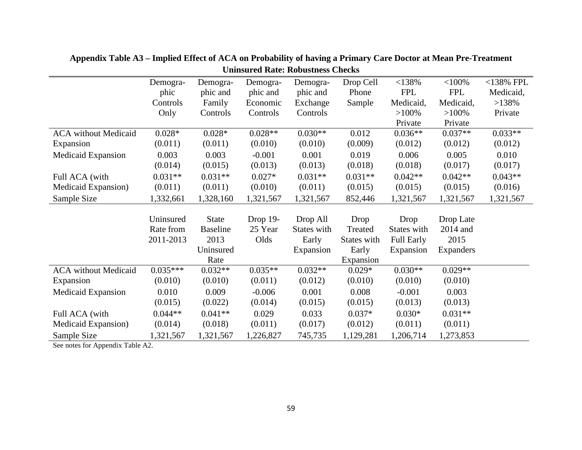|                             | Demogra-   | Demogra-        | Demogra-  | Demogra-    | Drop Cell   | <138%             | $<$ 100%   | $<$ 138% FPL |
|-----------------------------|------------|-----------------|-----------|-------------|-------------|-------------------|------------|--------------|
|                             | phic       | phic and        | phic and  | phic and    | Phone       | <b>FPL</b>        | <b>FPL</b> | Medicaid,    |
|                             | Controls   | Family          | Economic  | Exchange    | Sample      | Medicaid,         | Medicaid,  | $>138\%$     |
|                             | Only       | Controls        | Controls  | Controls    |             | $>100\%$          | $>100\%$   | Private      |
|                             |            |                 |           |             |             | Private           | Private    |              |
| <b>ACA</b> without Medicaid | $0.028*$   | $0.028*$        | $0.028**$ | $0.030**$   | 0.012       | $0.036**$         | $0.037**$  | $0.033**$    |
| Expansion                   | (0.011)    | (0.011)         | (0.010)   | (0.010)     | (0.009)     | (0.012)           | (0.012)    | (0.012)      |
| Medicaid Expansion          | 0.003      | 0.003           | $-0.001$  | 0.001       | 0.019       | 0.006             | 0.005      | 0.010        |
|                             | (0.014)    | (0.015)         | (0.013)   | (0.013)     | (0.018)     | (0.018)           | (0.017)    | (0.017)      |
| Full ACA (with              | $0.031**$  | $0.031**$       | $0.027*$  | $0.031**$   | $0.031**$   | $0.042**$         | $0.042**$  | $0.043**$    |
| Medicaid Expansion)         | (0.011)    | (0.011)         | (0.010)   | (0.011)     | (0.015)     | (0.015)           | (0.015)    | (0.016)      |
| Sample Size                 | 1,332,661  | 1,328,160       | 1,321,567 | 1,321,567   | 852,446     | 1,321,567         | 1,321,567  | 1,321,567    |
|                             |            |                 |           |             |             |                   |            |              |
|                             | Uninsured  | <b>State</b>    | Drop 19-  | Drop All    | Drop        | Drop              | Drop Late  |              |
|                             | Rate from  | <b>Baseline</b> | 25 Year   | States with | Treated     | States with       | 2014 and   |              |
|                             | 2011-2013  | 2013            | Olds      | Early       | States with | <b>Full Early</b> | 2015       |              |
|                             |            | Uninsured       |           | Expansion   | Early       | Expansion         | Expanders  |              |
|                             |            | Rate            |           |             | Expansion   |                   |            |              |
| <b>ACA</b> without Medicaid | $0.035***$ | $0.032**$       | $0.035**$ | $0.032**$   | $0.029*$    | $0.030**$         | $0.029**$  |              |
| Expansion                   | (0.010)    | (0.010)         | (0.011)   | (0.012)     | (0.010)     | (0.010)           | (0.010)    |              |
| <b>Medicaid Expansion</b>   | 0.010      | 0.009           | $-0.006$  | 0.001       | 0.008       | $-0.001$          | 0.003      |              |
|                             | (0.015)    | (0.022)         | (0.014)   | (0.015)     | (0.015)     | (0.013)           | (0.013)    |              |
| Full ACA (with              | $0.044**$  | $0.041**$       | 0.029     | 0.033       | $0.037*$    | $0.030*$          | $0.031**$  |              |
| Medicaid Expansion)         | (0.014)    | (0.018)         | (0.011)   | (0.017)     | (0.012)     | (0.011)           | (0.011)    |              |
| Sample Size                 | 1,321,567  | 1,321,567       | 1,226,827 | 745,735     | 1,129,281   | 1,206,714         | 1,273,853  |              |

**Appendix Table A3 – Implied Effect of ACA on Probability of having a Primary Care Doctor at Mean Pre-Treatment Uninsured Rate: Robustness Checks**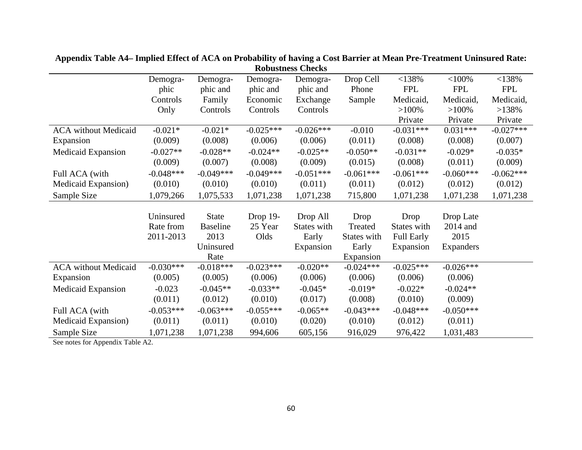|                             | Demogra-    | Demogra-        | Demogra-    | Demogra-    | Drop Cell   | <138%             | $<$ 100%    | <138%       |
|-----------------------------|-------------|-----------------|-------------|-------------|-------------|-------------------|-------------|-------------|
|                             | phic        | phic and        | phic and    | phic and    | Phone       | <b>FPL</b>        | <b>FPL</b>  | <b>FPL</b>  |
|                             | Controls    | Family          | Economic    | Exchange    | Sample      | Medicaid,         | Medicaid,   | Medicaid,   |
|                             | Only        | Controls        | Controls    | Controls    |             | $>100\%$          | $>100\%$    | $>138\%$    |
|                             |             |                 |             |             |             | Private           | Private     | Private     |
| <b>ACA</b> without Medicaid | $-0.021*$   | $-0.021*$       | $-0.025***$ | $-0.026***$ | $-0.010$    | $-0.031***$       | $0.031***$  | $-0.027***$ |
| Expansion                   | (0.009)     | (0.008)         | (0.006)     | (0.006)     | (0.011)     | (0.008)           | (0.008)     | (0.007)     |
| <b>Medicaid Expansion</b>   | $-0.027**$  | $-0.028**$      | $-0.024**$  | $-0.025**$  | $-0.050**$  | $-0.031**$        | $-0.029*$   | $-0.035*$   |
|                             | (0.009)     | (0.007)         | (0.008)     | (0.009)     | (0.015)     | (0.008)           | (0.011)     | (0.009)     |
| Full ACA (with              | $-0.048***$ | $-0.049***$     | $-0.049***$ | $-0.051***$ | $-0.061***$ | $-0.061***$       | $-0.060***$ | $-0.062***$ |
| <b>Medicaid Expansion</b> ) | (0.010)     | (0.010)         | (0.010)     | (0.011)     | (0.011)     | (0.012)           | (0.012)     | (0.012)     |
| Sample Size                 | 1,079,266   | 1,075,533       | 1,071,238   | 1,071,238   | 715,800     | 1,071,238         | 1,071,238   | 1,071,238   |
|                             |             |                 |             |             |             |                   |             |             |
|                             | Uninsured   | <b>State</b>    | Drop 19-    | Drop All    | Drop        | Drop              | Drop Late   |             |
|                             | Rate from   | <b>Baseline</b> | 25 Year     | States with | Treated     | States with       | 2014 and    |             |
|                             | 2011-2013   | 2013            | Olds        | Early       | States with | <b>Full Early</b> | 2015        |             |
|                             |             | Uninsured       |             | Expansion   | Early       | Expansion         | Expanders   |             |
|                             |             | Rate            |             |             | Expansion   |                   |             |             |
| <b>ACA</b> without Medicaid | $-0.030***$ | $-0.018***$     | $-0.023***$ | $-0.020**$  | $-0.024***$ | $-0.025***$       | $-0.026***$ |             |
| Expansion                   | (0.005)     | (0.005)         | (0.006)     | (0.006)     | (0.006)     | (0.006)           | (0.006)     |             |
| Medicaid Expansion          | $-0.023$    | $-0.045**$      | $-0.033**$  | $-0.045*$   | $-0.019*$   | $-0.022*$         | $-0.024**$  |             |
|                             | (0.011)     | (0.012)         | (0.010)     | (0.017)     | (0.008)     | (0.010)           | (0.009)     |             |
| Full ACA (with              | $-0.053***$ | $-0.063***$     | $-0.055***$ | $-0.065**$  | $-0.043***$ | $-0.048***$       | $-0.050***$ |             |
| Medicaid Expansion)         | (0.011)     | (0.011)         | (0.010)     | (0.020)     | (0.010)     | (0.012)           | (0.011)     |             |
| Sample Size                 | 1,071,238   | 1,071,238       | 994,606     | 605,156     | 916,029     | 976,422           | 1,031,483   |             |

**Appendix Table A4– Implied Effect of ACA on Probability of having a Cost Barrier at Mean Pre-Treatment Uninsured Rate: Robustness Checks**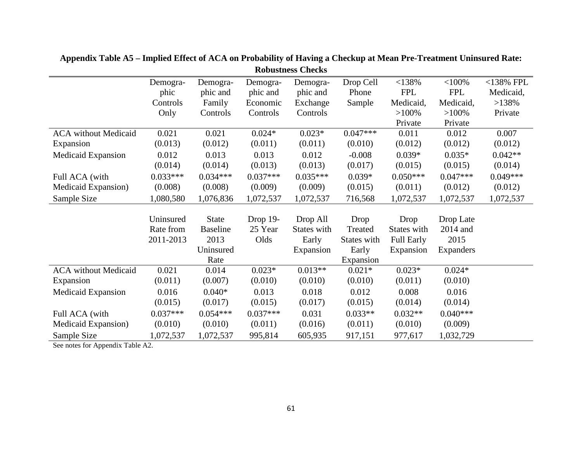|                             | Demogra-   | Demogra-        | Demogra-   | Demogra-    | Drop Cell   | <138%             | $<$ 100%   | $<$ 138% FPL |
|-----------------------------|------------|-----------------|------------|-------------|-------------|-------------------|------------|--------------|
|                             | phic       | phic and        | phic and   | phic and    | Phone       | <b>FPL</b>        | <b>FPL</b> | Medicaid,    |
|                             | Controls   | Family          | Economic   | Exchange    | Sample      | Medicaid,         | Medicaid,  | $>138\%$     |
|                             | Only       | Controls        | Controls   | Controls    |             | $>100\%$          | $>100\%$   | Private      |
|                             |            |                 |            |             |             | Private           | Private    |              |
| <b>ACA</b> without Medicaid | 0.021      | 0.021           | $0.024*$   | $0.023*$    | $0.047***$  | 0.011             | 0.012      | 0.007        |
| Expansion                   | (0.013)    | (0.012)         | (0.011)    | (0.011)     | (0.010)     | (0.012)           | (0.012)    | (0.012)      |
| <b>Medicaid Expansion</b>   | 0.012      | 0.013           | 0.013      | 0.012       | $-0.008$    | $0.039*$          | $0.035*$   | $0.042**$    |
|                             | (0.014)    | (0.014)         | (0.013)    | (0.013)     | (0.017)     | (0.015)           | (0.015)    | (0.014)      |
| Full ACA (with              | $0.033***$ | $0.034***$      | $0.037***$ | $0.035***$  | $0.039*$    | $0.050***$        | $0.047***$ | $0.049***$   |
| Medicaid Expansion)         | (0.008)    | (0.008)         | (0.009)    | (0.009)     | (0.015)     | (0.011)           | (0.012)    | (0.012)      |
| Sample Size                 | 1,080,580  | 1,076,836       | 1,072,537  | 1,072,537   | 716,568     | 1,072,537         | 1,072,537  | 1,072,537    |
|                             |            |                 |            |             |             |                   |            |              |
|                             | Uninsured  | <b>State</b>    | Drop 19-   | Drop All    | Drop        | Drop              | Drop Late  |              |
|                             | Rate from  | <b>Baseline</b> | 25 Year    | States with | Treated     | States with       | 2014 and   |              |
|                             | 2011-2013  | 2013            | Olds       | Early       | States with | <b>Full Early</b> | 2015       |              |
|                             |            | Uninsured       |            | Expansion   | Early       | Expansion         | Expanders  |              |
|                             |            | Rate            |            |             | Expansion   |                   |            |              |
| <b>ACA</b> without Medicaid | 0.021      | 0.014           | $0.023*$   | $0.013**$   | $0.021*$    | $0.023*$          | $0.024*$   |              |
| Expansion                   | (0.011)    | (0.007)         | (0.010)    | (0.010)     | (0.010)     | (0.011)           | (0.010)    |              |
| Medicaid Expansion          | 0.016      | $0.040*$        | 0.013      | 0.018       | 0.012       | 0.008             | 0.016      |              |
|                             | (0.015)    | (0.017)         | (0.015)    | (0.017)     | (0.015)     | (0.014)           | (0.014)    |              |
| Full ACA (with              | $0.037***$ | $0.054***$      | $0.037***$ | 0.031       | $0.033**$   | $0.032**$         | $0.040***$ |              |
| Medicaid Expansion)         | (0.010)    | (0.010)         | (0.011)    | (0.016)     | (0.011)     | (0.010)           | (0.009)    |              |
| Sample Size                 | 1,072,537  | 1,072,537       | 995,814    | 605,935     | 917,151     | 977,617           | 1,032,729  |              |

**Appendix Table A5 – Implied Effect of ACA on Probability of Having a Checkup at Mean Pre-Treatment Uninsured Rate: Robustness Checks**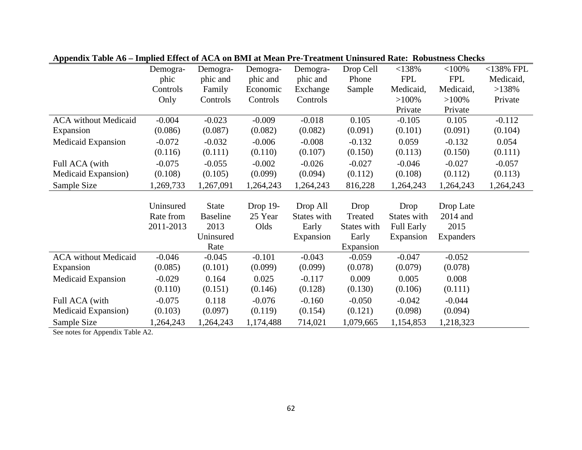|                             | Demogra-  | Demogra-        | Demogra-   | Demogra-    | Drop Cell   | <138%             | $<$ 100%   | $<$ 138% FPL |
|-----------------------------|-----------|-----------------|------------|-------------|-------------|-------------------|------------|--------------|
|                             | phic      | phic and        | phic and   | phic and    | Phone       | <b>FPL</b>        | <b>FPL</b> | Medicaid,    |
|                             | Controls  | Family          | Economic   | Exchange    | Sample      | Medicaid,         | Medicaid,  | $>138\%$     |
|                             | Only      | Controls        | Controls   | Controls    |             | $>100\%$          | $>100\%$   | Private      |
|                             |           |                 |            |             |             | Private           | Private    |              |
| <b>ACA</b> without Medicaid | $-0.004$  | $-0.023$        | $-0.009$   | $-0.018$    | 0.105       | $-0.105$          | 0.105      | $-0.112$     |
| Expansion                   | (0.086)   | (0.087)         | (0.082)    | (0.082)     | (0.091)     | (0.101)           | (0.091)    | (0.104)      |
| Medicaid Expansion          | $-0.072$  | $-0.032$        | $-0.006$   | $-0.008$    | $-0.132$    | 0.059             | $-0.132$   | 0.054        |
|                             | (0.116)   | (0.111)         | (0.110)    | (0.107)     | (0.150)     | (0.113)           | (0.150)    | (0.111)      |
| Full ACA (with              | $-0.075$  | $-0.055$        | $-0.002$   | $-0.026$    | $-0.027$    | $-0.046$          | $-0.027$   | $-0.057$     |
| Medicaid Expansion)         | (0.108)   | (0.105)         | (0.099)    | (0.094)     | (0.112)     | (0.108)           | (0.112)    | (0.113)      |
| Sample Size                 | 1,269,733 | 1,267,091       | 1,264,243  | 1,264,243   | 816,228     | 1,264,243         | 1,264,243  | 1,264,243    |
|                             |           |                 |            |             |             |                   |            |              |
|                             | Uninsured | <b>State</b>    | Drop $19-$ | Drop All    | Drop        | Drop              | Drop Late  |              |
|                             | Rate from | <b>Baseline</b> | 25 Year    | States with | Treated     | States with       | 2014 and   |              |
|                             | 2011-2013 | 2013            | Olds       | Early       | States with | <b>Full Early</b> | 2015       |              |
|                             |           | Uninsured       |            | Expansion   | Early       | Expansion         | Expanders  |              |
|                             |           | Rate            |            |             | Expansion   |                   |            |              |
| <b>ACA</b> without Medicaid | $-0.046$  | $-0.045$        | $-0.101$   | $-0.043$    | $-0.059$    | $-0.047$          | $-0.052$   |              |
| Expansion                   | (0.085)   | (0.101)         | (0.099)    | (0.099)     | (0.078)     | (0.079)           | (0.078)    |              |
| Medicaid Expansion          | $-0.029$  | 0.164           | 0.025      | $-0.117$    | 0.009       | 0.005             | 0.008      |              |
|                             | (0.110)   | (0.151)         | (0.146)    | (0.128)     | (0.130)     | (0.106)           | (0.111)    |              |
| Full ACA (with              | $-0.075$  | 0.118           | $-0.076$   | $-0.160$    | $-0.050$    | $-0.042$          | $-0.044$   |              |
| Medicaid Expansion)         | (0.103)   | (0.097)         | (0.119)    | (0.154)     | (0.121)     | (0.098)           | (0.094)    |              |
| Sample Size                 | 1,264,243 | 1,264,243       | 1,174,488  | 714,021     | 1,079,665   | 1,154,853         | 1,218,323  |              |

**Appendix Table A6 – Implied Effect of ACA on BMI at Mean Pre-Treatment Uninsured Rate: Robustness Checks**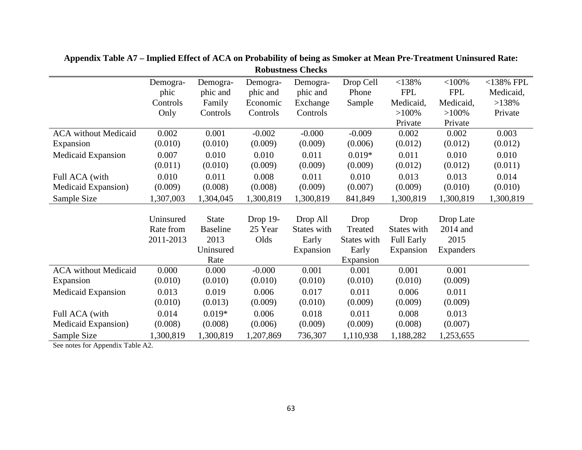|                             | Demogra-  | Demogra-        | Demogra-  | Demogra-    | Drop Cell   | <138%             | $<$ 100%   | $<$ 138% FPL |
|-----------------------------|-----------|-----------------|-----------|-------------|-------------|-------------------|------------|--------------|
|                             | phic      | phic and        | phic and  | phic and    | Phone       | <b>FPL</b>        | <b>FPL</b> | Medicaid,    |
|                             | Controls  | Family          | Economic  | Exchange    | Sample      | Medicaid,         | Medicaid,  | $>138\%$     |
|                             | Only      | Controls        | Controls  | Controls    |             | $>100\%$          | $>100\%$   | Private      |
|                             |           |                 |           |             |             | Private           | Private    |              |
| <b>ACA</b> without Medicaid | 0.002     | 0.001           | $-0.002$  | $-0.000$    | $-0.009$    | 0.002             | 0.002      | 0.003        |
| Expansion                   | (0.010)   | (0.010)         | (0.009)   | (0.009)     | (0.006)     | (0.012)           | (0.012)    | (0.012)      |
| <b>Medicaid Expansion</b>   | 0.007     | 0.010           | 0.010     | 0.011       | $0.019*$    | 0.011             | 0.010      | 0.010        |
|                             | (0.011)   | (0.010)         | (0.009)   | (0.009)     | (0.009)     | (0.012)           | (0.012)    | (0.011)      |
| Full ACA (with              | 0.010     | 0.011           | 0.008     | 0.011       | 0.010       | 0.013             | 0.013      | 0.014        |
| Medicaid Expansion)         | (0.009)   | (0.008)         | (0.008)   | (0.009)     | (0.007)     | (0.009)           | (0.010)    | (0.010)      |
| Sample Size                 | 1,307,003 | 1,304,045       | 1,300,819 | 1,300,819   | 841,849     | 1,300,819         | 1,300,819  | 1,300,819    |
|                             |           |                 |           |             |             |                   |            |              |
|                             | Uninsured | <b>State</b>    | Drop 19-  | Drop All    | Drop        | Drop              | Drop Late  |              |
|                             | Rate from | <b>Baseline</b> | 25 Year   | States with | Treated     | States with       | 2014 and   |              |
|                             | 2011-2013 | 2013            | Olds      | Early       | States with | <b>Full Early</b> | 2015       |              |
|                             |           | Uninsured       |           | Expansion   | Early       | Expansion         | Expanders  |              |
|                             |           | Rate            |           |             | Expansion   |                   |            |              |
| <b>ACA</b> without Medicaid | 0.000     | 0.000           | $-0.000$  | 0.001       | 0.001       | 0.001             | 0.001      |              |
| Expansion                   | (0.010)   | (0.010)         | (0.010)   | (0.010)     | (0.010)     | (0.010)           | (0.009)    |              |
| Medicaid Expansion          | 0.013     | 0.019           | 0.006     | 0.017       | 0.011       | 0.006             | 0.011      |              |
|                             | (0.010)   | (0.013)         | (0.009)   | (0.010)     | (0.009)     | (0.009)           | (0.009)    |              |
| Full ACA (with              | 0.014     | $0.019*$        | 0.006     | 0.018       | 0.011       | 0.008             | 0.013      |              |
| Medicaid Expansion)         | (0.008)   | (0.008)         | (0.006)   | (0.009)     | (0.009)     | (0.008)           | (0.007)    |              |
| Sample Size                 | 1,300,819 | 1,300,819       | 1,207,869 | 736,307     | 1,110,938   | 1,188,282         | 1,253,655  |              |

**Appendix Table A7 – Implied Effect of ACA on Probability of being as Smoker at Mean Pre-Treatment Uninsured Rate: Robustness Checks**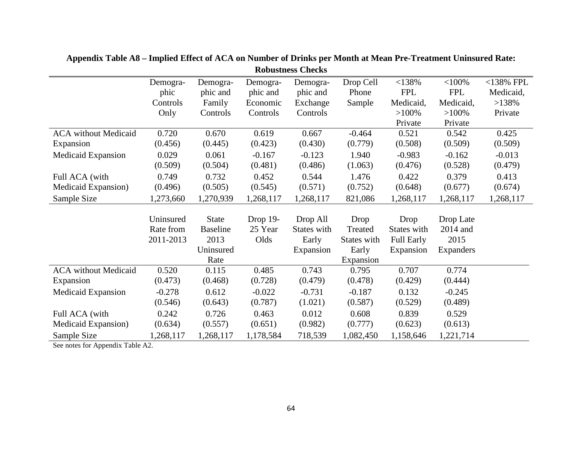|                             | Demogra-  | Demogra-        | Demogra-  | Demogra-    | Drop Cell   | <138%             | $<$ 100%   | $<$ 138% FPL |
|-----------------------------|-----------|-----------------|-----------|-------------|-------------|-------------------|------------|--------------|
|                             | phic      | phic and        | phic and  | phic and    | Phone       | <b>FPL</b>        | <b>FPL</b> | Medicaid,    |
|                             | Controls  | Family          | Economic  | Exchange    | Sample      | Medicaid,         | Medicaid,  | $>138\%$     |
|                             | Only      | Controls        | Controls  | Controls    |             | $>100\%$          | $>100\%$   | Private      |
|                             |           |                 |           |             |             | Private           | Private    |              |
| <b>ACA</b> without Medicaid | 0.720     | 0.670           | 0.619     | 0.667       | $-0.464$    | 0.521             | 0.542      | 0.425        |
| Expansion                   | (0.456)   | (0.445)         | (0.423)   | (0.430)     | (0.779)     | (0.508)           | (0.509)    | (0.509)      |
| <b>Medicaid Expansion</b>   | 0.029     | 0.061           | $-0.167$  | $-0.123$    | 1.940       | $-0.983$          | $-0.162$   | $-0.013$     |
|                             | (0.509)   | (0.504)         | (0.481)   | (0.486)     | (1.063)     | (0.476)           | (0.528)    | (0.479)      |
| Full ACA (with              | 0.749     | 0.732           | 0.452     | 0.544       | 1.476       | 0.422             | 0.379      | 0.413        |
| Medicaid Expansion)         | (0.496)   | (0.505)         | (0.545)   | (0.571)     | (0.752)     | (0.648)           | (0.677)    | (0.674)      |
| Sample Size                 | 1,273,660 | 1,270,939       | 1,268,117 | 1,268,117   | 821,086     | 1,268,117         | 1,268,117  | 1,268,117    |
|                             |           |                 |           |             |             |                   |            |              |
|                             | Uninsured | <b>State</b>    | Drop 19-  | Drop All    | Drop        | Drop              | Drop Late  |              |
|                             | Rate from | <b>Baseline</b> | 25 Year   | States with | Treated     | States with       | 2014 and   |              |
|                             | 2011-2013 | 2013            | Olds      | Early       | States with | <b>Full Early</b> | 2015       |              |
|                             |           | Uninsured       |           | Expansion   | Early       | Expansion         | Expanders  |              |
|                             |           | Rate            |           |             | Expansion   |                   |            |              |
| <b>ACA</b> without Medicaid | 0.520     | 0.115           | 0.485     | 0.743       | 0.795       | 0.707             | 0.774      |              |
| Expansion                   | (0.473)   | (0.468)         | (0.728)   | (0.479)     | (0.478)     | (0.429)           | (0.444)    |              |
| <b>Medicaid Expansion</b>   | $-0.278$  | 0.612           | $-0.022$  | $-0.731$    | $-0.187$    | 0.132             | $-0.245$   |              |
|                             | (0.546)   | (0.643)         | (0.787)   | (1.021)     | (0.587)     | (0.529)           | (0.489)    |              |
| Full ACA (with              | 0.242     | 0.726           | 0.463     | 0.012       | 0.608       | 0.839             | 0.529      |              |
| Medicaid Expansion)         | (0.634)   | (0.557)         | (0.651)   | (0.982)     | (0.777)     | (0.623)           | (0.613)    |              |
| Sample Size                 | 1,268,117 | 1,268,117       | 1,178,584 | 718,539     | 1,082,450   | 1,158,646         | 1,221,714  |              |

**Appendix Table A8 – Implied Effect of ACA on Number of Drinks per Month at Mean Pre-Treatment Uninsured Rate: Robustness Checks**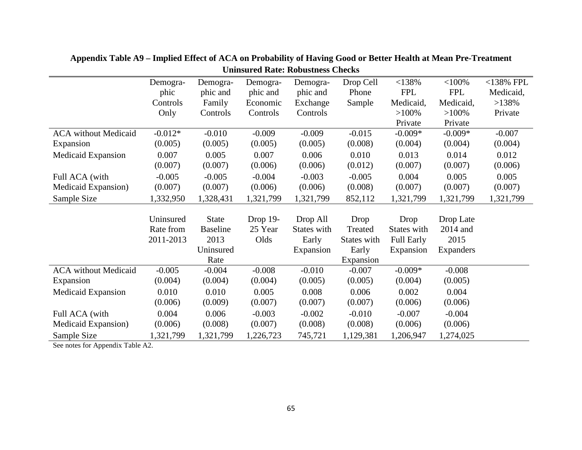|                             | Demogra-  | Demogra-        | Demogra-  | Demogra-    | Drop Cell   | <138%             | $<$ 100%   | $<$ 138% FPL |
|-----------------------------|-----------|-----------------|-----------|-------------|-------------|-------------------|------------|--------------|
|                             | phic      | phic and        | phic and  | phic and    | Phone       | <b>FPL</b>        | <b>FPL</b> | Medicaid,    |
|                             | Controls  | Family          | Economic  | Exchange    | Sample      | Medicaid,         | Medicaid,  | $>138\%$     |
|                             | Only      | Controls        | Controls  | Controls    |             | $>100\%$          | $>100\%$   | Private      |
|                             |           |                 |           |             |             | Private           | Private    |              |
| <b>ACA</b> without Medicaid | $-0.012*$ | $-0.010$        | $-0.009$  | $-0.009$    | $-0.015$    | $-0.009*$         | $-0.009*$  | $-0.007$     |
| Expansion                   | (0.005)   | (0.005)         | (0.005)   | (0.005)     | (0.008)     | (0.004)           | (0.004)    | (0.004)      |
| <b>Medicaid Expansion</b>   | 0.007     | 0.005           | 0.007     | 0.006       | 0.010       | 0.013             | 0.014      | 0.012        |
|                             | (0.007)   | (0.007)         | (0.006)   | (0.006)     | (0.012)     | (0.007)           | (0.007)    | (0.006)      |
| Full ACA (with              | $-0.005$  | $-0.005$        | $-0.004$  | $-0.003$    | $-0.005$    | 0.004             | 0.005      | 0.005        |
| Medicaid Expansion)         | (0.007)   | (0.007)         | (0.006)   | (0.006)     | (0.008)     | (0.007)           | (0.007)    | (0.007)      |
| Sample Size                 | 1,332,950 | 1,328,431       | 1,321,799 | 1,321,799   | 852,112     | 1,321,799         | 1,321,799  | 1,321,799    |
|                             |           |                 |           |             |             |                   |            |              |
|                             | Uninsured | <b>State</b>    | Drop 19-  | Drop All    | Drop        | Drop              | Drop Late  |              |
|                             | Rate from | <b>Baseline</b> | 25 Year   | States with | Treated     | States with       | 2014 and   |              |
|                             | 2011-2013 | 2013            | Olds      | Early       | States with | <b>Full Early</b> | 2015       |              |
|                             |           | Uninsured       |           | Expansion   | Early       | Expansion         | Expanders  |              |
|                             |           | Rate            |           |             | Expansion   |                   |            |              |
| <b>ACA</b> without Medicaid | $-0.005$  | $-0.004$        | $-0.008$  | $-0.010$    | $-0.007$    | $-0.009*$         | $-0.008$   |              |
| Expansion                   | (0.004)   | (0.004)         | (0.004)   | (0.005)     | (0.005)     | (0.004)           | (0.005)    |              |
| <b>Medicaid Expansion</b>   | 0.010     | 0.010           | 0.005     | 0.008       | 0.006       | 0.002             | 0.004      |              |
|                             | (0.006)   | (0.009)         | (0.007)   | (0.007)     | (0.007)     | (0.006)           | (0.006)    |              |
| Full ACA (with              | 0.004     | 0.006           | $-0.003$  | $-0.002$    | $-0.010$    | $-0.007$          | $-0.004$   |              |
| Medicaid Expansion)         | (0.006)   | (0.008)         | (0.007)   | (0.008)     | (0.008)     | (0.006)           | (0.006)    |              |
| Sample Size                 | 1,321,799 | 1,321,799       | 1,226,723 | 745,721     | 1,129,381   | 1,206,947         | 1,274,025  |              |

**Appendix Table A9 – Implied Effect of ACA on Probability of Having Good or Better Health at Mean Pre-Treatment Uninsured Rate: Robustness Checks**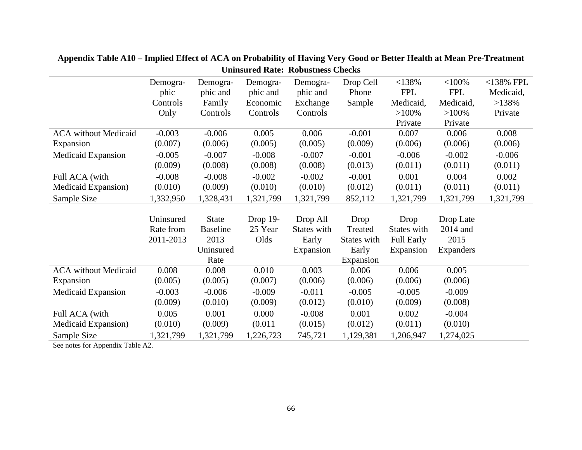|                             | Demogra-  | Demogra-        | Demogra-  | Demogra-    | Drop Cell   | <138%             | $<$ 100%   | $<$ 138% FPL |
|-----------------------------|-----------|-----------------|-----------|-------------|-------------|-------------------|------------|--------------|
|                             | phic      | phic and        | phic and  | phic and    | Phone       | <b>FPL</b>        | <b>FPL</b> | Medicaid,    |
|                             | Controls  | Family          | Economic  | Exchange    | Sample      | Medicaid,         | Medicaid,  | $>138\%$     |
|                             | Only      | Controls        | Controls  | Controls    |             | $>100\%$          | $>100\%$   | Private      |
|                             |           |                 |           |             |             | Private           | Private    |              |
| <b>ACA</b> without Medicaid | $-0.003$  | $-0.006$        | 0.005     | 0.006       | $-0.001$    | 0.007             | 0.006      | 0.008        |
| Expansion                   | (0.007)   | (0.006)         | (0.005)   | (0.005)     | (0.009)     | (0.006)           | (0.006)    | (0.006)      |
| <b>Medicaid Expansion</b>   | $-0.005$  | $-0.007$        | $-0.008$  | $-0.007$    | $-0.001$    | $-0.006$          | $-0.002$   | $-0.006$     |
|                             | (0.009)   | (0.008)         | (0.008)   | (0.008)     | (0.013)     | (0.011)           | (0.011)    | (0.011)      |
| Full ACA (with              | $-0.008$  | $-0.008$        | $-0.002$  | $-0.002$    | $-0.001$    | 0.001             | 0.004      | 0.002        |
| Medicaid Expansion)         | (0.010)   | (0.009)         | (0.010)   | (0.010)     | (0.012)     | (0.011)           | (0.011)    | (0.011)      |
| Sample Size                 | 1,332,950 | 1,328,431       | 1,321,799 | 1,321,799   | 852,112     | 1,321,799         | 1,321,799  | 1,321,799    |
|                             |           |                 |           |             |             |                   |            |              |
|                             | Uninsured | <b>State</b>    | Drop 19-  | Drop All    | Drop        | Drop              | Drop Late  |              |
|                             | Rate from | <b>Baseline</b> | 25 Year   | States with | Treated     | States with       | 2014 and   |              |
|                             | 2011-2013 | 2013            | Olds      | Early       | States with | <b>Full Early</b> | 2015       |              |
|                             |           | Uninsured       |           | Expansion   | Early       | Expansion         | Expanders  |              |
|                             |           | Rate            |           |             | Expansion   |                   |            |              |
| <b>ACA</b> without Medicaid | 0.008     | 0.008           | 0.010     | 0.003       | 0.006       | 0.006             | 0.005      |              |
| Expansion                   | (0.005)   | (0.005)         | (0.007)   | (0.006)     | (0.006)     | (0.006)           | (0.006)    |              |
| <b>Medicaid Expansion</b>   | $-0.003$  | $-0.006$        | $-0.009$  | $-0.011$    | $-0.005$    | $-0.005$          | $-0.009$   |              |
|                             | (0.009)   | (0.010)         | (0.009)   | (0.012)     | (0.010)     | (0.009)           | (0.008)    |              |
| Full ACA (with              | 0.005     | 0.001           | 0.000     | $-0.008$    | 0.001       | 0.002             | $-0.004$   |              |
| Medicaid Expansion)         | (0.010)   | (0.009)         | (0.011)   | (0.015)     | (0.012)     | (0.011)           | (0.010)    |              |
| Sample Size                 | 1,321,799 | 1,321,799       | 1,226,723 | 745,721     | 1,129,381   | 1,206,947         | 1,274,025  |              |

**Appendix Table A10 – Implied Effect of ACA on Probability of Having Very Good or Better Health at Mean Pre-Treatment Uninsured Rate: Robustness Checks**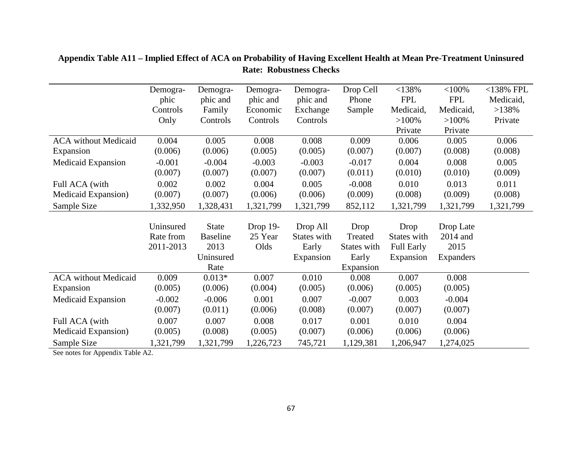|                             | Demogra-  | Demogra-        | Demogra-   | Demogra-    | Drop Cell   | <138%             | $<$ 100%   | $<$ 138% FPL |
|-----------------------------|-----------|-----------------|------------|-------------|-------------|-------------------|------------|--------------|
|                             | phic      | phic and        | phic and   | phic and    | Phone       | <b>FPL</b>        | <b>FPL</b> | Medicaid,    |
|                             | Controls  | Family          | Economic   | Exchange    | Sample      | Medicaid,         | Medicaid,  | $>138\%$     |
|                             | Only      | Controls        | Controls   | Controls    |             | $>100\%$          | $>100\%$   | Private      |
|                             |           |                 |            |             |             | Private           | Private    |              |
| <b>ACA</b> without Medicaid | 0.004     | 0.005           | 0.008      | 0.008       | 0.009       | 0.006             | 0.005      | 0.006        |
| Expansion                   | (0.006)   | (0.006)         | (0.005)    | (0.005)     | (0.007)     | (0.007)           | (0.008)    | (0.008)      |
| Medicaid Expansion          | $-0.001$  | $-0.004$        | $-0.003$   | $-0.003$    | $-0.017$    | 0.004             | 0.008      | 0.005        |
|                             | (0.007)   | (0.007)         | (0.007)    | (0.007)     | (0.011)     | (0.010)           | (0.010)    | (0.009)      |
| Full ACA (with              | 0.002     | 0.002           | 0.004      | 0.005       | $-0.008$    | 0.010             | 0.013      | 0.011        |
| Medicaid Expansion)         | (0.007)   | (0.007)         | (0.006)    | (0.006)     | (0.009)     | (0.008)           | (0.009)    | (0.008)      |
| Sample Size                 | 1,332,950 | 1,328,431       | 1,321,799  | 1,321,799   | 852,112     | 1,321,799         | 1,321,799  | 1,321,799    |
|                             |           |                 |            |             |             |                   |            |              |
|                             | Uninsured | <b>State</b>    | Drop $19-$ | Drop All    | Drop        | Drop              | Drop Late  |              |
|                             | Rate from | <b>Baseline</b> | 25 Year    | States with | Treated     | States with       | 2014 and   |              |
|                             | 2011-2013 | 2013            | Olds       | Early       | States with | <b>Full Early</b> | 2015       |              |
|                             |           | Uninsured       |            | Expansion   | Early       | Expansion         | Expanders  |              |
|                             |           | Rate            |            |             | Expansion   |                   |            |              |
| <b>ACA</b> without Medicaid | 0.009     | $0.013*$        | 0.007      | 0.010       | 0.008       | 0.007             | 0.008      |              |
| Expansion                   | (0.005)   | (0.006)         | (0.004)    | (0.005)     | (0.006)     | (0.005)           | (0.005)    |              |
| Medicaid Expansion          | $-0.002$  | $-0.006$        | 0.001      | 0.007       | $-0.007$    | 0.003             | $-0.004$   |              |
|                             | (0.007)   | (0.011)         | (0.006)    | (0.008)     | (0.007)     | (0.007)           | (0.007)    |              |
| Full ACA (with              | 0.007     | 0.007           | 0.008      | 0.017       | 0.001       | 0.010             | 0.004      |              |
| Medicaid Expansion)         | (0.005)   | (0.008)         | (0.005)    | (0.007)     | (0.006)     | (0.006)           | (0.006)    |              |
| Sample Size                 | 1,321,799 | 1,321,799       | 1,226,723  | 745,721     | 1,129,381   | 1,206,947         | 1,274,025  |              |

**Appendix Table A11 – Implied Effect of ACA on Probability of Having Excellent Health at Mean Pre-Treatment Uninsured Rate: Robustness Checks**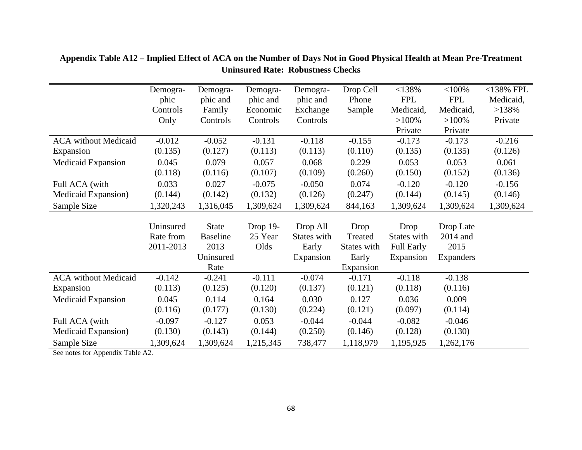|                             | Demogra-  | Demogra-        | Demogra-  | Demogra-    | Drop Cell   | <138%             | $<$ 100%   | $<$ 138% FPL |
|-----------------------------|-----------|-----------------|-----------|-------------|-------------|-------------------|------------|--------------|
|                             | phic      | phic and        | phic and  | phic and    | Phone       | <b>FPL</b>        | <b>FPL</b> | Medicaid,    |
|                             | Controls  | Family          | Economic  | Exchange    | Sample      | Medicaid,         | Medicaid,  | $>138\%$     |
|                             | Only      | Controls        | Controls  | Controls    |             | $>100\%$          | $>100\%$   | Private      |
|                             |           |                 |           |             |             | Private           | Private    |              |
| <b>ACA</b> without Medicaid | $-0.012$  | $-0.052$        | $-0.131$  | $-0.118$    | $-0.155$    | $-0.173$          | $-0.173$   | $-0.216$     |
| Expansion                   | (0.135)   | (0.127)         | (0.113)   | (0.113)     | (0.110)     | (0.135)           | (0.135)    | (0.126)      |
| Medicaid Expansion          | 0.045     | 0.079           | 0.057     | 0.068       | 0.229       | 0.053             | 0.053      | 0.061        |
|                             | (0.118)   | (0.116)         | (0.107)   | (0.109)     | (0.260)     | (0.150)           | (0.152)    | (0.136)      |
| Full ACA (with              | 0.033     | 0.027           | $-0.075$  | $-0.050$    | 0.074       | $-0.120$          | $-0.120$   | $-0.156$     |
| Medicaid Expansion)         | (0.144)   | (0.142)         | (0.132)   | (0.126)     | (0.247)     | (0.144)           | (0.145)    | (0.146)      |
| Sample Size                 | 1,320,243 | 1,316,045       | 1,309,624 | 1,309,624   | 844,163     | 1,309,624         | 1,309,624  | 1,309,624    |
|                             |           |                 |           |             |             |                   |            |              |
|                             | Uninsured | <b>State</b>    | Drop 19-  | Drop All    | Drop        | Drop              | Drop Late  |              |
|                             | Rate from | <b>Baseline</b> | 25 Year   | States with | Treated     | States with       | 2014 and   |              |
|                             | 2011-2013 | 2013            | Olds      | Early       | States with | <b>Full Early</b> | 2015       |              |
|                             |           | Uninsured       |           | Expansion   | Early       | Expansion         | Expanders  |              |
|                             |           | Rate            |           |             | Expansion   |                   |            |              |
| <b>ACA</b> without Medicaid | $-0.142$  | $-0.241$        | $-0.111$  | $-0.074$    | $-0.171$    | $-0.118$          | $-0.138$   |              |
| Expansion                   | (0.113)   | (0.125)         | (0.120)   | (0.137)     | (0.121)     | (0.118)           | (0.116)    |              |
| Medicaid Expansion          | 0.045     | 0.114           | 0.164     | 0.030       | 0.127       | 0.036             | 0.009      |              |
|                             | (0.116)   | (0.177)         | (0.130)   | (0.224)     | (0.121)     | (0.097)           | (0.114)    |              |
| Full ACA (with              | $-0.097$  | $-0.127$        | 0.053     | $-0.044$    | $-0.044$    | $-0.082$          | $-0.046$   |              |
| Medicaid Expansion)         | (0.130)   | (0.143)         | (0.144)   | (0.250)     | (0.146)     | (0.128)           | (0.130)    |              |
| Sample Size                 | 1,309,624 | 1,309,624       | 1,215,345 | 738,477     | 1,118,979   | 1,195,925         | 1,262,176  |              |

**Appendix Table A12 – Implied Effect of ACA on the Number of Days Not in Good Physical Health at Mean Pre-Treatment Uninsured Rate: Robustness Checks**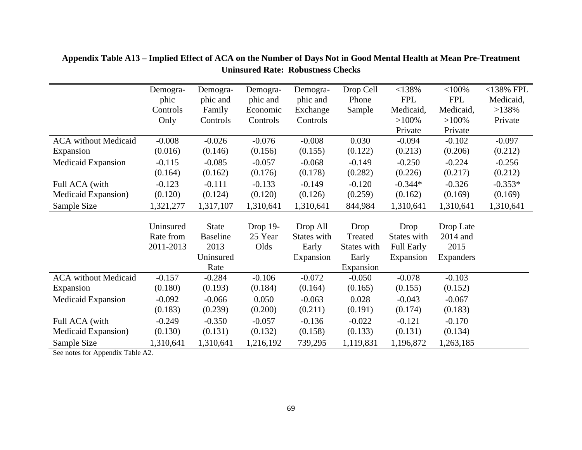|                             | Demogra-  | Demogra-        | Demogra-  | Demogra-    | Drop Cell   | <138%             | $<$ 100%   | $<$ 138% FPL |
|-----------------------------|-----------|-----------------|-----------|-------------|-------------|-------------------|------------|--------------|
|                             | phic      | phic and        | phic and  | phic and    | Phone       | <b>FPL</b>        | <b>FPL</b> | Medicaid,    |
|                             | Controls  | Family          | Economic  | Exchange    | Sample      | Medicaid,         | Medicaid,  | $>138\%$     |
|                             | Only      | Controls        | Controls  | Controls    |             | $>100\%$          | $>100\%$   | Private      |
|                             |           |                 |           |             |             | Private           | Private    |              |
| <b>ACA</b> without Medicaid | $-0.008$  | $-0.026$        | $-0.076$  | $-0.008$    | 0.030       | $-0.094$          | $-0.102$   | $-0.097$     |
| Expansion                   | (0.016)   | (0.146)         | (0.156)   | (0.155)     | (0.122)     | (0.213)           | (0.206)    | (0.212)      |
| Medicaid Expansion          | $-0.115$  | $-0.085$        | $-0.057$  | $-0.068$    | $-0.149$    | $-0.250$          | $-0.224$   | $-0.256$     |
|                             | (0.164)   | (0.162)         | (0.176)   | (0.178)     | (0.282)     | (0.226)           | (0.217)    | (0.212)      |
| Full ACA (with              | $-0.123$  | $-0.111$        | $-0.133$  | $-0.149$    | $-0.120$    | $-0.344*$         | $-0.326$   | $-0.353*$    |
| Medicaid Expansion)         | (0.120)   | (0.124)         | (0.120)   | (0.126)     | (0.259)     | (0.162)           | (0.169)    | (0.169)      |
| Sample Size                 | 1,321,277 | 1,317,107       | 1,310,641 | 1,310,641   | 844,984     | 1,310,641         | 1,310,641  | 1,310,641    |
|                             |           |                 |           |             |             |                   |            |              |
|                             | Uninsured | <b>State</b>    | Drop 19-  | Drop All    | Drop        | Drop              | Drop Late  |              |
|                             | Rate from | <b>Baseline</b> | 25 Year   | States with | Treated     | States with       | 2014 and   |              |
|                             | 2011-2013 | 2013            | Olds      | Early       | States with | <b>Full Early</b> | 2015       |              |
|                             |           | Uninsured       |           | Expansion   | Early       | Expansion         | Expanders  |              |
|                             |           | Rate            |           |             | Expansion   |                   |            |              |
| <b>ACA</b> without Medicaid | $-0.157$  | $-0.284$        | $-0.106$  | $-0.072$    | $-0.050$    | $-0.078$          | $-0.103$   |              |
| Expansion                   | (0.180)   | (0.193)         | (0.184)   | (0.164)     | (0.165)     | (0.155)           | (0.152)    |              |
| Medicaid Expansion          | $-0.092$  | $-0.066$        | 0.050     | $-0.063$    | 0.028       | $-0.043$          | $-0.067$   |              |
|                             | (0.183)   | (0.239)         | (0.200)   | (0.211)     | (0.191)     | (0.174)           | (0.183)    |              |
| Full ACA (with              | $-0.249$  | $-0.350$        | $-0.057$  | $-0.136$    | $-0.022$    | $-0.121$          | $-0.170$   |              |
| Medicaid Expansion)         | (0.130)   | (0.131)         | (0.132)   | (0.158)     | (0.133)     | (0.131)           | (0.134)    |              |
| Sample Size                 | 1,310,641 | 1,310,641       | 1,216,192 | 739,295     | 1,119,831   | 1,196,872         | 1,263,185  |              |

**Appendix Table A13 – Implied Effect of ACA on the Number of Days Not in Good Mental Health at Mean Pre-Treatment Uninsured Rate: Robustness Checks**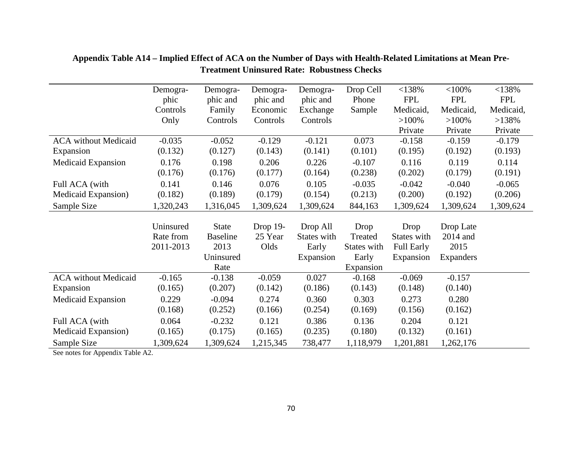|                             | Demogra-  | Demogra-        | Demogra-  | Demogra-    | Drop Cell   | <138%             | $<$ 100%   | <138%      |
|-----------------------------|-----------|-----------------|-----------|-------------|-------------|-------------------|------------|------------|
|                             | phic      | phic and        | phic and  | phic and    | Phone       | <b>FPL</b>        | <b>FPL</b> | <b>FPL</b> |
|                             | Controls  | Family          | Economic  | Exchange    | Sample      | Medicaid,         | Medicaid,  | Medicaid,  |
|                             | Only      | Controls        | Controls  | Controls    |             | $>100\%$          | $>100\%$   | $>138\%$   |
|                             |           |                 |           |             |             | Private           | Private    | Private    |
| <b>ACA</b> without Medicaid | $-0.035$  | $-0.052$        | $-0.129$  | $-0.121$    | 0.073       | $-0.158$          | $-0.159$   | $-0.179$   |
| Expansion                   | (0.132)   | (0.127)         | (0.143)   | (0.141)     | (0.101)     | (0.195)           | (0.192)    | (0.193)    |
| Medicaid Expansion          | 0.176     | 0.198           | 0.206     | 0.226       | $-0.107$    | 0.116             | 0.119      | 0.114      |
|                             | (0.176)   | (0.176)         | (0.177)   | (0.164)     | (0.238)     | (0.202)           | (0.179)    | (0.191)    |
| Full ACA (with              | 0.141     | 0.146           | 0.076     | 0.105       | $-0.035$    | $-0.042$          | $-0.040$   | $-0.065$   |
| Medicaid Expansion)         | (0.182)   | (0.189)         | (0.179)   | (0.154)     | (0.213)     | (0.200)           | (0.192)    | (0.206)    |
| Sample Size                 | 1,320,243 | 1,316,045       | 1,309,624 | 1,309,624   | 844,163     | 1,309,624         | 1,309,624  | 1,309,624  |
|                             |           |                 |           |             |             |                   |            |            |
|                             | Uninsured | <b>State</b>    | Drop 19-  | Drop All    | Drop        | Drop              | Drop Late  |            |
|                             | Rate from | <b>Baseline</b> | 25 Year   | States with | Treated     | States with       | 2014 and   |            |
|                             | 2011-2013 | 2013            | Olds      | Early       | States with | <b>Full Early</b> | 2015       |            |
|                             |           | Uninsured       |           | Expansion   | Early       | Expansion         | Expanders  |            |
|                             |           | Rate            |           |             | Expansion   |                   |            |            |
| <b>ACA</b> without Medicaid | $-0.165$  | $-0.138$        | $-0.059$  | 0.027       | $-0.168$    | $-0.069$          | $-0.157$   |            |
| Expansion                   | (0.165)   | (0.207)         | (0.142)   | (0.186)     | (0.143)     | (0.148)           | (0.140)    |            |
| Medicaid Expansion          | 0.229     | $-0.094$        | 0.274     | 0.360       | 0.303       | 0.273             | 0.280      |            |
|                             | (0.168)   | (0.252)         | (0.166)   | (0.254)     | (0.169)     | (0.156)           | (0.162)    |            |
| Full ACA (with              | 0.064     | $-0.232$        | 0.121     | 0.386       | 0.136       | 0.204             | 0.121      |            |
| Medicaid Expansion)         | (0.165)   | (0.175)         | (0.165)   | (0.235)     | (0.180)     | (0.132)           | (0.161)    |            |
| Sample Size                 | 1,309,624 | 1,309,624       | 1,215,345 | 738,477     | 1,118,979   | 1,201,881         | 1,262,176  |            |

**Appendix Table A14 – Implied Effect of ACA on the Number of Days with Health-Related Limitations at Mean Pre-Treatment Uninsured Rate: Robustness Checks**

See notes for Appendix Table A2.